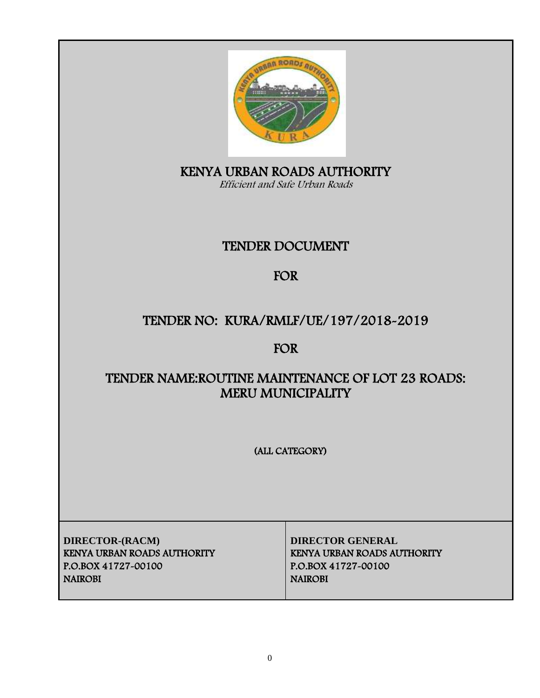

KENYA URBAN ROADS AUTHORITY Efficient and Safe Urban Roads

# TENDER DOCUMENT

# FOR

# TENDER NO: KURA/RMLF/UE/197/2018-2019

# FOR

# TENDER NAME:ROUTINE MAINTENANCE OF LOT 23 ROADS: MERU MUNICIPALITY

(ALL CATEGORY)

**DIRECTOR-(RACM) DIRECTOR GENERAL** KENYA URBAN ROADS AUTHORITY KENYA URBAN ROADS AUTHORITY P.O.BOX 41727-00100 P.O.BOX 41727-00100 NAIROBI NAIROBI NAIROBI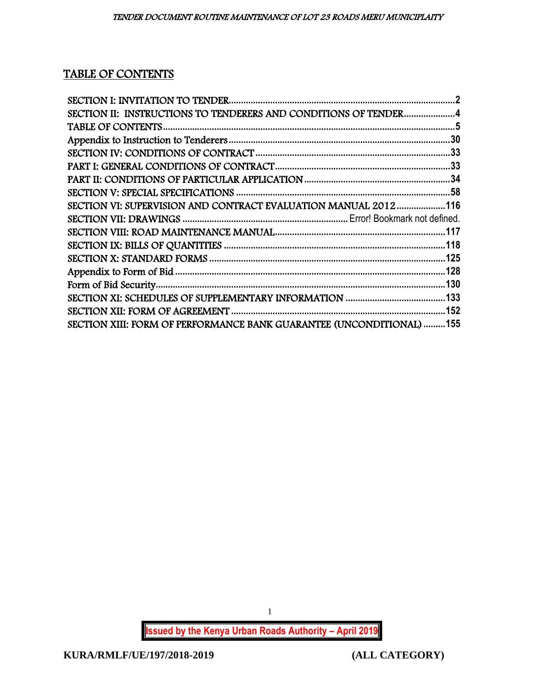# TABLE OF CONTENTS

| SECTION II: INSTRUCTIONS TO TENDERERS AND CONDITIONS OF TENDER4      |  |
|----------------------------------------------------------------------|--|
|                                                                      |  |
|                                                                      |  |
|                                                                      |  |
|                                                                      |  |
|                                                                      |  |
|                                                                      |  |
| SECTION VI: SUPERVISION AND CONTRACT EVALUATION MANUAL 2012116       |  |
|                                                                      |  |
|                                                                      |  |
|                                                                      |  |
|                                                                      |  |
|                                                                      |  |
|                                                                      |  |
|                                                                      |  |
|                                                                      |  |
| SECTION XIII: FORM OF PERFORMANCE BANK GUARANTEE (UNCONDITIONAL) 155 |  |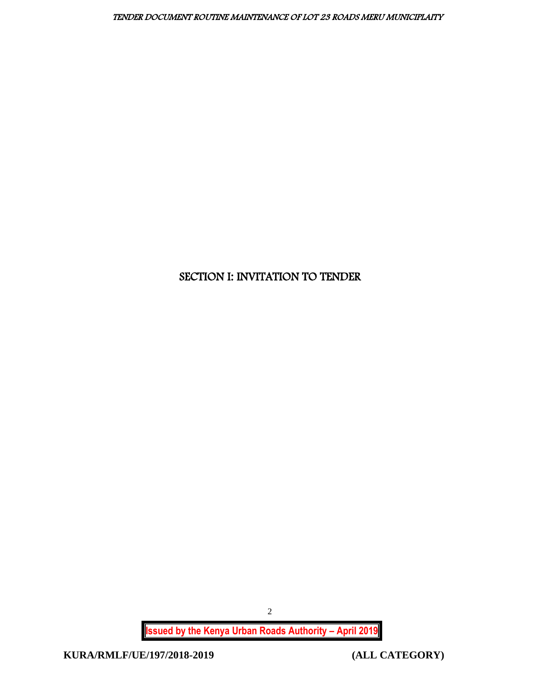# <span id="page-2-0"></span>SECTION I: INVITATION TO TENDER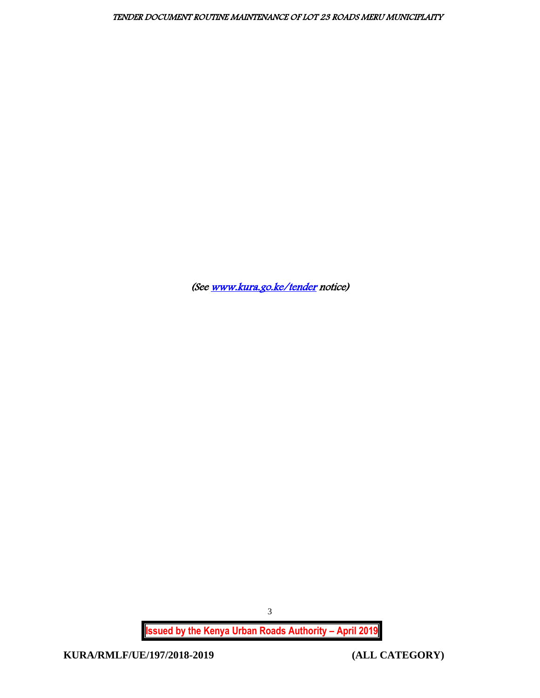(Se[e www.kura.go.ke/tender](http://www.kura.go.ke/tender) notice)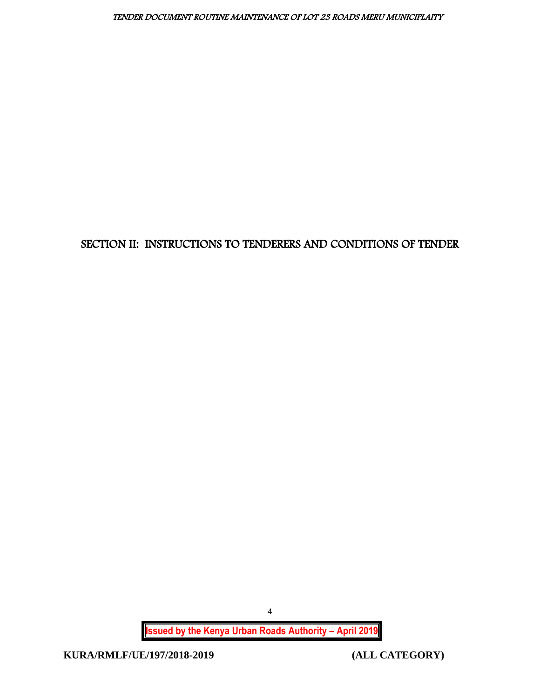# <span id="page-4-0"></span>SECTION II: INSTRUCTIONS TO TENDERERS AND CONDITIONS OF TENDER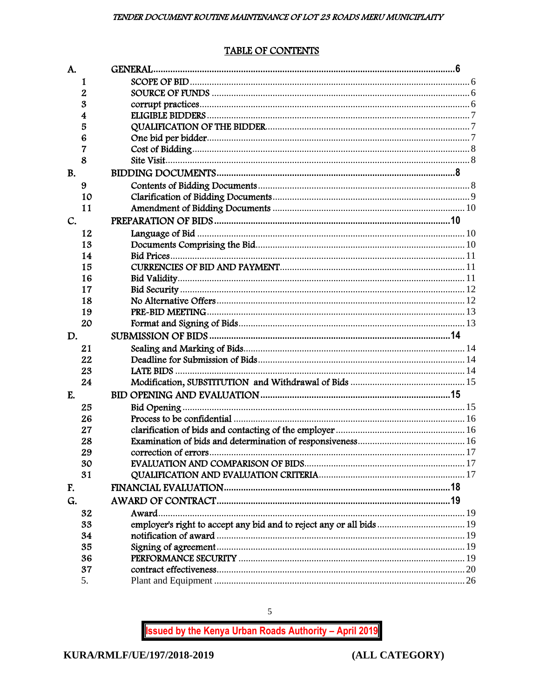# TABLE OF CONTENTS

<span id="page-5-0"></span>

| A.        |    |                                                                      |  |
|-----------|----|----------------------------------------------------------------------|--|
|           | 1  |                                                                      |  |
|           | 2  |                                                                      |  |
|           | 3  |                                                                      |  |
|           | 4  |                                                                      |  |
|           | 5  |                                                                      |  |
|           | 6  |                                                                      |  |
|           | 7  |                                                                      |  |
|           | 8  |                                                                      |  |
| <b>B.</b> |    |                                                                      |  |
|           | 9  |                                                                      |  |
|           | 10 |                                                                      |  |
|           | 11 |                                                                      |  |
| C.        |    |                                                                      |  |
|           | 12 |                                                                      |  |
|           | 13 |                                                                      |  |
|           | 14 |                                                                      |  |
|           | 15 |                                                                      |  |
|           | 16 |                                                                      |  |
|           | 17 |                                                                      |  |
|           | 18 |                                                                      |  |
|           | 19 |                                                                      |  |
|           | 20 |                                                                      |  |
| D.        |    |                                                                      |  |
|           | 21 |                                                                      |  |
|           | 22 |                                                                      |  |
|           | 23 |                                                                      |  |
|           | 24 |                                                                      |  |
| E.        |    |                                                                      |  |
|           | 25 |                                                                      |  |
|           | 26 |                                                                      |  |
|           | 27 |                                                                      |  |
|           | 28 |                                                                      |  |
|           | 29 |                                                                      |  |
|           | 30 |                                                                      |  |
|           | 31 |                                                                      |  |
| F.        |    |                                                                      |  |
| G.        |    |                                                                      |  |
|           | 32 | Award.                                                               |  |
|           | 33 | employer's right to accept any bid and to reject any or all bids  19 |  |
|           | 34 |                                                                      |  |
|           | 35 |                                                                      |  |
|           | 36 |                                                                      |  |
|           | 37 |                                                                      |  |
|           | 5. |                                                                      |  |

**Issued by the Kenya Urban Roads Authority - April 2019** 

 $\overline{5}$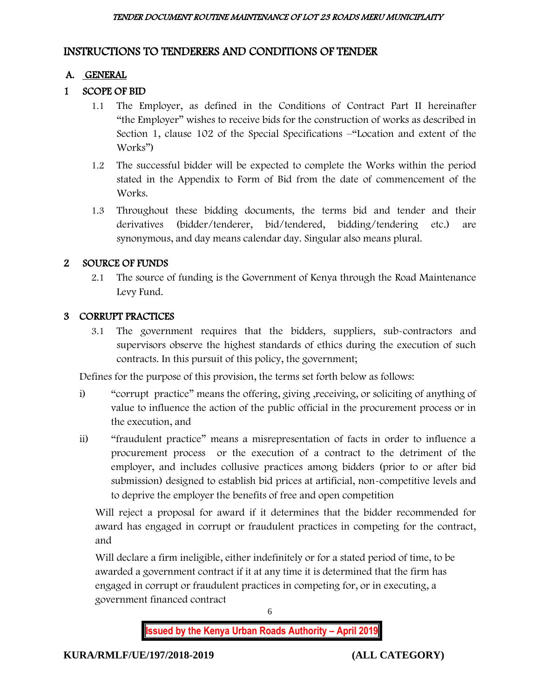# INSTRUCTIONS TO TENDERERS AND CONDITIONS OF TENDER

# A. GENERAL

# 1 SCOPE OF BID

- 1.1 The Employer, as defined in the Conditions of Contract Part II hereinafter "the Employer" wishes to receive bids for the construction of works as described in Section 1, clause 102 of the Special Specifications –"Location and extent of the Works")
- 1.2 The successful bidder will be expected to complete the Works within the period stated in the Appendix to Form of Bid from the date of commencement of the Works.
- 1.3 Throughout these bidding documents, the terms bid and tender and their derivatives (bidder/tenderer, bid/tendered, bidding/tendering etc.) are synonymous, and day means calendar day. Singular also means plural.

# 2 SOURCE OF FUNDS

2.1 The source of funding is the Government of Kenya through the Road Maintenance Levy Fund.

# 3 CORRUPT PRACTICES

3.1 The government requires that the bidders, suppliers, sub-contractors and supervisors observe the highest standards of ethics during the execution of such contracts. In this pursuit of this policy, the government;

Defines for the purpose of this provision, the terms set forth below as follows:

- i) "corrupt practice" means the offering, giving ,receiving, or soliciting of anything of value to influence the action of the public official in the procurement process or in the execution, and
- ii) "fraudulent practice" means a misrepresentation of facts in order to influence a procurement process or the execution of a contract to the detriment of the employer, and includes collusive practices among bidders (prior to or after bid submission) designed to establish bid prices at artificial, non-competitive levels and to deprive the employer the benefits of free and open competition

Will reject a proposal for award if it determines that the bidder recommended for award has engaged in corrupt or fraudulent practices in competing for the contract, and

Will declare a firm ineligible, either indefinitely or for a stated period of time, to be awarded a government contract if it at any time it is determined that the firm has engaged in corrupt or fraudulent practices in competing for, or in executing, a government financed contract

6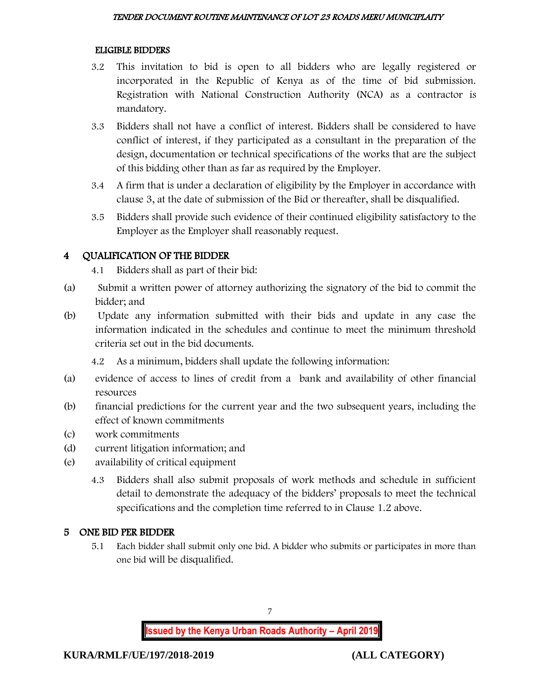#### ELIGIBLE BIDDERS

- 3.2 This invitation to bid is open to all bidders who are legally registered or incorporated in the Republic of Kenya as of the time of bid submission. Registration with National Construction Authority (NCA) as a contractor is mandatory.
- 3.3 Bidders shall not have a conflict of interest. Bidders shall be considered to have conflict of interest, if they participated as a consultant in the preparation of the design, documentation or technical specifications of the works that are the subject of this bidding other than as far as required by the Employer.
- 3.4 A firm that is under a declaration of eligibility by the Employer in accordance with clause 3, at the date of submission of the Bid or thereafter, shall be disqualified.
- 3.5 Bidders shall provide such evidence of their continued eligibility satisfactory to the Employer as the Employer shall reasonably request.

## 4 QUALIFICATION OF THE BIDDER

- 4.1 Bidders shall as part of their bid:
- (a) Submit a written power of attorney authorizing the signatory of the bid to commit the bidder; and
- (b) Update any information submitted with their bids and update in any case the information indicated in the schedules and continue to meet the minimum threshold criteria set out in the bid documents.
	- 4.2 As a minimum, bidders shall update the following information:
- (a) evidence of access to lines of credit from a bank and availability of other financial resources
- (b) financial predictions for the current year and the two subsequent years, including the effect of known commitments
- (c) work commitments
- (d) current litigation information; and
- (e) availability of critical equipment
	- 4.3 Bidders shall also submit proposals of work methods and schedule in sufficient detail to demonstrate the adequacy of the bidders' proposals to meet the technical specifications and the completion time referred to in Clause 1.2 above.

# 5 ONE BID PER BIDDER

5.1 Each bidder shall submit only one bid. A bidder who submits or participates in more than one bid will be disqualified.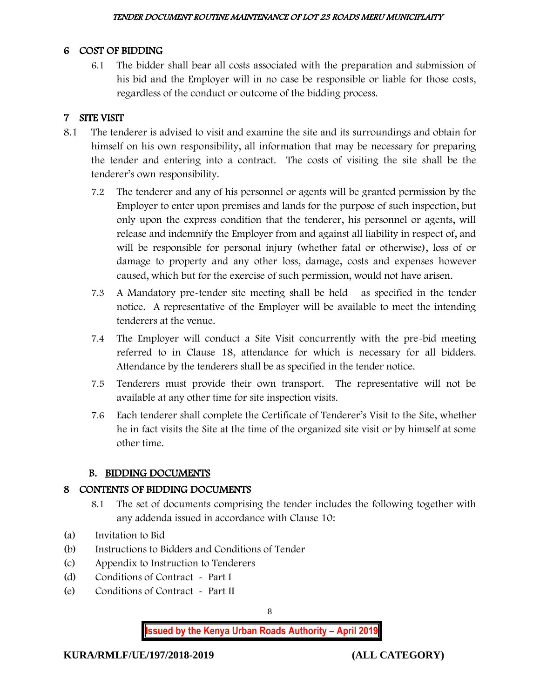#### 6 COST OF BIDDING

6.1 The bidder shall bear all costs associated with the preparation and submission of his bid and the Employer will in no case be responsible or liable for those costs, regardless of the conduct or outcome of the bidding process.

# 7 SITE VISIT

- 8.1 The tenderer is advised to visit and examine the site and its surroundings and obtain for himself on his own responsibility, all information that may be necessary for preparing the tender and entering into a contract. The costs of visiting the site shall be the tenderer's own responsibility.
	- 7.2 The tenderer and any of his personnel or agents will be granted permission by the Employer to enter upon premises and lands for the purpose of such inspection, but only upon the express condition that the tenderer, his personnel or agents, will release and indemnify the Employer from and against all liability in respect of, and will be responsible for personal injury (whether fatal or otherwise), loss of or damage to property and any other loss, damage, costs and expenses however caused, which but for the exercise of such permission, would not have arisen.
	- 7.3 A Mandatory pre-tender site meeting shall be held as specified in the tender notice. A representative of the Employer will be available to meet the intending tenderers at the venue.
	- 7.4 The Employer will conduct a Site Visit concurrently with the pre-bid meeting referred to in Clause 18, attendance for which is necessary for all bidders. Attendance by the tenderers shall be as specified in the tender notice.
	- 7.5 Tenderers must provide their own transport. The representative will not be available at any other time for site inspection visits.
	- 7.6 Each tenderer shall complete the Certificate of Tenderer's Visit to the Site, whether he in fact visits the Site at the time of the organized site visit or by himself at some other time.

## B. BIDDING DOCUMENTS

## 8 CONTENTS OF BIDDING DOCUMENTS

- 8.1 The set of documents comprising the tender includes the following together with any addenda issued in accordance with Clause 10:
- (a) Invitation to Bid
- (b) Instructions to Bidders and Conditions of Tender
- (c) Appendix to Instruction to Tenderers
- (d) Conditions of Contract Part I
- (e) Conditions of Contract Part II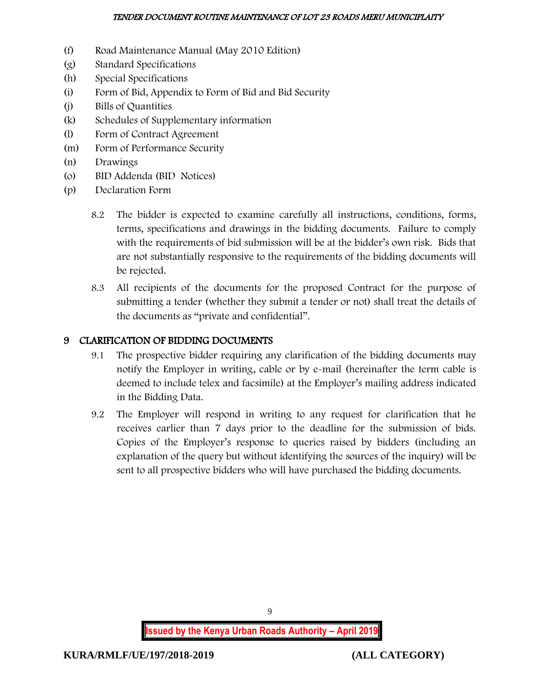- (f) Road Maintenance Manual (May 2010 Edition)
- (g) Standard Specifications
- (h) Special Specifications
- (i) Form of Bid, Appendix to Form of Bid and Bid Security
- (j) Bills of Quantities
- (k) Schedules of Supplementary information
- (l) Form of Contract Agreement
- (m) Form of Performance Security
- (n) Drawings
- (o) BID Addenda (BID Notices)
- (p) Declaration Form
	- 8.2 The bidder is expected to examine carefully all instructions, conditions, forms, terms, specifications and drawings in the bidding documents. Failure to comply with the requirements of bid submission will be at the bidder's own risk. Bids that are not substantially responsive to the requirements of the bidding documents will be rejected.
	- 8.3 All recipients of the documents for the proposed Contract for the purpose of submitting a tender (whether they submit a tender or not) shall treat the details of the documents as "private and confidential".

# 9 CLARIFICATION OF BIDDING DOCUMENTS

- 9.1 The prospective bidder requiring any clarification of the bidding documents may notify the Employer in writing, cable or by e-mail (hereinafter the term cable is deemed to include telex and facsimile) at the Employer's mailing address indicated in the Bidding Data.
- 9.2 The Employer will respond in writing to any request for clarification that he receives earlier than 7 days prior to the deadline for the submission of bids. Copies of the Employer's response to queries raised by bidders (including an explanation of the query but without identifying the sources of the inquiry) will be sent to all prospective bidders who will have purchased the bidding documents.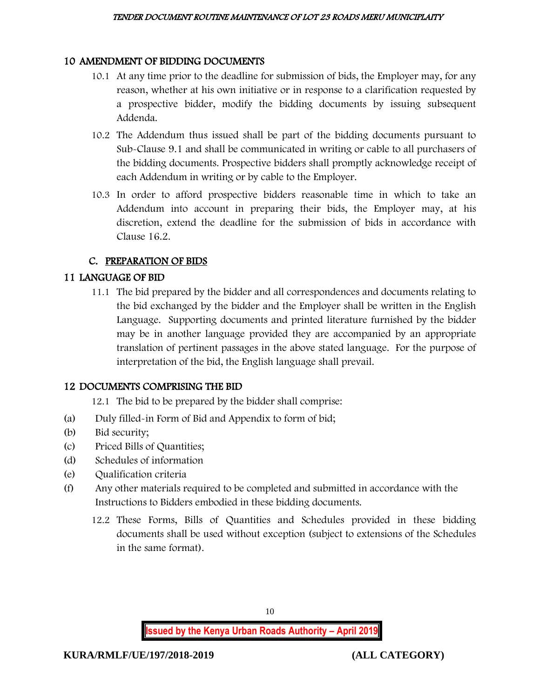#### 10 AMENDMENT OF BIDDING DOCUMENTS

- 10.1 At any time prior to the deadline for submission of bids, the Employer may, for any reason, whether at his own initiative or in response to a clarification requested by a prospective bidder, modify the bidding documents by issuing subsequent Addenda.
- 10.2 The Addendum thus issued shall be part of the bidding documents pursuant to Sub-Clause 9.1 and shall be communicated in writing or cable to all purchasers of the bidding documents. Prospective bidders shall promptly acknowledge receipt of each Addendum in writing or by cable to the Employer.
- 10.3 In order to afford prospective bidders reasonable time in which to take an Addendum into account in preparing their bids, the Employer may, at his discretion, extend the deadline for the submission of bids in accordance with Clause 16.2.

# C. PREPARATION OF BIDS

## 11 LANGUAGE OF BID

11.1 The bid prepared by the bidder and all correspondences and documents relating to the bid exchanged by the bidder and the Employer shall be written in the English Language. Supporting documents and printed literature furnished by the bidder may be in another language provided they are accompanied by an appropriate translation of pertinent passages in the above stated language. For the purpose of interpretation of the bid, the English language shall prevail.

## 12 DOCUMENTS COMPRISING THE BID

- 12.1 The bid to be prepared by the bidder shall comprise:
- (a) Duly filled-in Form of Bid and Appendix to form of bid;
- (b) Bid security;
- (c) Priced Bills of Quantities;
- (d) Schedules of information
- (e) Qualification criteria
- (f) Any other materials required to be completed and submitted in accordance with the Instructions to Bidders embodied in these bidding documents.
	- 12.2 These Forms, Bills of Quantities and Schedules provided in these bidding documents shall be used without exception (subject to extensions of the Schedules in the same format).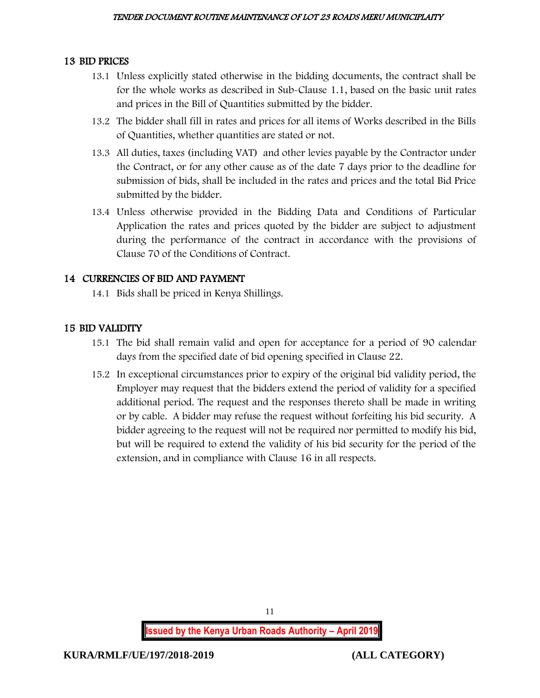## 13 BID PRICES

- 13.1 Unless explicitly stated otherwise in the bidding documents, the contract shall be for the whole works as described in Sub-Clause 1.1, based on the basic unit rates and prices in the Bill of Quantities submitted by the bidder.
- 13.2 The bidder shall fill in rates and prices for all items of Works described in the Bills of Quantities, whether quantities are stated or not.
- 13.3 All duties, taxes (including VAT) and other levies payable by the Contractor under the Contract, or for any other cause as of the date 7 days prior to the deadline for submission of bids, shall be included in the rates and prices and the total Bid Price submitted by the bidder.
- 13.4 Unless otherwise provided in the Bidding Data and Conditions of Particular Application the rates and prices quoted by the bidder are subject to adjustment during the performance of the contract in accordance with the provisions of Clause 70 of the Conditions of Contract.

# 14 CURRENCIES OF BID AND PAYMENT

14.1 Bids shall be priced in Kenya Shillings.

# 15 BID VALIDITY

- 15.1 The bid shall remain valid and open for acceptance for a period of 90 calendar days from the specified date of bid opening specified in Clause 22.
- 15.2 In exceptional circumstances prior to expiry of the original bid validity period, the Employer may request that the bidders extend the period of validity for a specified additional period. The request and the responses thereto shall be made in writing or by cable. A bidder may refuse the request without forfeiting his bid security. A bidder agreeing to the request will not be required nor permitted to modify his bid, but will be required to extend the validity of his bid security for the period of the extension, and in compliance with Clause 16 in all respects.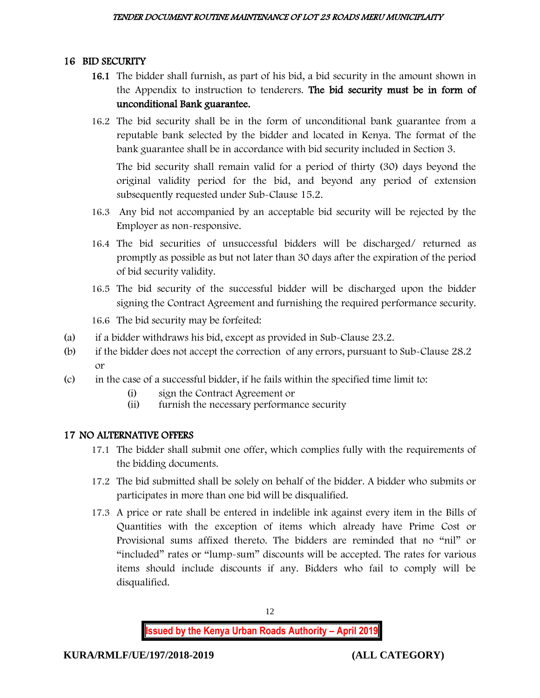## 16 BID SECURITY

- 16.1 The bidder shall furnish, as part of his bid, a bid security in the amount shown in the Appendix to instruction to tenderers. The bid security must be in form of unconditional Bank guarantee.
- 16.2 The bid security shall be in the form of unconditional bank guarantee from a reputable bank selected by the bidder and located in Kenya. The format of the bank guarantee shall be in accordance with bid security included in Section 3.

The bid security shall remain valid for a period of thirty (30) days beyond the original validity period for the bid, and beyond any period of extension subsequently requested under Sub-Clause 15.2.

- 16.3 Any bid not accompanied by an acceptable bid security will be rejected by the Employer as non-responsive.
- 16.4 The bid securities of unsuccessful bidders will be discharged/ returned as promptly as possible as but not later than 30 days after the expiration of the period of bid security validity.
- 16.5 The bid security of the successful bidder will be discharged upon the bidder signing the Contract Agreement and furnishing the required performance security.
- 16.6 The bid security may be forfeited:
- (a) if a bidder withdraws his bid, except as provided in Sub-Clause 23.2.
- (b) if the bidder does not accept the correction of any errors, pursuant to Sub-Clause 28.2 or
- (c) in the case of a successful bidder, if he fails within the specified time limit to:
	- (i) sign the Contract Agreement or
	- (ii) furnish the necessary performance security

## 17 NO ALTERNATIVE OFFERS

- 17.1 The bidder shall submit one offer, which complies fully with the requirements of the bidding documents.
- 17.2 The bid submitted shall be solely on behalf of the bidder. A bidder who submits or participates in more than one bid will be disqualified.
- 17.3 A price or rate shall be entered in indelible ink against every item in the Bills of Quantities with the exception of items which already have Prime Cost or Provisional sums affixed thereto. The bidders are reminded that no "nil" or "included" rates or "lump-sum" discounts will be accepted. The rates for various items should include discounts if any. Bidders who fail to comply will be disqualified.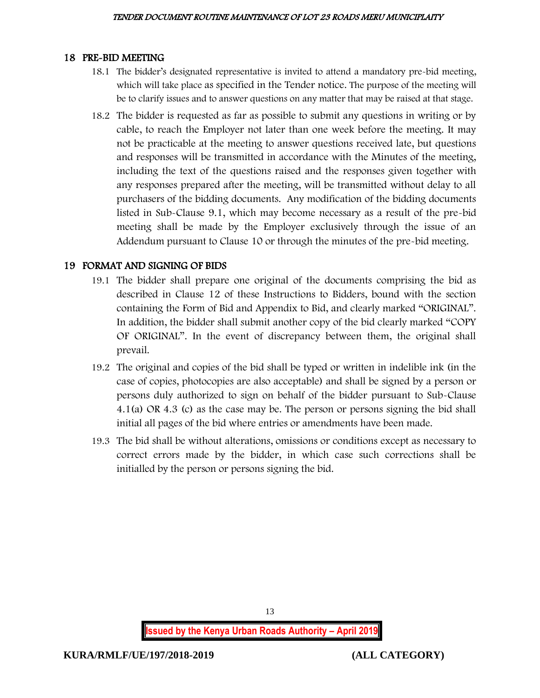#### 18 PRE-BID MEETING

- 18.1 The bidder's designated representative is invited to attend a mandatory pre-bid meeting, which will take place as specified in the Tender notice. The purpose of the meeting will be to clarify issues and to answer questions on any matter that may be raised at that stage.
- 18.2 The bidder is requested as far as possible to submit any questions in writing or by cable, to reach the Employer not later than one week before the meeting. It may not be practicable at the meeting to answer questions received late, but questions and responses will be transmitted in accordance with the Minutes of the meeting, including the text of the questions raised and the responses given together with any responses prepared after the meeting, will be transmitted without delay to all purchasers of the bidding documents. Any modification of the bidding documents listed in Sub-Clause 9.1, which may become necessary as a result of the pre-bid meeting shall be made by the Employer exclusively through the issue of an Addendum pursuant to Clause 10 or through the minutes of the pre-bid meeting.

## 19 FORMAT AND SIGNING OF BIDS

- 19.1 The bidder shall prepare one original of the documents comprising the bid as described in Clause 12 of these Instructions to Bidders, bound with the section containing the Form of Bid and Appendix to Bid, and clearly marked "ORIGINAL". In addition, the bidder shall submit another copy of the bid clearly marked "COPY OF ORIGINAL". In the event of discrepancy between them, the original shall prevail.
- 19.2 The original and copies of the bid shall be typed or written in indelible ink (in the case of copies, photocopies are also acceptable) and shall be signed by a person or persons duly authorized to sign on behalf of the bidder pursuant to Sub-Clause 4.1(a) OR 4.3 (c) as the case may be. The person or persons signing the bid shall initial all pages of the bid where entries or amendments have been made.
- 19.3 The bid shall be without alterations, omissions or conditions except as necessary to correct errors made by the bidder, in which case such corrections shall be initialled by the person or persons signing the bid.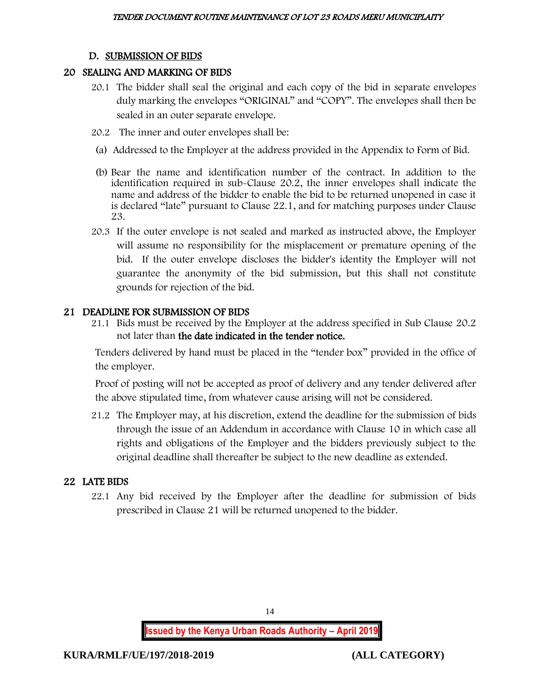#### D. SUBMISSION OF BIDS

#### 20 SEALING AND MARKING OF BIDS

- 20.1 The bidder shall seal the original and each copy of the bid in separate envelopes duly marking the envelopes "ORIGINAL" and "COPY". The envelopes shall then be sealed in an outer separate envelope.
- 20.2 The inner and outer envelopes shall be:
- (a) Addressed to the Employer at the address provided in the Appendix to Form of Bid.
- (b) Bear the name and identification number of the contract. In addition to the identification required in sub-Clause 20.2, the inner envelopes shall indicate the name and address of the bidder to enable the bid to be returned unopened in case it is declared "late" pursuant to Clause 22.1, and for matching purposes under Clause 23.
- 20.3 If the outer envelope is not sealed and marked as instructed above, the Employer will assume no responsibility for the misplacement or premature opening of the bid. If the outer envelope discloses the bidder's identity the Employer will not guarantee the anonymity of the bid submission, but this shall not constitute grounds for rejection of the bid.

#### 21 DEADLINE FOR SUBMISSION OF BIDS

21.1 Bids must be received by the Employer at the address specified in Sub Clause 20.2 not later than the date indicated in the tender notice.

Tenders delivered by hand must be placed in the "tender box" provided in the office of the employer.

Proof of posting will not be accepted as proof of delivery and any tender delivered after the above stipulated time, from whatever cause arising will not be considered.

21.2 The Employer may, at his discretion, extend the deadline for the submission of bids through the issue of an Addendum in accordance with Clause 10 in which case all rights and obligations of the Employer and the bidders previously subject to the original deadline shall thereafter be subject to the new deadline as extended.

## 22 LATE BIDS

22.1 Any bid received by the Employer after the deadline for submission of bids prescribed in Clause 21 will be returned unopened to the bidder.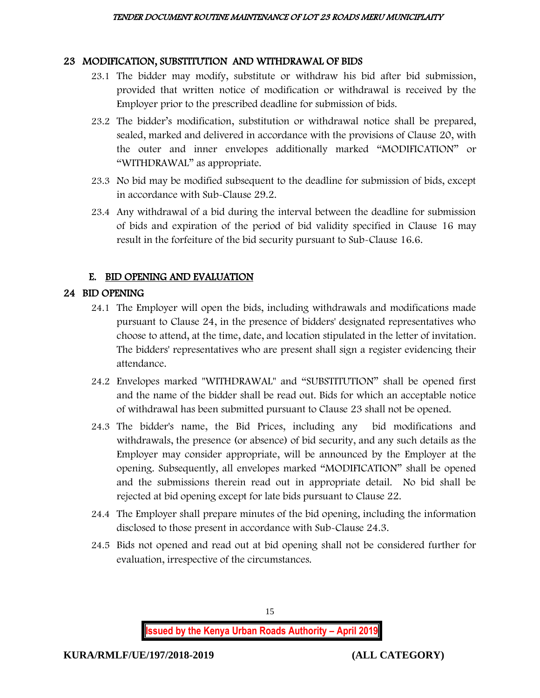#### 23 MODIFICATION, SUBSTITUTION AND WITHDRAWAL OF BIDS

- 23.1 The bidder may modify, substitute or withdraw his bid after bid submission, provided that written notice of modification or withdrawal is received by the Employer prior to the prescribed deadline for submission of bids.
- 23.2 The bidder's modification, substitution or withdrawal notice shall be prepared, sealed, marked and delivered in accordance with the provisions of Clause 20, with the outer and inner envelopes additionally marked "MODIFICATION" or "WITHDRAWAL" as appropriate.
- 23.3 No bid may be modified subsequent to the deadline for submission of bids, except in accordance with Sub-Clause 29.2.
- 23.4 Any withdrawal of a bid during the interval between the deadline for submission of bids and expiration of the period of bid validity specified in Clause 16 may result in the forfeiture of the bid security pursuant to Sub-Clause 16.6.

## E. BID OPENING AND EVALUATION

# 24 BID OPENING

- 24.1 The Employer will open the bids, including withdrawals and modifications made pursuant to Clause 24, in the presence of bidders' designated representatives who choose to attend, at the time, date, and location stipulated in the letter of invitation. The bidders' representatives who are present shall sign a register evidencing their attendance.
- 24.2 Envelopes marked "WITHDRAWAL" and "SUBSTITUTION" shall be opened first and the name of the bidder shall be read out. Bids for which an acceptable notice of withdrawal has been submitted pursuant to Clause 23 shall not be opened.
- 24.3 The bidder's name, the Bid Prices, including any bid modifications and withdrawals, the presence (or absence) of bid security, and any such details as the Employer may consider appropriate, will be announced by the Employer at the opening. Subsequently, all envelopes marked "MODIFICATION" shall be opened and the submissions therein read out in appropriate detail. No bid shall be rejected at bid opening except for late bids pursuant to Clause 22.
- 24.4 The Employer shall prepare minutes of the bid opening, including the information disclosed to those present in accordance with Sub-Clause 24.3.
- 24.5 Bids not opened and read out at bid opening shall not be considered further for evaluation, irrespective of the circumstances.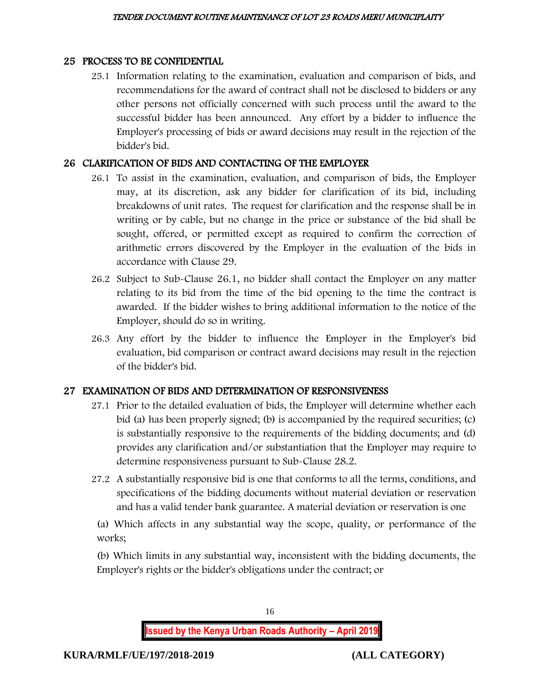#### 25 PROCESS TO BE CONFIDENTIAL

25.1 Information relating to the examination, evaluation and comparison of bids, and recommendations for the award of contract shall not be disclosed to bidders or any other persons not officially concerned with such process until the award to the successful bidder has been announced. Any effort by a bidder to influence the Employer's processing of bids or award decisions may result in the rejection of the bidder's bid.

#### 26 CLARIFICATION OF BIDS AND CONTACTING OF THE EMPLOYER

- 26.1 To assist in the examination, evaluation, and comparison of bids, the Employer may, at its discretion, ask any bidder for clarification of its bid, including breakdowns of unit rates. The request for clarification and the response shall be in writing or by cable, but no change in the price or substance of the bid shall be sought, offered, or permitted except as required to confirm the correction of arithmetic errors discovered by the Employer in the evaluation of the bids in accordance with Clause 29.
- 26.2 Subject to Sub-Clause 26.1, no bidder shall contact the Employer on any matter relating to its bid from the time of the bid opening to the time the contract is awarded. If the bidder wishes to bring additional information to the notice of the Employer, should do so in writing.
- 26.3 Any effort by the bidder to influence the Employer in the Employer's bid evaluation, bid comparison or contract award decisions may result in the rejection of the bidder's bid.

## 27 EXAMINATION OF BIDS AND DETERMINATION OF RESPONSIVENESS

- 27.1 Prior to the detailed evaluation of bids, the Employer will determine whether each bid (a) has been properly signed; (b) is accompanied by the required securities; (c) is substantially responsive to the requirements of the bidding documents; and (d) provides any clarification and/or substantiation that the Employer may require to determine responsiveness pursuant to Sub-Clause 28.2.
- 27.2 A substantially responsive bid is one that conforms to all the terms, conditions, and specifications of the bidding documents without material deviation or reservation and has a valid tender bank guarantee. A material deviation or reservation is one

(a) Which affects in any substantial way the scope, quality, or performance of the works;

(b) Which limits in any substantial way, inconsistent with the bidding documents, the Employer's rights or the bidder's obligations under the contract; or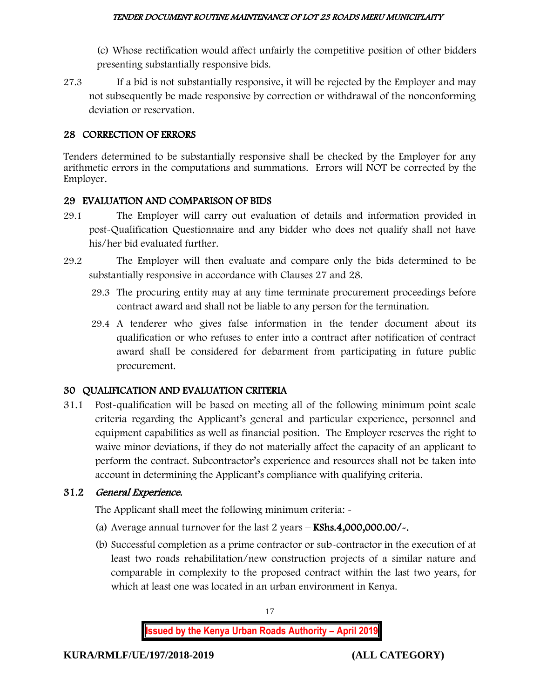(c) Whose rectification would affect unfairly the competitive position of other bidders presenting substantially responsive bids.

27.3 If a bid is not substantially responsive, it will be rejected by the Employer and may not subsequently be made responsive by correction or withdrawal of the nonconforming deviation or reservation.

#### 28 CORRECTION OF ERRORS

Tenders determined to be substantially responsive shall be checked by the Employer for any arithmetic errors in the computations and summations. Errors will NOT be corrected by the Employer.

## 29 EVALUATION AND COMPARISON OF BIDS

- 29.1 The Employer will carry out evaluation of details and information provided in post-Qualification Questionnaire and any bidder who does not qualify shall not have his/her bid evaluated further.
- 29.2 The Employer will then evaluate and compare only the bids determined to be substantially responsive in accordance with Clauses 27 and 28.
	- 29.3 The procuring entity may at any time terminate procurement proceedings before contract award and shall not be liable to any person for the termination.
	- 29.4 A tenderer who gives false information in the tender document about its qualification or who refuses to enter into a contract after notification of contract award shall be considered for debarment from participating in future public procurement.

## 30 QUALIFICATION AND EVALUATION CRITERIA

31.1 Post-qualification will be based on meeting all of the following minimum point scale criteria regarding the Applicant's general and particular experience, personnel and equipment capabilities as well as financial position. The Employer reserves the right to waive minor deviations, if they do not materially affect the capacity of an applicant to perform the contract. Subcontractor's experience and resources shall not be taken into account in determining the Applicant's compliance with qualifying criteria.

## 31.2 General Experience.

The Applicant shall meet the following minimum criteria: -

- (a) Average annual turnover for the last  $2$  years  $-$  KShs.4,000,000.00/ $\sim$ .
- (b) Successful completion as a prime contractor or sub-contractor in the execution of at least two roads rehabilitation/new construction projects of a similar nature and comparable in complexity to the proposed contract within the last two years, for which at least one was located in an urban environment in Kenya.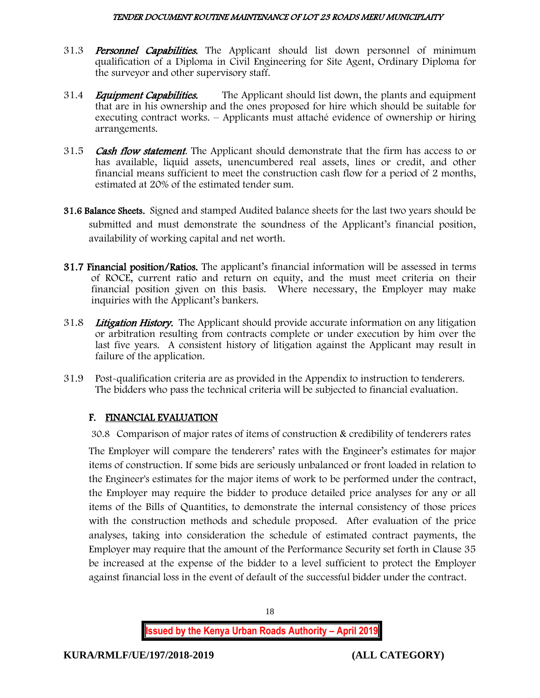- 31.3 **Personnel Capabilities.** The Applicant should list down personnel of minimum qualification of a Diploma in Civil Engineering for Site Agent, Ordinary Diploma for the surveyor and other supervisory staff.
- 31.4 *Equipment Capabilities.* The Applicant should list down, the plants and equipment that are in his ownership and the ones proposed for hire which should be suitable for executing contract works. – Applicants must attaché evidence of ownership or hiring arrangements.
- 31.5 **Cash flow statement**. The Applicant should demonstrate that the firm has access to or has available, liquid assets, unencumbered real assets, lines or credit, and other financial means sufficient to meet the construction cash flow for a period of 2 months, estimated at 20% of the estimated tender sum.
- 31.6 Balance Sheets. Signed and stamped Audited balance sheets for the last two years should be submitted and must demonstrate the soundness of the Applicant's financial position, availability of working capital and net worth.
- 31.7 Financial position/Ratios. The applicant's financial information will be assessed in terms of ROCE, current ratio and return on equity, and the must meet criteria on their financial position given on this basis. Where necessary, the Employer may make inquiries with the Applicant's bankers.
- 31.8 Litigation History. The Applicant should provide accurate information on any litigation or arbitration resulting from contracts complete or under execution by him over the last five years. A consistent history of litigation against the Applicant may result in failure of the application.
- 31.9 Post-qualification criteria are as provided in the Appendix to instruction to tenderers. The bidders who pass the technical criteria will be subjected to financial evaluation.

# F. FINANCIAL EVALUATION

30.8 Comparison of major rates of items of construction & credibility of tenderers rates

The Employer will compare the tenderers' rates with the Engineer's estimates for major items of construction. If some bids are seriously unbalanced or front loaded in relation to the Engineer's estimates for the major items of work to be performed under the contract, the Employer may require the bidder to produce detailed price analyses for any or all items of the Bills of Quantities, to demonstrate the internal consistency of those prices with the construction methods and schedule proposed. After evaluation of the price analyses, taking into consideration the schedule of estimated contract payments, the Employer may require that the amount of the Performance Security set forth in Clause 35 be increased at the expense of the bidder to a level sufficient to protect the Employer against financial loss in the event of default of the successful bidder under the contract.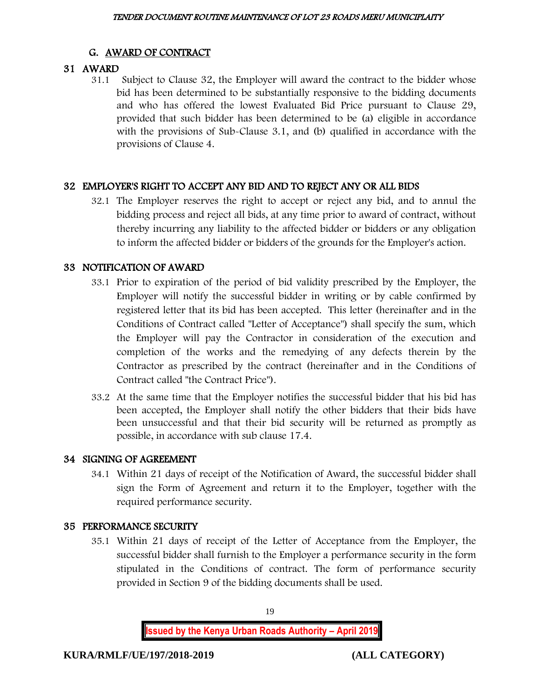# G. AWARD OF CONTRACT

# 31 AWARD

31.1 Subject to Clause 32, the Employer will award the contract to the bidder whose bid has been determined to be substantially responsive to the bidding documents and who has offered the lowest Evaluated Bid Price pursuant to Clause 29, provided that such bidder has been determined to be (a) eligible in accordance with the provisions of Sub-Clause 3.1, and (b) qualified in accordance with the provisions of Clause 4.

# 32 EMPLOYER'S RIGHT TO ACCEPT ANY BID AND TO REJECT ANY OR ALL BIDS

32.1 The Employer reserves the right to accept or reject any bid, and to annul the bidding process and reject all bids, at any time prior to award of contract, without thereby incurring any liability to the affected bidder or bidders or any obligation to inform the affected bidder or bidders of the grounds for the Employer's action.

## 33 NOTIFICATION OF AWARD

- 33.1 Prior to expiration of the period of bid validity prescribed by the Employer, the Employer will notify the successful bidder in writing or by cable confirmed by registered letter that its bid has been accepted. This letter (hereinafter and in the Conditions of Contract called "Letter of Acceptance") shall specify the sum, which the Employer will pay the Contractor in consideration of the execution and completion of the works and the remedying of any defects therein by the Contractor as prescribed by the contract (hereinafter and in the Conditions of Contract called "the Contract Price").
- 33.2 At the same time that the Employer notifies the successful bidder that his bid has been accepted, the Employer shall notify the other bidders that their bids have been unsuccessful and that their bid security will be returned as promptly as possible, in accordance with sub clause 17.4.

## 34 SIGNING OF AGREEMENT

34.1 Within 21 days of receipt of the Notification of Award, the successful bidder shall sign the Form of Agreement and return it to the Employer, together with the required performance security.

## 35 PERFORMANCE SECURITY

35.1 Within 21 days of receipt of the Letter of Acceptance from the Employer, the successful bidder shall furnish to the Employer a performance security in the form stipulated in the Conditions of contract. The form of performance security provided in Section 9 of the bidding documents shall be used.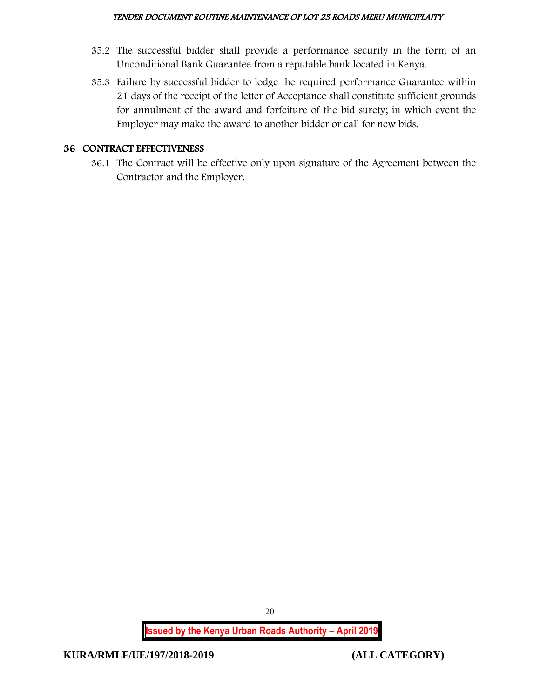- 35.2 The successful bidder shall provide a performance security in the form of an Unconditional Bank Guarantee from a reputable bank located in Kenya.
- 35.3 Failure by successful bidder to lodge the required performance Guarantee within 21 days of the receipt of the letter of Acceptance shall constitute sufficient grounds for annulment of the award and forfeiture of the bid surety; in which event the Employer may make the award to another bidder or call for new bids.

#### 36 CONTRACT EFFECTIVENESS

36.1 The Contract will be effective only upon signature of the Agreement between the Contractor and the Employer.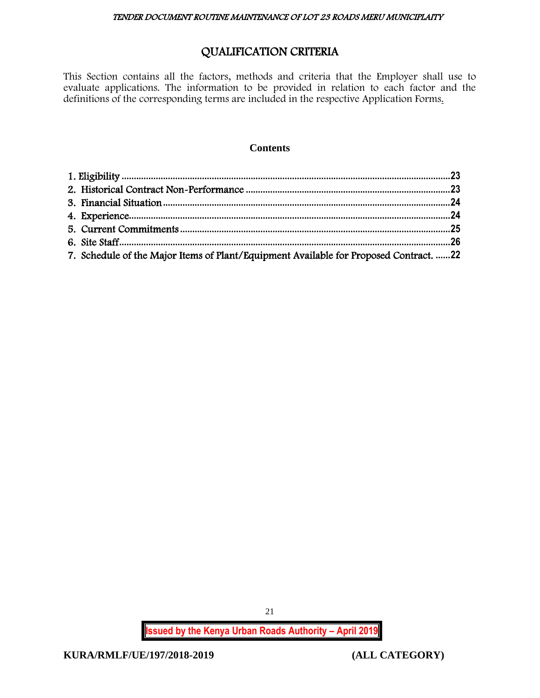# QUALIFICATION CRITERIA

This Section contains all the factors, methods and criteria that the Employer shall use to evaluate applications. The information to be provided in relation to each factor and the definitions of the corresponding terms are included in the respective Application Forms.

#### **Contents**

| 7. Schedule of the Major Items of Plant/Equipment Available for Proposed Contract. 22 |  |
|---------------------------------------------------------------------------------------|--|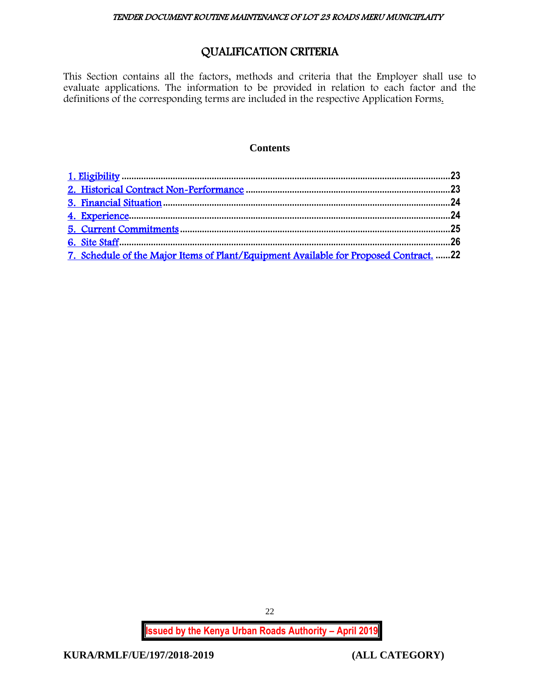# QUALIFICATION CRITERIA

<span id="page-22-0"></span>This Section contains all the factors, methods and criteria that the Employer shall use to evaluate applications. The information to be provided in relation to each factor and the definitions of the corresponding terms are included in the respective Application Forms.

#### **Contents**

| 7. Schedule of the Major Items of Plant/Equipment Available for Proposed Contract. 22 |  |
|---------------------------------------------------------------------------------------|--|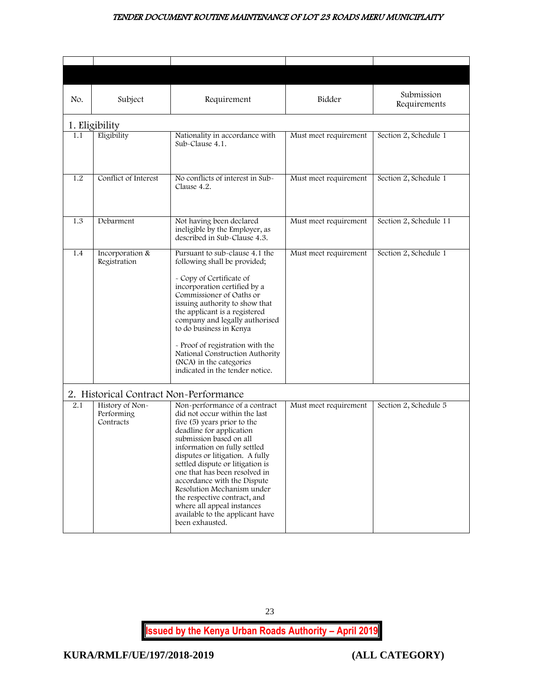<span id="page-23-1"></span><span id="page-23-0"></span>

| No. | Subject                                    | Requirement                                                                                                                                                                                                                                                                                                                                                                                                                                                                   | Bidder                | Submission<br>Requirements |
|-----|--------------------------------------------|-------------------------------------------------------------------------------------------------------------------------------------------------------------------------------------------------------------------------------------------------------------------------------------------------------------------------------------------------------------------------------------------------------------------------------------------------------------------------------|-----------------------|----------------------------|
|     | 1. Eligibility                             |                                                                                                                                                                                                                                                                                                                                                                                                                                                                               |                       |                            |
| 1.1 | Eligibility                                | Nationality in accordance with<br>Sub-Clause 4.1.                                                                                                                                                                                                                                                                                                                                                                                                                             | Must meet requirement | Section 2, Schedule 1      |
| 1.2 | Conflict of Interest                       | No conflicts of interest in Sub-<br>Clause 4.2.                                                                                                                                                                                                                                                                                                                                                                                                                               | Must meet requirement | Section 2, Schedule 1      |
| 1.3 | Debarment                                  | Not having been declared<br>ineligible by the Employer, as<br>described in Sub-Clause 4.3.                                                                                                                                                                                                                                                                                                                                                                                    | Must meet requirement | Section 2, Schedule 11     |
| 1.4 | Incorporation &<br>Registration            | Pursuant to sub-clause 4.1 the<br>following shall be provided;<br>- Copy of Certificate of<br>incorporation certified by a<br>Commissioner of Oaths or<br>issuing authority to show that<br>the applicant is a registered<br>company and legally authorised<br>to do business in Kenya<br>- Proof of registration with the<br>National Construction Authority<br>(NCA) in the categories<br>indicated in the tender notice.                                                   | Must meet requirement | Section 2, Schedule 1      |
|     | 2. Historical Contract Non-Performance     |                                                                                                                                                                                                                                                                                                                                                                                                                                                                               |                       |                            |
| 2.1 | History of Non-<br>Performing<br>Contracts | Non-performance of a contract<br>did not occur within the last<br>five (5) years prior to the<br>deadline for application<br>submission based on all<br>information on fully settled<br>disputes or litigation. A fully<br>settled dispute or litigation is<br>one that has been resolved in<br>accordance with the Dispute<br>Resolution Mechanism under<br>the respective contract, and<br>where all appeal instances<br>available to the applicant have<br>been exhausted. | Must meet requirement | Section 2, Schedule 5      |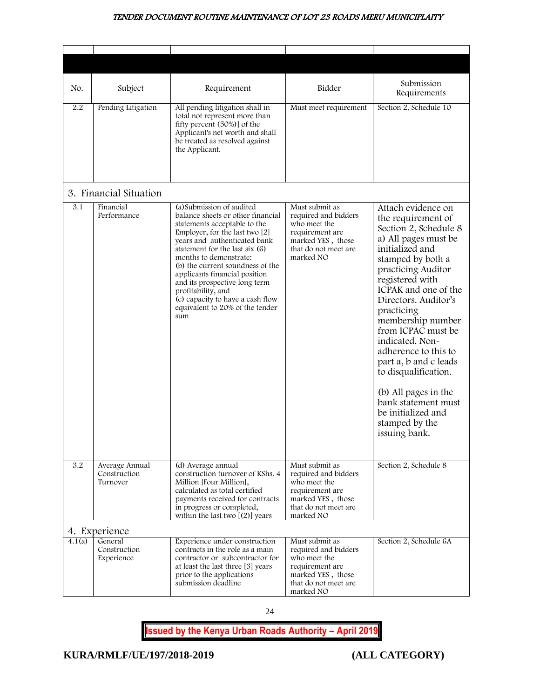<span id="page-24-0"></span>

| No.    | Subject                                    | Requirement                                                                                                                                                                                                                                                                                                                                                                                                                            | Bidder                                                                                                                              | Submission<br>Requirements                                                                                                                                                                                                                                                                                                                                                                                                                                                              |
|--------|--------------------------------------------|----------------------------------------------------------------------------------------------------------------------------------------------------------------------------------------------------------------------------------------------------------------------------------------------------------------------------------------------------------------------------------------------------------------------------------------|-------------------------------------------------------------------------------------------------------------------------------------|-----------------------------------------------------------------------------------------------------------------------------------------------------------------------------------------------------------------------------------------------------------------------------------------------------------------------------------------------------------------------------------------------------------------------------------------------------------------------------------------|
| 2.2    | Pending Litigation                         | All pending litigation shall in<br>total not represent more than<br>fifty percent (50%)] of the<br>Applicant's net worth and shall<br>be treated as resolved against<br>the Applicant.                                                                                                                                                                                                                                                 | Must meet requirement                                                                                                               | Section 2, Schedule 10                                                                                                                                                                                                                                                                                                                                                                                                                                                                  |
|        | 3. Financial Situation                     |                                                                                                                                                                                                                                                                                                                                                                                                                                        |                                                                                                                                     |                                                                                                                                                                                                                                                                                                                                                                                                                                                                                         |
| 3.1    | Financial<br>Performance                   | (a) Submission of audited<br>balance sheets or other financial<br>statements acceptable to the<br>Employer, for the last two [2]<br>years and authenticated bank<br>statement for the last six (6)<br>months to demonstrate:<br>(b) the current soundness of the<br>applicants financial position<br>and its prospective long term<br>profitability, and<br>(c) capacity to have a cash flow<br>equivalent to 20% of the tender<br>sum | Must submit as<br>required and bidders<br>who meet the<br>requirement are<br>marked YES, those<br>that do not meet are<br>marked NO | Attach evidence on<br>the requirement of<br>Section 2, Schedule 8<br>a) All pages must be<br>initialized and<br>stamped by both a<br>practicing Auditor<br>registered with<br>ICPAK and one of the<br>Directors. Auditor's<br>practicing<br>membership number<br>from ICPAC must be<br>indicated. Non-<br>adherence to this to<br>part a, b and c leads<br>to disqualification.<br>(b) All pages in the<br>bank statement must<br>be initialized and<br>stamped by the<br>issuing bank. |
| 3.2    | Average Annual<br>Construction<br>Turnover | (d) Average annual<br>construction turnover of KShs. 4<br>Million [Four Million],<br>calculated as total certified<br>payments received for contracts<br>in progress or completed,<br>within the last two $[(2)]$ years                                                                                                                                                                                                                | Must submit as<br>required and bidders<br>who meet the<br>requirement are<br>marked YES, those<br>that do not meet are<br>marked NO | Section 2, Schedule 8                                                                                                                                                                                                                                                                                                                                                                                                                                                                   |
|        | 4. Experience                              |                                                                                                                                                                                                                                                                                                                                                                                                                                        |                                                                                                                                     |                                                                                                                                                                                                                                                                                                                                                                                                                                                                                         |
| 4.1(a) | General<br>Construction<br>Experience      | Experience under construction<br>contracts in the role as a main<br>contractor or subcontractor for<br>at least the last three [3] years<br>prior to the applications<br>submission deadline                                                                                                                                                                                                                                           | Must submit as<br>required and bidders<br>who meet the<br>requirement are<br>marked YES, those<br>that do not meet are<br>marked NO | Section 2, Schedule 6A                                                                                                                                                                                                                                                                                                                                                                                                                                                                  |

<span id="page-24-1"></span>24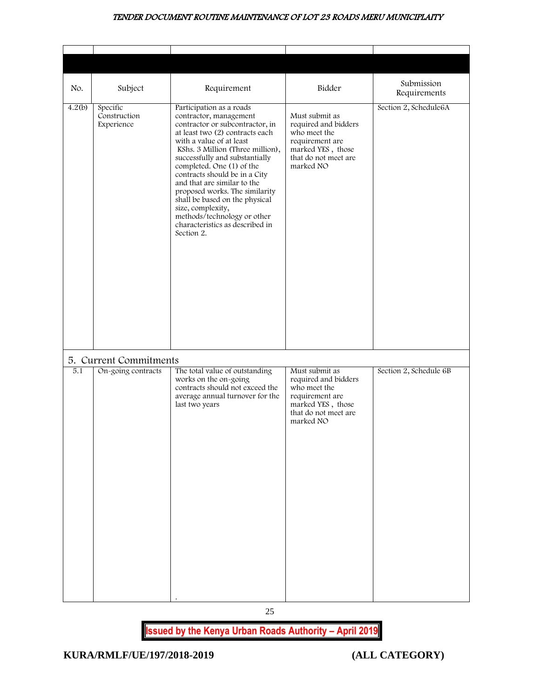<span id="page-25-0"></span>

| No.    | Subject                                      | Requirement                                                                                                                                                                                                                                                                                                                                                                                                                                                                                      | Bidder                                                                                                                              | Submission<br>Requirements |
|--------|----------------------------------------------|--------------------------------------------------------------------------------------------------------------------------------------------------------------------------------------------------------------------------------------------------------------------------------------------------------------------------------------------------------------------------------------------------------------------------------------------------------------------------------------------------|-------------------------------------------------------------------------------------------------------------------------------------|----------------------------|
| 4.2(b) | Specific<br>Construction<br>Experience       | Participation as a roads<br>contractor, management<br>contractor or subcontractor, in<br>at least two (2) contracts each<br>with a value of at least<br>KShs. 3 Million (Three million),<br>successfully and substantially<br>completed. One (1) of the<br>contracts should be in a City<br>and that are similar to the<br>proposed works. The similarity<br>shall be based on the physical<br>size, complexity,<br>methods/technology or other<br>characteristics as described in<br>Section 2. | Must submit as<br>required and bidders<br>who meet the<br>requirement are<br>marked YES, those<br>that do not meet are<br>marked NO | Section 2, Schedule6A      |
|        |                                              |                                                                                                                                                                                                                                                                                                                                                                                                                                                                                                  |                                                                                                                                     |                            |
| 5.1    | 5. Current Commitments<br>On-going contracts | The total value of outstanding<br>works on the on-going<br>contracts should not exceed the<br>average annual turnover for the<br>last two years                                                                                                                                                                                                                                                                                                                                                  | Must submit as<br>required and bidders<br>who meet the<br>requirement are<br>marked YES, those<br>that do not meet are<br>marked NO | Section 2, Schedule 6B     |

25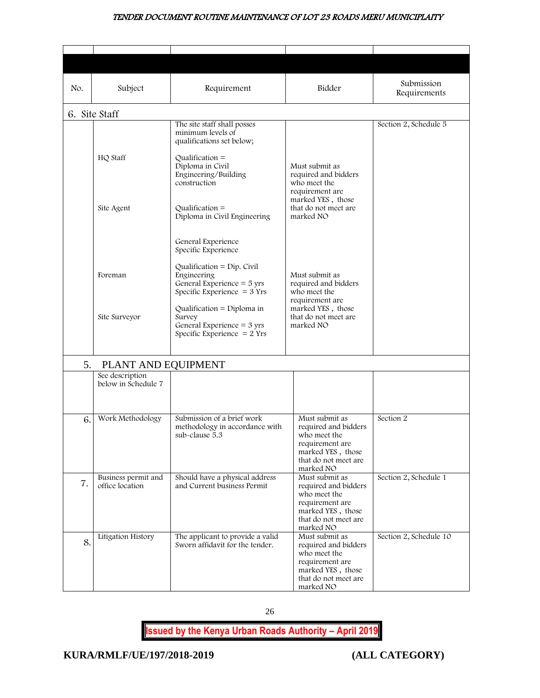<span id="page-26-0"></span>

| No. | Subject                                | Requirement                                                                                                   | Bidder                                                                                                                              | Submission<br>Requirements |
|-----|----------------------------------------|---------------------------------------------------------------------------------------------------------------|-------------------------------------------------------------------------------------------------------------------------------------|----------------------------|
|     | 6. Site Staff                          |                                                                                                               |                                                                                                                                     |                            |
|     |                                        | The site staff shall posses<br>minimum levels of<br>qualifications set below;                                 |                                                                                                                                     | Section 2, Schedule 5      |
|     | HQ Staff                               | Qualification $=$<br>Diploma in Civil<br>Engineering/Building<br>construction                                 | Must submit as<br>required and bidders<br>who meet the<br>requirement are                                                           |                            |
|     | Site Agent                             | Qualification $=$<br>Diploma in Civil Engineering                                                             | marked YES, those<br>that do not meet are<br>marked NO                                                                              |                            |
|     |                                        | General Experience<br>Specific Experience                                                                     |                                                                                                                                     |                            |
|     | Foreman                                | Qualification = $Dip$ . Civil<br>Engineering<br>General Experience = 5 yrs<br>Specific Experience $=$ 3 Yrs   | Must submit as<br>required and bidders<br>who meet the<br>requirement are                                                           |                            |
|     | Site Surveyor                          | Qualification = Diploma in<br>Survey<br>General Experience = $3 \text{ yrs}$<br>Specific Experience $= 2$ Yrs | marked YES, those<br>that do not meet are<br>marked NO                                                                              |                            |
| 5.  | PLANT AND EQUIPMENT                    |                                                                                                               |                                                                                                                                     |                            |
|     | See description<br>below in Schedule 7 |                                                                                                               |                                                                                                                                     |                            |
| 6.  | Work Methodology                       | Submission of a brief work<br>methodology in accordance with<br>sub-clause 5.3                                | Must submit as<br>required and bidders<br>who meet the<br>requirement are<br>marked YES, those<br>that do not meet are<br>marked NO | Section 2                  |
| 7.  | Business permit and<br>office location | Should have a physical address<br>and Current business Permit                                                 | Must submit as<br>required and bidders<br>who meet the<br>requirement are<br>marked YES, those<br>that do not meet are<br>marked NO |                            |
| 8.  | Litigation History                     | The applicant to provide a valid<br>Sworn affidavit for the tender.                                           | Must submit as<br>required and bidders<br>who meet the<br>requirement are<br>marked YES, those<br>that do not meet are<br>marked NO | Section 2, Schedule 10     |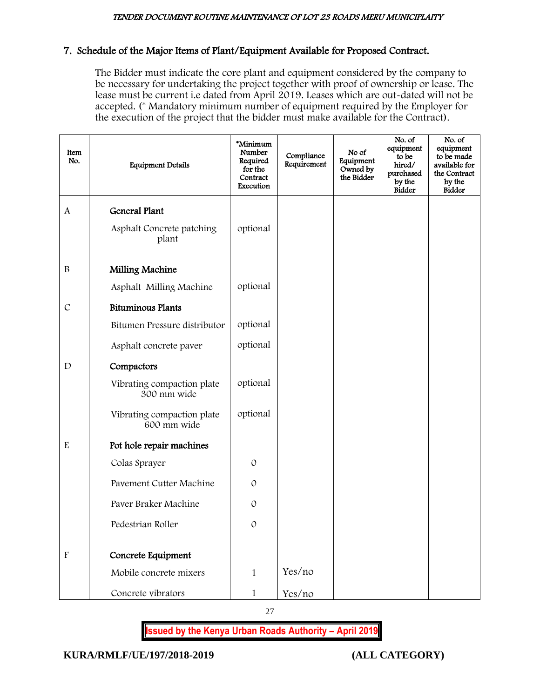## 7. Schedule of the Major Items of Plant/Equipment Available for Proposed Contract.

The Bidder must indicate the core plant and equipment considered by the company to be necessary for undertaking the project together with proof of ownership or lease. The lease must be current i.e dated from April 2019. Leases which are out-dated will not be accepted. (\* Mandatory minimum number of equipment required by the Employer for the execution of the project that the bidder must make available for the Contract).

| Item<br>No.               | <b>Equipment Details</b>                  | *Minimum<br>Number<br>Required<br>for the<br>Contract<br>Execution | Compliance<br>Requirement | No of<br>Equipment<br>Owned by<br>the Bidder | No. of<br>equipment<br>to be<br>hired/<br>purchased<br>by the<br><b>Bidder</b> | No. of<br>equipment<br>to be made<br>available for<br>the Contract<br>by the<br><b>Bidder</b> |
|---------------------------|-------------------------------------------|--------------------------------------------------------------------|---------------------------|----------------------------------------------|--------------------------------------------------------------------------------|-----------------------------------------------------------------------------------------------|
| A                         | General Plant                             |                                                                    |                           |                                              |                                                                                |                                                                                               |
|                           | Asphalt Concrete patching<br>plant        | optional                                                           |                           |                                              |                                                                                |                                                                                               |
| $\, {\bf B}$              | Milling Machine                           |                                                                    |                           |                                              |                                                                                |                                                                                               |
|                           | Asphalt Milling Machine                   | optional                                                           |                           |                                              |                                                                                |                                                                                               |
| $\mathcal{C}$             | <b>Bituminous Plants</b>                  |                                                                    |                           |                                              |                                                                                |                                                                                               |
|                           | Bitumen Pressure distributor              | optional                                                           |                           |                                              |                                                                                |                                                                                               |
|                           | Asphalt concrete paver                    | optional                                                           |                           |                                              |                                                                                |                                                                                               |
| D                         | Compactors                                |                                                                    |                           |                                              |                                                                                |                                                                                               |
|                           | Vibrating compaction plate<br>300 mm wide | optional                                                           |                           |                                              |                                                                                |                                                                                               |
|                           | Vibrating compaction plate<br>600 mm wide | optional                                                           |                           |                                              |                                                                                |                                                                                               |
| ${\bf E}$                 | Pot hole repair machines                  |                                                                    |                           |                                              |                                                                                |                                                                                               |
|                           | Colas Sprayer                             | $\mathcal{O}$                                                      |                           |                                              |                                                                                |                                                                                               |
|                           | Pavement Cutter Machine                   | 0                                                                  |                           |                                              |                                                                                |                                                                                               |
|                           | Paver Braker Machine                      | $\mathcal{O}$                                                      |                           |                                              |                                                                                |                                                                                               |
|                           | Pedestrian Roller                         | $\mathcal{O}$                                                      |                           |                                              |                                                                                |                                                                                               |
|                           |                                           |                                                                    |                           |                                              |                                                                                |                                                                                               |
| $\boldsymbol{\mathrm{F}}$ | Concrete Equipment                        |                                                                    |                           |                                              |                                                                                |                                                                                               |
|                           | Mobile concrete mixers                    | $\mathbf{1}$                                                       | Yes/no                    |                                              |                                                                                |                                                                                               |
|                           | Concrete vibrators                        | $\mathbf{1}$                                                       | Yes/no                    |                                              |                                                                                |                                                                                               |

27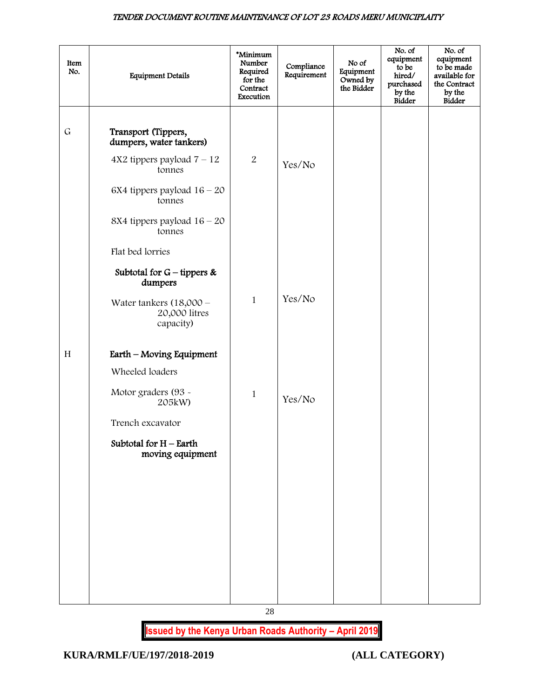| Item<br>No. | <b>Equipment Details</b>                                                                                                                                                         | *Minimum<br>Number<br>Required<br>for the<br>Contract<br>Execution | Compliance<br>Requirement | No of<br>Equipment<br>Owned by<br>the Bidder | No. of<br>equipment<br>to be<br>hired/<br>purchased<br>by the<br><b>Bidder</b> | No. of<br>equipment<br>to be made<br>available for<br>the Contract<br>by the<br><b>Bidder</b> |
|-------------|----------------------------------------------------------------------------------------------------------------------------------------------------------------------------------|--------------------------------------------------------------------|---------------------------|----------------------------------------------|--------------------------------------------------------------------------------|-----------------------------------------------------------------------------------------------|
| $\mathsf G$ | Transport (Tippers,<br>dumpers, water tankers)<br>$4X2$ tippers payload $7 - 12$<br>tonnes<br>6X4 tippers payload $16 - 20$<br>tonnes<br>8X4 tippers payload $16 - 20$<br>tonnes | $\overline{2}$                                                     | Yes/No                    |                                              |                                                                                |                                                                                               |
|             | Flat bed lorries<br>Subtotal for $G$ – tippers &<br>dumpers<br>Water tankers $(18,000 -$<br>20,000 litres<br>capacity)                                                           | $\mathbf{1}$                                                       | Yes/No                    |                                              |                                                                                |                                                                                               |
| H           | Earth - Moving Equipment<br>Wheeled loaders<br>Motor graders (93 -<br>205kW)<br>Trench excavator<br>Subtotal for $H$ – Earth<br>moving equipment                                 | $\mathbf{1}$                                                       | Yes/No                    |                                              |                                                                                |                                                                                               |
|             |                                                                                                                                                                                  |                                                                    |                           |                                              |                                                                                |                                                                                               |

28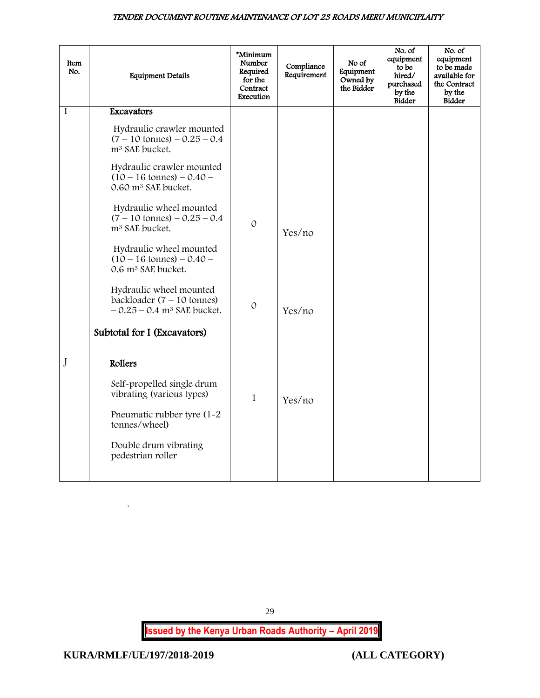| Item<br>No. | <b>Equipment Details</b>                                                                                                                                        | *Minimum<br>Number<br>Required<br>for the<br>Contract<br>Execution | Compliance<br>Requirement | No of<br>Equipment<br>Owned by<br>the Bidder | No. of<br>equipment<br>to be<br>hired/<br>purchased<br>by the<br><b>Bidder</b> | No. of<br>equipment<br>to be made<br>available for<br>the Contract<br>by the<br>Bidder |
|-------------|-----------------------------------------------------------------------------------------------------------------------------------------------------------------|--------------------------------------------------------------------|---------------------------|----------------------------------------------|--------------------------------------------------------------------------------|----------------------------------------------------------------------------------------|
| I           | Excavators                                                                                                                                                      |                                                                    |                           |                                              |                                                                                |                                                                                        |
|             | Hydraulic crawler mounted<br>$(7 - 10 \text{ tonnes}) - 0.25 - 0.4$<br>m <sup>3</sup> SAE bucket.                                                               |                                                                    |                           |                                              |                                                                                |                                                                                        |
|             | Hydraulic crawler mounted<br>$(10 - 16 \text{ tonnes}) - 0.40 -$<br>0.60 m <sup>3</sup> SAE bucket.                                                             |                                                                    |                           |                                              |                                                                                |                                                                                        |
|             | Hydraulic wheel mounted<br>$(7 - 10 \text{ tonnes}) - 0.25 - 0.4$<br>m <sup>3</sup> SAE bucket.                                                                 | $\mathcal{O}$                                                      | Yes/no                    |                                              |                                                                                |                                                                                        |
|             | Hydraulic wheel mounted<br>$(10 - 16 \text{ tonnes}) - 0.40 -$<br>0.6 m <sup>3</sup> SAE bucket.                                                                |                                                                    |                           |                                              |                                                                                |                                                                                        |
|             | Hydraulic wheel mounted<br>backloader $(7 - 10 \text{ tonnes})$<br>$-0.25 - 0.4$ m <sup>3</sup> SAE bucket.                                                     | $\mathcal{O}$                                                      | Yes/no                    |                                              |                                                                                |                                                                                        |
|             | Subtotal for I (Excavators)                                                                                                                                     |                                                                    |                           |                                              |                                                                                |                                                                                        |
| J           | Rollers<br>Self-propelled single drum<br>vibrating (various types)<br>Pneumatic rubber tyre (1-2<br>tonnes/wheel)<br>Double drum vibrating<br>pedestrian roller | $\mathbf{1}$                                                       | Yes/no                    |                                              |                                                                                |                                                                                        |

<span id="page-29-0"></span>29

**Issued by the Kenya Urban Roads Authority – April 2019**

`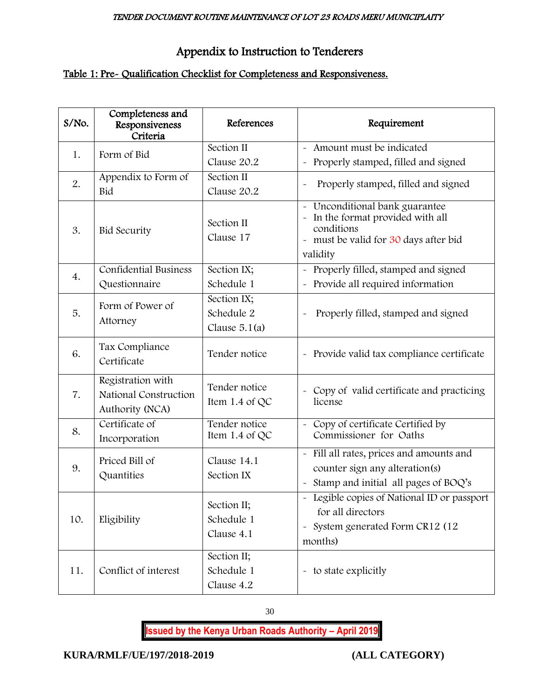# Appendix to Instruction to Tenderers

# Table 1: Pre- Qualification Checklist for Completeness and Responsiveness.

| S/No. | Completeness and<br>Responsiveness<br>Criteria                | References                                   | Requirement                                                                                                                            |
|-------|---------------------------------------------------------------|----------------------------------------------|----------------------------------------------------------------------------------------------------------------------------------------|
| 1.    | Form of Bid                                                   | Section II<br>Clause 20.2                    | - Amount must be indicated<br>Properly stamped, filled and signed                                                                      |
| 2.    | Appendix to Form of<br>Bid                                    | Section II<br>Clause 20.2                    | Properly stamped, filled and signed<br>$\tilde{}$                                                                                      |
| 3.    | <b>Bid Security</b>                                           | Section II<br>Clause 17                      | Unconditional bank guarantee<br>In the format provided with all<br>conditions<br>- must be valid for 30 days after bid<br>validity     |
| 4.    | <b>Confidential Business</b><br>Questionnaire                 | Section IX;<br>Schedule 1                    | - Properly filled, stamped and signed<br>- Provide all required information                                                            |
| 5.    | Form of Power of<br>Attorney                                  | Section IX;<br>Schedule 2<br>Clause $5.1(a)$ | Properly filled, stamped and signed                                                                                                    |
| 6.    | Tax Compliance<br>Certificate                                 | Tender notice                                | - Provide valid tax compliance certificate                                                                                             |
| 7.    | Registration with<br>National Construction<br>Authority (NCA) | Tender notice<br>Item 1.4 of QC              | - Copy of valid certificate and practicing<br>license                                                                                  |
| 8.    | Certificate of<br>Incorporation                               | Tender notice<br>Item 1.4 of QC              | - Copy of certificate Certified by<br>Commissioner for Oaths                                                                           |
| 9.    | Priced Bill of<br>Quantities                                  | Clause 14.1<br>Section IX                    | - Fill all rates, prices and amounts and<br>counter sign any alteration(s)<br>- Stamp and initial all pages of BOQ's                   |
| 10.   | Eligibility                                                   | Section II;<br>Schedule 1<br>Clause 4.1      | - Legible copies of National ID or passport<br>for all directors<br>System generated Form CR12 (12<br>$\tilde{\phantom{a}}$<br>months) |
| 11.   | Conflict of interest                                          | Section II;<br>Schedule 1<br>Clause 4.2      | - to state explicitly                                                                                                                  |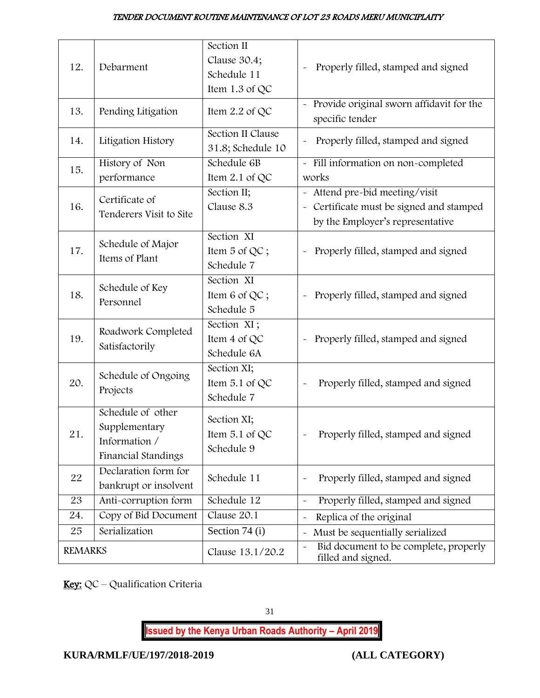| 12.            | Debarment                                                                  | Section II<br>Clause 30.4;<br>Schedule 11   | Properly filled, stamped and signed                                                                          |
|----------------|----------------------------------------------------------------------------|---------------------------------------------|--------------------------------------------------------------------------------------------------------------|
|                |                                                                            | Item 1.3 of QC                              |                                                                                                              |
| 13.            | Pending Litigation                                                         | Item 2.2 of QC                              | - Provide original sworn affidavit for the<br>specific tender                                                |
| 14.            | Litigation History                                                         | Section II Clause<br>31.8; Schedule 10      | Properly filled, stamped and signed                                                                          |
| 15.            | History of Non<br>performance                                              | Schedule 6B<br>Item 2.1 of QC               | - Fill information on non-completed<br>works                                                                 |
| 16.            | Certificate of<br>Tenderers Visit to Site                                  | Section II;<br>Clause 8.3                   | - Attend pre-bid meeting/visit<br>Certificate must be signed and stamped<br>by the Employer's representative |
| 17.            | Schedule of Major<br>Items of Plant                                        | Section XI<br>Item 5 of QC;<br>Schedule 7   | Properly filled, stamped and signed                                                                          |
| 18.            | Schedule of Key<br>Personnel                                               | Section XI<br>Item 6 of QC;<br>Schedule 5   | Properly filled, stamped and signed                                                                          |
| 19.            | Roadwork Completed<br>Satisfactorily                                       | Section XI;<br>Item 4 of QC<br>Schedule 6A  | Properly filled, stamped and signed                                                                          |
| 20.            | Schedule of Ongoing<br>Projects                                            | Section XI;<br>Item 5.1 of QC<br>Schedule 7 | Properly filled, stamped and signed                                                                          |
| 21.            | Schedule of other<br>Supplementary<br>Information /<br>Financial Standings | Section XI;<br>Item 5.1 of QC<br>Schedule 9 | Properly filled, stamped and signed                                                                          |
| 22             | Declaration form for<br>bankrupt or insolvent                              | Schedule 11                                 | Properly filled, stamped and signed<br>$\tilde{}$                                                            |
| 23             | Anti-corruption form                                                       | Schedule 12                                 | Properly filled, stamped and signed<br>$\tilde{}$                                                            |
| 24.            | Copy of Bid Document                                                       | Clause 20.1                                 | Replica of the original<br>$\tilde{}$                                                                        |
| 25             | Serialization                                                              | Section 74 (i)                              | Must be sequentially serialized<br>$\tilde{}$                                                                |
| <b>REMARKS</b> |                                                                            | Clause 13.1/20.2                            | Bid document to be complete, properly<br>$\tilde{}$<br>filled and signed.                                    |

Key: QC - Qualification Criteria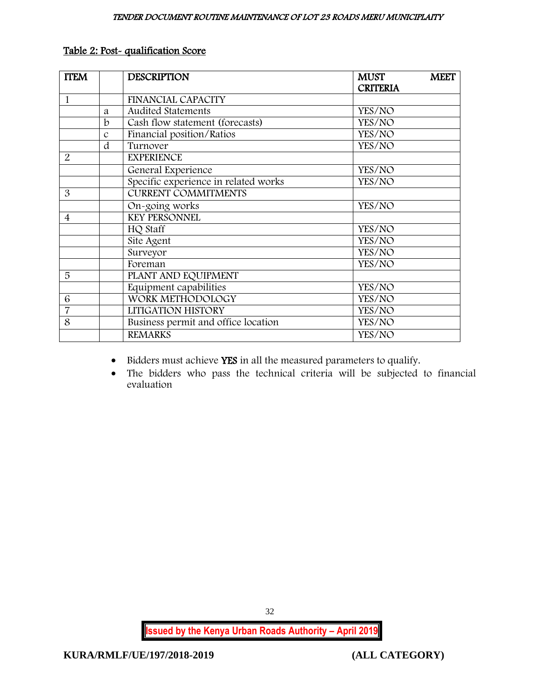| <b>ITEM</b>              |               | <b>DESCRIPTION</b>                   | <b>MUST</b>     | <b>MEET</b> |
|--------------------------|---------------|--------------------------------------|-----------------|-------------|
|                          |               |                                      | <b>CRITERIA</b> |             |
| 1                        |               | FINANCIAL CAPACITY                   |                 |             |
|                          | a             | <b>Audited Statements</b>            | YES/NO          |             |
|                          | $\mathbf b$   | Cash flow statement (forecasts)      | YES/NO          |             |
|                          | $\mathcal{C}$ | Financial position/Ratios            | YES/NO          |             |
|                          | d             | Turnover                             | YES/NO          |             |
| $\overline{2}$           |               | <b>EXPERIENCE</b>                    |                 |             |
|                          |               | General Experience                   | YES/NO          |             |
|                          |               | Specific experience in related works | YES/NO          |             |
| 3                        |               | <b>CURRENT COMMITMENTS</b>           |                 |             |
|                          |               | On-going works                       | YES/NO          |             |
| $\overline{\mathcal{A}}$ |               | <b>KEY PERSONNEL</b>                 |                 |             |
|                          |               | HQ Staff                             | YES/NO          |             |
|                          |               | Site Agent                           | YES/NO          |             |
|                          |               | Surveyor                             | YES/NO          |             |
|                          |               | Foreman                              | YES/NO          |             |
| 5                        |               | PLANT AND EQUIPMENT                  |                 |             |
|                          |               | Equipment capabilities               | YES/NO          |             |
| 6                        |               | WORK METHODOLOGY                     | YES/NO          |             |
| $\overline{7}$           |               | LITIGATION HISTORY                   | YES/NO          |             |
| 8                        |               | Business permit and office location  | YES/NO          |             |
|                          |               | <b>REMARKS</b>                       | YES/NO          |             |

## Table 2: Post- qualification Score

 $\bullet$  Bidders must achieve YES in all the measured parameters to qualify.

 The bidders who pass the technical criteria will be subjected to financial evaluation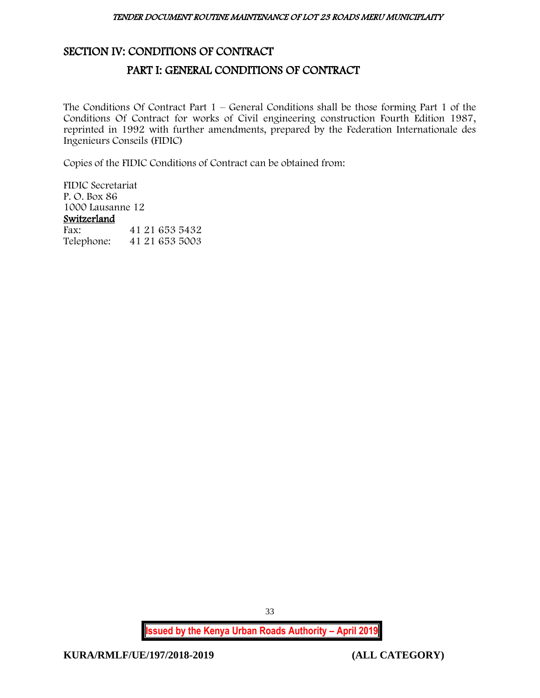## <span id="page-33-1"></span><span id="page-33-0"></span>SECTION IV: CONDITIONS OF CONTRACT

# PART I: GENERAL CONDITIONS OF CONTRACT

The Conditions Of Contract Part  $1$  – General Conditions shall be those forming Part 1 of the Conditions Of Contract for works of Civil engineering construction Fourth Edition 1987, reprinted in 1992 with further amendments, prepared by the Federation Internationale des Ingenieurs Conseils (FIDIC)

Copies of the FIDIC Conditions of Contract can be obtained from:

FIDIC Secretariat P. O. Box 86 1000 Lausanne 12 Switzerland<br>Fax: Fax: 41 21 653 5432 Telephone: 41 21 653 5003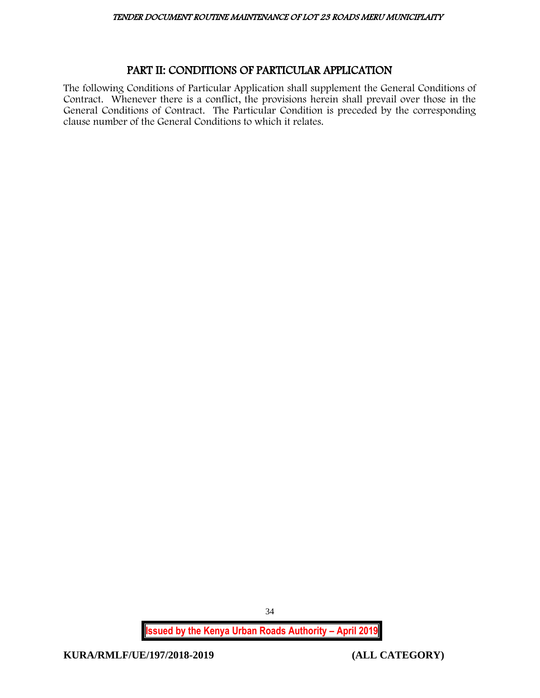# PART II: CONDITIONS OF PARTICULAR APPLICATION

<span id="page-34-0"></span>The following Conditions of Particular Application shall supplement the General Conditions of Contract. Whenever there is a conflict, the provisions herein shall prevail over those in the General Conditions of Contract. The Particular Condition is preceded by the corresponding clause number of the General Conditions to which it relates.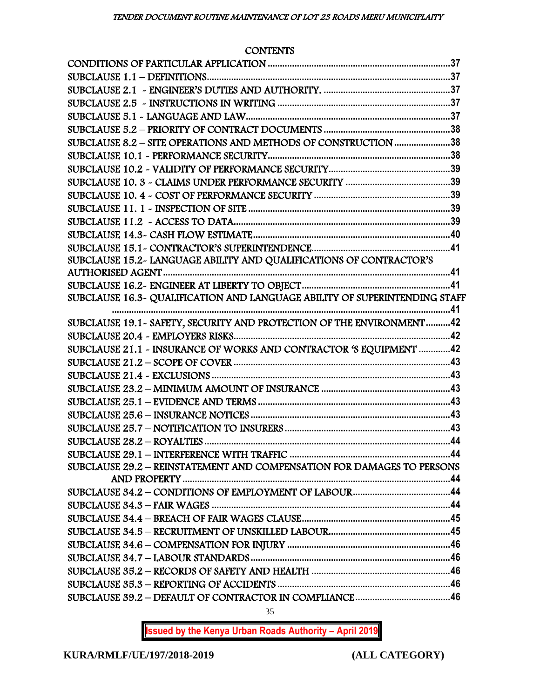# **CONTENTS**

| SUBCLAUSE 8.2 - SITE OPERATIONS AND METHODS OF CONSTRUCTION 38         |  |
|------------------------------------------------------------------------|--|
|                                                                        |  |
|                                                                        |  |
|                                                                        |  |
|                                                                        |  |
|                                                                        |  |
|                                                                        |  |
|                                                                        |  |
|                                                                        |  |
| SUBCLAUSE 15.2- LANGUAGE ABILITY AND QUALIFICATIONS OF CONTRACTOR'S    |  |
|                                                                        |  |
|                                                                        |  |
|                                                                        |  |
| SUBCLAUSE 19.1 - SAFETY, SECURITY AND PROTECTION OF THE ENVIRONMENT42  |  |
|                                                                        |  |
| SUBCLAUSE 21.1 - INSURANCE OF WORKS AND CONTRACTOR 'S EQUIPMENT 42     |  |
|                                                                        |  |
|                                                                        |  |
|                                                                        |  |
|                                                                        |  |
|                                                                        |  |
|                                                                        |  |
|                                                                        |  |
|                                                                        |  |
| SUBCLAUSE 29.2 - REINSTATEMENT AND COMPENSATION FOR DAMAGES TO PERSONS |  |
|                                                                        |  |
|                                                                        |  |
|                                                                        |  |
|                                                                        |  |
|                                                                        |  |
|                                                                        |  |
|                                                                        |  |
|                                                                        |  |
|                                                                        |  |
|                                                                        |  |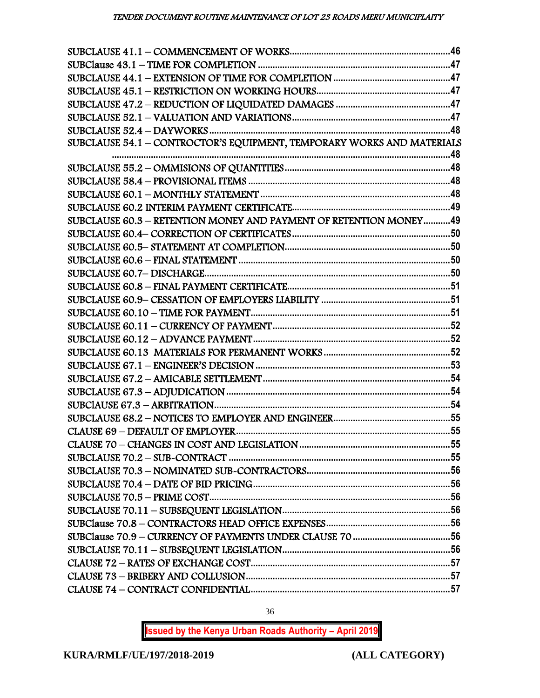| SUBCLAUSE 54.1 - CONTROCTOR'S EQUIPMENT, TEMPORARY WORKS AND MATERIALS |  |
|------------------------------------------------------------------------|--|
|                                                                        |  |
|                                                                        |  |
|                                                                        |  |
|                                                                        |  |
|                                                                        |  |
| SUBCLAUSE 60.3 - RETENTION MONEY AND PAYMENT OF RETENTION MONEY49      |  |
|                                                                        |  |
|                                                                        |  |
|                                                                        |  |
|                                                                        |  |
|                                                                        |  |
|                                                                        |  |
|                                                                        |  |
|                                                                        |  |
|                                                                        |  |
|                                                                        |  |
|                                                                        |  |
|                                                                        |  |
|                                                                        |  |
|                                                                        |  |
|                                                                        |  |
|                                                                        |  |
|                                                                        |  |
|                                                                        |  |
|                                                                        |  |
|                                                                        |  |
|                                                                        |  |
|                                                                        |  |
|                                                                        |  |
|                                                                        |  |
|                                                                        |  |
|                                                                        |  |
|                                                                        |  |
|                                                                        |  |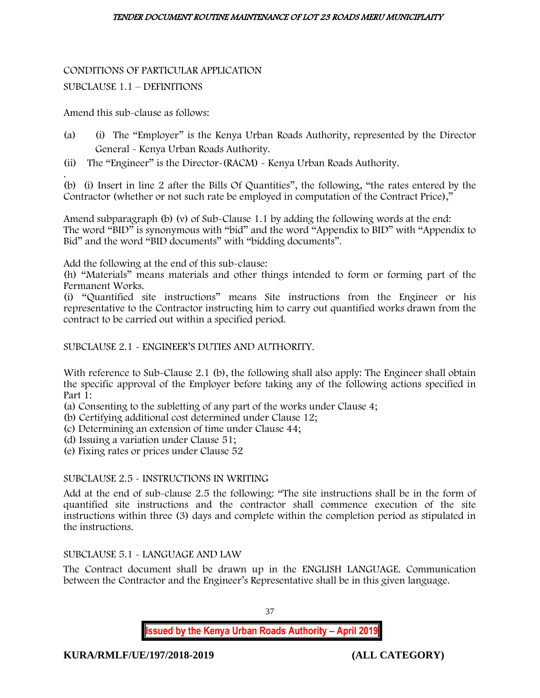# CONDITIONS OF PARTICULAR APPLICATION

# SUBCLAUSE 1.1 – DEFINITIONS

Amend this sub-clause as follows:

- (a) (i) The "Employer" is the Kenya Urban Roads Authority, represented by the Director General - Kenya Urban Roads Authority.
- (ii) The "Engineer" is the Director-(RACM) Kenya Urban Roads Authority.

. (b) (i) Insert in line 2 after the Bills Of Quantities", the following, "the rates entered by the Contractor (whether or not such rate be employed in computation of the Contract Price),"

Amend subparagraph (b) (v) of Sub-Clause 1.1 by adding the following words at the end: The word "BID" is synonymous with "bid" and the word "Appendix to BID" with "Appendix to Bid" and the word "BID documents" with "bidding documents".

Add the following at the end of this sub-clause:

(h) "Materials" means materials and other things intended to form or forming part of the Permanent Works.

(i) "Quantified site instructions" means Site instructions from the Engineer or his representative to the Contractor instructing him to carry out quantified works drawn from the contract to be carried out within a specified period.

SUBCLAUSE 2.1 - ENGINEER'S DUTIES AND AUTHORITY.

With reference to Sub-Clause 2.1 (b), the following shall also apply: The Engineer shall obtain the specific approval of the Employer before taking any of the following actions specified in Part 1:

- (a) Consenting to the subletting of any part of the works under Clause 4;
- (b) Certifying additional cost determined under Clause 12;
- (c) Determining an extension of time under Clause 44;
- (d) Issuing a variation under Clause 51;
- (e) Fixing rates or prices under Clause 52

# SUBCLAUSE 2.5 - INSTRUCTIONS IN WRITING

Add at the end of sub-clause 2.5 the following: "The site instructions shall be in the form of quantified site instructions and the contractor shall commence execution of the site instructions within three (3) days and complete within the completion period as stipulated in the instructions.

# SUBCLAUSE 5.1 - LANGUAGE AND LAW

The Contract document shall be drawn up in the ENGLISH LANGUAGE. Communication between the Contractor and the Engineer's Representative shall be in this given language.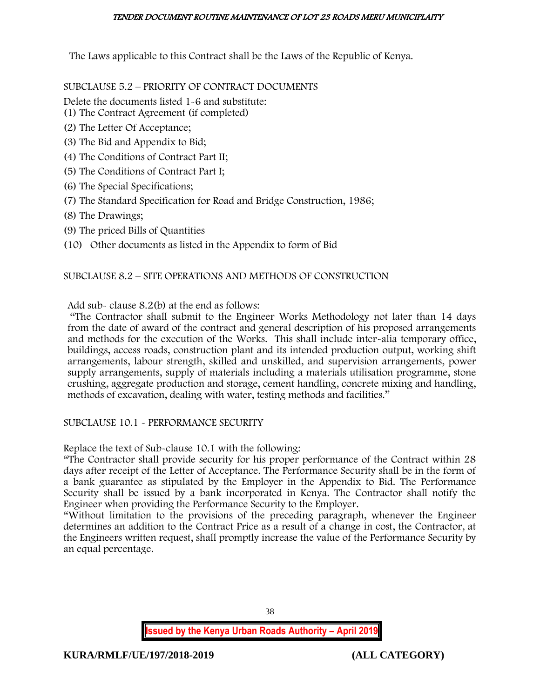The Laws applicable to this Contract shall be the Laws of the Republic of Kenya.

SUBCLAUSE 5.2 – PRIORITY OF CONTRACT DOCUMENTS

Delete the documents listed 1-6 and substitute:

- (1) The Contract Agreement (if completed)
- (2) The Letter Of Acceptance;
- (3) The Bid and Appendix to Bid;
- (4) The Conditions of Contract Part II;
- (5) The Conditions of Contract Part I;
- (6) The Special Specifications;
- (7) The Standard Specification for Road and Bridge Construction, 1986;
- (8) The Drawings;
- (9) The priced Bills of Quantities
- (10) Other documents as listed in the Appendix to form of Bid

# SUBCLAUSE 8.2 – SITE OPERATIONS AND METHODS OF CONSTRUCTION

Add sub- clause 8.2(b) at the end as follows:

"The Contractor shall submit to the Engineer Works Methodology not later than 14 days from the date of award of the contract and general description of his proposed arrangements and methods for the execution of the Works. This shall include inter-alia temporary office, buildings, access roads, construction plant and its intended production output, working shift arrangements, labour strength, skilled and unskilled, and supervision arrangements, power supply arrangements, supply of materials including a materials utilisation programme, stone crushing, aggregate production and storage, cement handling, concrete mixing and handling, methods of excavation, dealing with water, testing methods and facilities."

# SUBCLAUSE 10.1 - PERFORMANCE SECURITY

Replace the text of Sub-clause 10.1 with the following:

"The Contractor shall provide security for his proper performance of the Contract within 28 days after receipt of the Letter of Acceptance. The Performance Security shall be in the form of a bank guarantee as stipulated by the Employer in the Appendix to Bid. The Performance Security shall be issued by a bank incorporated in Kenya. The Contractor shall notify the Engineer when providing the Performance Security to the Employer.

"Without limitation to the provisions of the preceding paragraph, whenever the Engineer determines an addition to the Contract Price as a result of a change in cost, the Contractor, at the Engineers written request, shall promptly increase the value of the Performance Security by an equal percentage.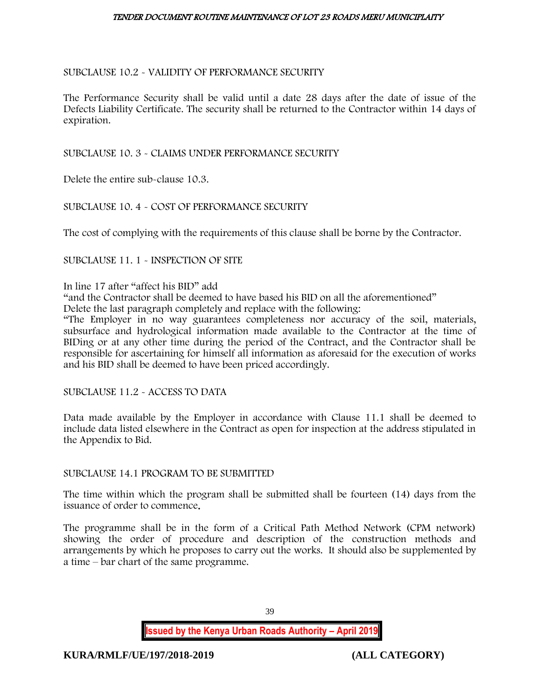## SUBCLAUSE 10.2 - VALIDITY OF PERFORMANCE SECURITY

The Performance Security shall be valid until a date 28 days after the date of issue of the Defects Liability Certificate. The security shall be returned to the Contractor within 14 days of expiration.

SUBCLAUSE 10. 3 - CLAIMS UNDER PERFORMANCE SECURITY

Delete the entire sub-clause 10.3.

## SUBCLAUSE 10. 4 - COST OF PERFORMANCE SECURITY

The cost of complying with the requirements of this clause shall be borne by the Contractor.

SUBCLAUSE 11. 1 - INSPECTION OF SITE

In line 17 after "affect his BID" add

"and the Contractor shall be deemed to have based his BID on all the aforementioned" Delete the last paragraph completely and replace with the following:

"The Employer in no way guarantees completeness nor accuracy of the soil, materials, subsurface and hydrological information made available to the Contractor at the time of BIDing or at any other time during the period of the Contract, and the Contractor shall be responsible for ascertaining for himself all information as aforesaid for the execution of works and his BID shall be deemed to have been priced accordingly.

SUBCLAUSE 11.2 - ACCESS TO DATA

Data made available by the Employer in accordance with Clause 11.1 shall be deemed to include data listed elsewhere in the Contract as open for inspection at the address stipulated in the Appendix to Bid.

## SUBCLAUSE 14.1 PROGRAM TO BE SUBMITTED

The time within which the program shall be submitted shall be fourteen (14) days from the issuance of order to commence.

The programme shall be in the form of a Critical Path Method Network (CPM network) showing the order of procedure and description of the construction methods and arrangements by which he proposes to carry out the works. It should also be supplemented by a time – bar chart of the same programme.

39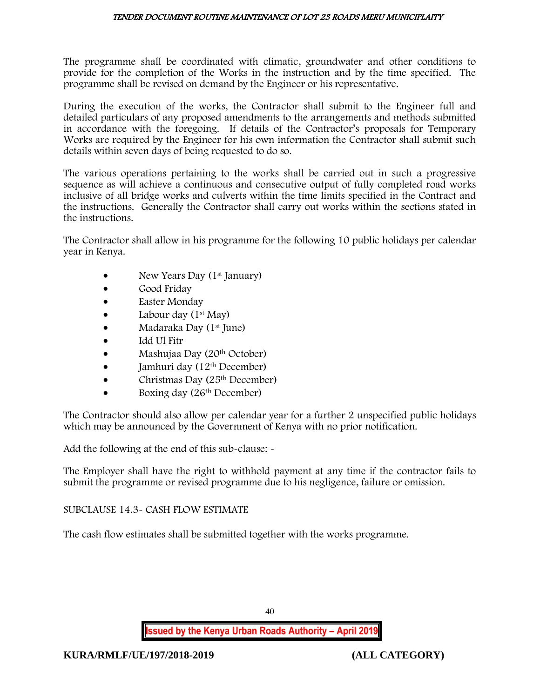The programme shall be coordinated with climatic, groundwater and other conditions to provide for the completion of the Works in the instruction and by the time specified. The programme shall be revised on demand by the Engineer or his representative.

During the execution of the works, the Contractor shall submit to the Engineer full and detailed particulars of any proposed amendments to the arrangements and methods submitted in accordance with the foregoing. If details of the Contractor's proposals for Temporary Works are required by the Engineer for his own information the Contractor shall submit such details within seven days of being requested to do so.

The various operations pertaining to the works shall be carried out in such a progressive sequence as will achieve a continuous and consecutive output of fully completed road works inclusive of all bridge works and culverts within the time limits specified in the Contract and the instructions. Generally the Contractor shall carry out works within the sections stated in the instructions.

The Contractor shall allow in his programme for the following 10 public holidays per calendar year in Kenya.

- New Years Day (1<sup>st</sup> January)
- Good Friday
- **Easter Monday**
- Labour day  $(1<sup>st</sup> May)$
- Madaraka Day (1st June)
- Idd Ul Fitr
- Mashujaa Day (20<sup>th</sup> October)
- Jamhuri day  $(12<sup>th</sup> December)$
- $\bullet$  Christmas Day (25<sup>th</sup> December)
- Boxing day (26<sup>th</sup> December)

The Contractor should also allow per calendar year for a further 2 unspecified public holidays which may be announced by the Government of Kenya with no prior notification.

Add the following at the end of this sub-clause: -

The Employer shall have the right to withhold payment at any time if the contractor fails to submit the programme or revised programme due to his negligence, failure or omission.

## SUBCLAUSE 14.3- CASH FLOW ESTIMATE

The cash flow estimates shall be submitted together with the works programme.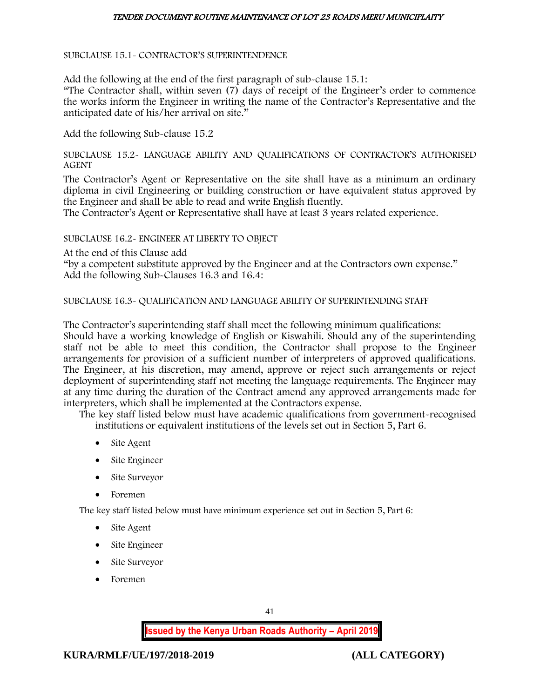#### SUBCLAUSE 15.1- CONTRACTOR'S SUPERINTENDENCE

Add the following at the end of the first paragraph of sub-clause 15.1:

"The Contractor shall, within seven (7) days of receipt of the Engineer's order to commence the works inform the Engineer in writing the name of the Contractor's Representative and the anticipated date of his/her arrival on site."

Add the following Sub-clause 15.2

SUBCLAUSE 15.2- LANGUAGE ABILITY AND QUALIFICATIONS OF CONTRACTOR'S AUTHORISED AGENT

The Contractor's Agent or Representative on the site shall have as a minimum an ordinary diploma in civil Engineering or building construction or have equivalent status approved by the Engineer and shall be able to read and write English fluently.

The Contractor's Agent or Representative shall have at least 3 years related experience.

#### SUBCLAUSE 16.2- ENGINEER AT LIBERTY TO OBJECT

At the end of this Clause add

"by a competent substitute approved by the Engineer and at the Contractors own expense." Add the following Sub-Clauses 16.3 and 16.4:

SUBCLAUSE 16.3- QUALIFICATION AND LANGUAGE ABILITY OF SUPERINTENDING STAFF

The Contractor's superintending staff shall meet the following minimum qualifications: Should have a working knowledge of English or Kiswahili. Should any of the superintending staff not be able to meet this condition, the Contractor shall propose to the Engineer arrangements for provision of a sufficient number of interpreters of approved qualifications. The Engineer, at his discretion, may amend, approve or reject such arrangements or reject deployment of superintending staff not meeting the language requirements. The Engineer may at any time during the duration of the Contract amend any approved arrangements made for interpreters, which shall be implemented at the Contractors expense.

The key staff listed below must have academic qualifications from government-recognised institutions or equivalent institutions of the levels set out in Section 5, Part 6.

- Site Agent
- Site Engineer
- Site Surveyor
- Foremen

The key staff listed below must have minimum experience set out in Section 5, Part 6:

- Site Agent
- Site Engineer
- Site Surveyor
- Foremen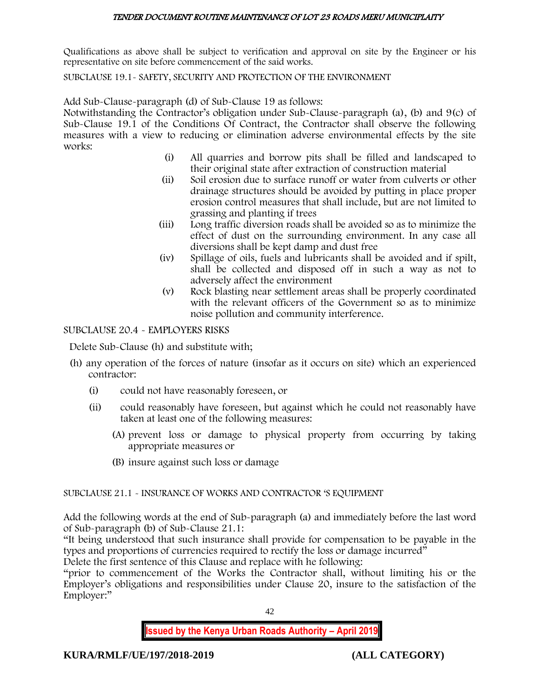Qualifications as above shall be subject to verification and approval on site by the Engineer or his representative on site before commencement of the said works.

## SUBCLAUSE 19.1- SAFETY, SECURITY AND PROTECTION OF THE ENVIRONMENT

Add Sub-Clause-paragraph (d) of Sub-Clause 19 as follows:

Notwithstanding the Contractor's obligation under Sub-Clause-paragraph (a), (b) and 9(c) of Sub-Clause 19.1 of the Conditions Of Contract, the Contractor shall observe the following measures with a view to reducing or elimination adverse environmental effects by the site works:

- (i) All quarries and borrow pits shall be filled and landscaped to their original state after extraction of construction material
- (ii) Soil erosion due to surface runoff or water from culverts or other drainage structures should be avoided by putting in place proper erosion control measures that shall include, but are not limited to grassing and planting if trees
- (iii) Long traffic diversion roads shall be avoided so as to minimize the effect of dust on the surrounding environment. In any case all diversions shall be kept damp and dust free
- (iv) Spillage of oils, fuels and lubricants shall be avoided and if spilt, shall be collected and disposed off in such a way as not to adversely affect the environment
- (v) Rock blasting near settlement areas shall be properly coordinated with the relevant officers of the Government so as to minimize noise pollution and community interference.

## SUBCLAUSE 20.4 - EMPLOYERS RISKS

Delete Sub-Clause (h) and substitute with;

- (h) any operation of the forces of nature (insofar as it occurs on site) which an experienced contractor:
	- (i) could not have reasonably foreseen, or
	- (ii) could reasonably have foreseen, but against which he could not reasonably have taken at least one of the following measures:
		- (A) prevent loss or damage to physical property from occurring by taking appropriate measures or
		- (B) insure against such loss or damage

## SUBCLAUSE 21.1 - INSURANCE OF WORKS AND CONTRACTOR 'S EQUIPMENT

Add the following words at the end of Sub-paragraph (a) and immediately before the last word of Sub-paragraph (b) of Sub-Clause 21.1:

"It being understood that such insurance shall provide for compensation to be payable in the types and proportions of currencies required to rectify the loss or damage incurred"

Delete the first sentence of this Clause and replace with he following:

"prior to commencement of the Works the Contractor shall, without limiting his or the Employer's obligations and responsibilities under Clause 20, insure to the satisfaction of the Employer:"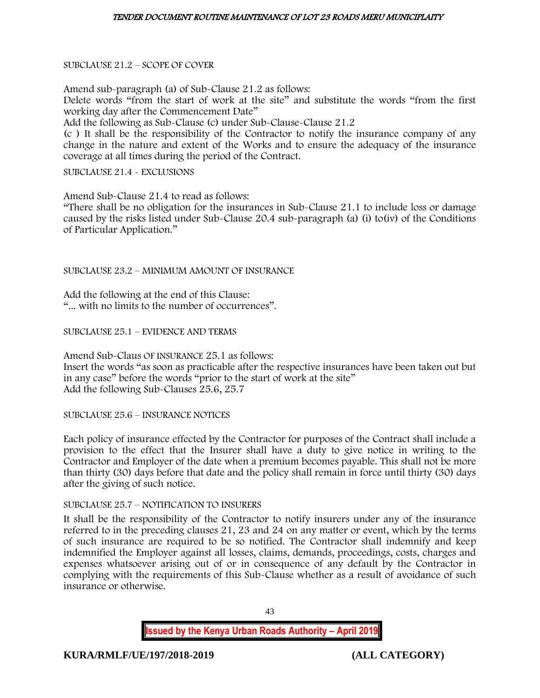## SUBCLAUSE 21.2 – SCOPE OF COVER

Amend sub-paragraph (a) of Sub-Clause 21.2 as follows: Delete words "from the start of work at the site" and substitute the words "from the first working day after the Commencement Date"

Add the following as Sub-Clause (c) under Sub-Clause-Clause 21.2

(c ) It shall be the responsibility of the Contractor to notify the insurance company of any change in the nature and extent of the Works and to ensure the adequacy of the insurance coverage at all times during the period of the Contract.

SUBCLAUSE 21.4 - EXCLUSIONS

Amend Sub-Clause 21.4 to read as follows:

"There shall be no obligation for the insurances in Sub-Clause 21.1 to include loss or damage caused by the risks listed under Sub-Clause 20.4 sub-paragraph (a) (i) to(iv) of the Conditions of Particular Application."

SUBCLAUSE 23.2 – MINIMUM AMOUNT OF INSURANCE

Add the following at the end of this Clause: "... with no limits to the number of occurrences".

SUBCLAUSE 25.1 – EVIDENCE AND TERMS

Amend Sub-Claus OF INSURANCE 25.1 as follows: Insert the words "as soon as practicable after the respective insurances have been taken out but in any case" before the words "prior to the start of work at the site" Add the following Sub-Clauses 25.6, 25.7

SUBCLAUSE 25.6 – INSURANCE NOTICES

Each policy of insurance effected by the Contractor for purposes of the Contract shall include a provision to the effect that the Insurer shall have a duty to give notice in writing to the Contractor and Employer of the date when a premium becomes payable. This shall not be more than thirty (30) days before that date and the policy shall remain in force until thirty (30) days after the giving of such notice.

## SUBCLAUSE 25.7 – NOTIFICATION TO INSURERS

It shall be the responsibility of the Contractor to notify insurers under any of the insurance referred to in the preceding clauses 21, 23 and 24 on any matter or event, which by the terms of such insurance are required to be so notified. The Contractor shall indemnify and keep indemnified the Employer against all losses, claims, demands, proceedings, costs, charges and expenses whatsoever arising out of or in consequence of any default by the Contractor in complying with the requirements of this Sub-Clause whether as a result of avoidance of such insurance or otherwise.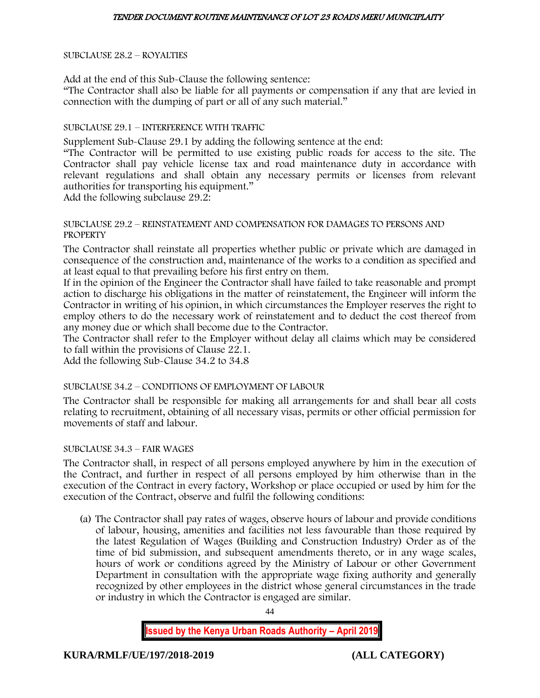SUBCLAUSE 28.2 – ROYALTIES

Add at the end of this Sub-Clause the following sentence:

"The Contractor shall also be liable for all payments or compensation if any that are levied in connection with the dumping of part or all of any such material."

## SUBCLAUSE 29.1 – INTERFERENCE WITH TRAFFIC

Supplement Sub-Clause 29.1 by adding the following sentence at the end:

"The Contractor will be permitted to use existing public roads for access to the site. The Contractor shall pay vehicle license tax and road maintenance duty in accordance with relevant regulations and shall obtain any necessary permits or licenses from relevant authorities for transporting his equipment."

Add the following subclause 29.2:

#### SUBCLAUSE 29.2 – REINSTATEMENT AND COMPENSATION FOR DAMAGES TO PERSONS AND **PROPERTY**

The Contractor shall reinstate all properties whether public or private which are damaged in consequence of the construction and, maintenance of the works to a condition as specified and at least equal to that prevailing before his first entry on them.

If in the opinion of the Engineer the Contractor shall have failed to take reasonable and prompt action to discharge his obligations in the matter of reinstatement, the Engineer will inform the Contractor in writing of his opinion, in which circumstances the Employer reserves the right to employ others to do the necessary work of reinstatement and to deduct the cost thereof from any money due or which shall become due to the Contractor.

The Contractor shall refer to the Employer without delay all claims which may be considered to fall within the provisions of Clause 22.1.

Add the following Sub-Clause 34.2 to 34.8

## SUBCLAUSE 34.2 – CONDITIONS OF EMPLOYMENT OF LABOUR

The Contractor shall be responsible for making all arrangements for and shall bear all costs relating to recruitment, obtaining of all necessary visas, permits or other official permission for movements of staff and labour.

## SUBCLAUSE 34.3 – FAIR WAGES

The Contractor shall, in respect of all persons employed anywhere by him in the execution of the Contract, and further in respect of all persons employed by him otherwise than in the execution of the Contract in every factory, Workshop or place occupied or used by him for the execution of the Contract, observe and fulfil the following conditions:

(a) The Contractor shall pay rates of wages, observe hours of labour and provide conditions of labour, housing, amenities and facilities not less favourable than those required by the latest Regulation of Wages (Building and Construction Industry) Order as of the time of bid submission, and subsequent amendments thereto, or in any wage scales, hours of work or conditions agreed by the Ministry of Labour or other Government Department in consultation with the appropriate wage fixing authority and generally recognized by other employees in the district whose general circumstances in the trade or industry in which the Contractor is engaged are similar.

44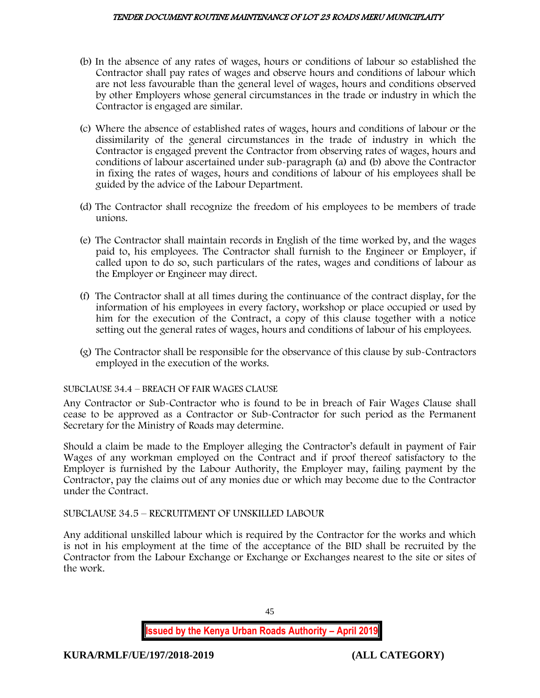- (b) In the absence of any rates of wages, hours or conditions of labour so established the Contractor shall pay rates of wages and observe hours and conditions of labour which are not less favourable than the general level of wages, hours and conditions observed by other Employers whose general circumstances in the trade or industry in which the Contractor is engaged are similar.
- (c) Where the absence of established rates of wages, hours and conditions of labour or the dissimilarity of the general circumstances in the trade of industry in which the Contractor is engaged prevent the Contractor from observing rates of wages, hours and conditions of labour ascertained under sub-paragraph (a) and (b) above the Contractor in fixing the rates of wages, hours and conditions of labour of his employees shall be guided by the advice of the Labour Department.
- (d) The Contractor shall recognize the freedom of his employees to be members of trade unions.
- (e) The Contractor shall maintain records in English of the time worked by, and the wages paid to, his employees. The Contractor shall furnish to the Engineer or Employer, if called upon to do so, such particulars of the rates, wages and conditions of labour as the Employer or Engineer may direct.
- (f) The Contractor shall at all times during the continuance of the contract display, for the information of his employees in every factory, workshop or place occupied or used by him for the execution of the Contract, a copy of this clause together with a notice setting out the general rates of wages, hours and conditions of labour of his employees.
- (g) The Contractor shall be responsible for the observance of this clause by sub-Contractors employed in the execution of the works.

## SUBCLAUSE 34.4 – BREACH OF FAIR WAGES CLAUSE

Any Contractor or Sub-Contractor who is found to be in breach of Fair Wages Clause shall cease to be approved as a Contractor or Sub-Contractor for such period as the Permanent Secretary for the Ministry of Roads may determine.

Should a claim be made to the Employer alleging the Contractor's default in payment of Fair Wages of any workman employed on the Contract and if proof thereof satisfactory to the Employer is furnished by the Labour Authority, the Employer may, failing payment by the Contractor, pay the claims out of any monies due or which may become due to the Contractor under the Contract.

SUBCLAUSE 34.5 – RECRUITMENT OF UNSKILLED LABOUR

Any additional unskilled labour which is required by the Contractor for the works and which is not in his employment at the time of the acceptance of the BID shall be recruited by the Contractor from the Labour Exchange or Exchange or Exchanges nearest to the site or sites of the work.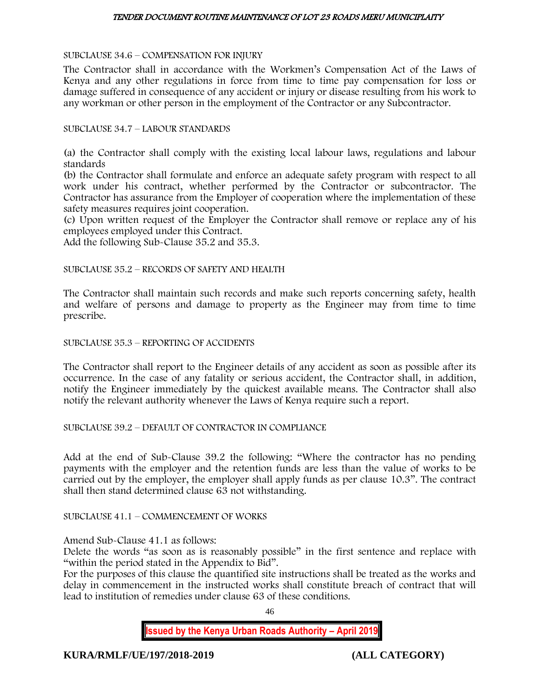#### SUBCLAUSE 34.6 – COMPENSATION FOR INJURY

The Contractor shall in accordance with the Workmen's Compensation Act of the Laws of Kenya and any other regulations in force from time to time pay compensation for loss or damage suffered in consequence of any accident or injury or disease resulting from his work to any workman or other person in the employment of the Contractor or any Subcontractor.

#### SUBCLAUSE 34.7 – LABOUR STANDARDS

(a) the Contractor shall comply with the existing local labour laws, regulations and labour standards

(b) the Contractor shall formulate and enforce an adequate safety program with respect to all work under his contract, whether performed by the Contractor or subcontractor. The Contractor has assurance from the Employer of cooperation where the implementation of these safety measures requires joint cooperation.

(c) Upon written request of the Employer the Contractor shall remove or replace any of his employees employed under this Contract.

Add the following Sub-Clause 35.2 and 35.3.

SUBCLAUSE 35.2 – RECORDS OF SAFETY AND HEALTH

The Contractor shall maintain such records and make such reports concerning safety, health and welfare of persons and damage to property as the Engineer may from time to time prescribe.

SUBCLAUSE 35.3 – REPORTING OF ACCIDENTS

The Contractor shall report to the Engineer details of any accident as soon as possible after its occurrence. In the case of any fatality or serious accident, the Contractor shall, in addition, notify the Engineer immediately by the quickest available means. The Contractor shall also notify the relevant authority whenever the Laws of Kenya require such a report.

SUBCLAUSE 39.2 – DEFAULT OF CONTRACTOR IN COMPLIANCE

Add at the end of Sub-Clause 39.2 the following: "Where the contractor has no pending payments with the employer and the retention funds are less than the value of works to be carried out by the employer, the employer shall apply funds as per clause 10.3". The contract shall then stand determined clause 63 not withstanding.

SUBCLAUSE 41.1 – COMMENCEMENT OF WORKS

Amend Sub-Clause 41.1 as follows:

Delete the words "as soon as is reasonably possible" in the first sentence and replace with "within the period stated in the Appendix to Bid".

For the purposes of this clause the quantified site instructions shall be treated as the works and delay in commencement in the instructed works shall constitute breach of contract that will lead to institution of remedies under clause 63 of these conditions.

46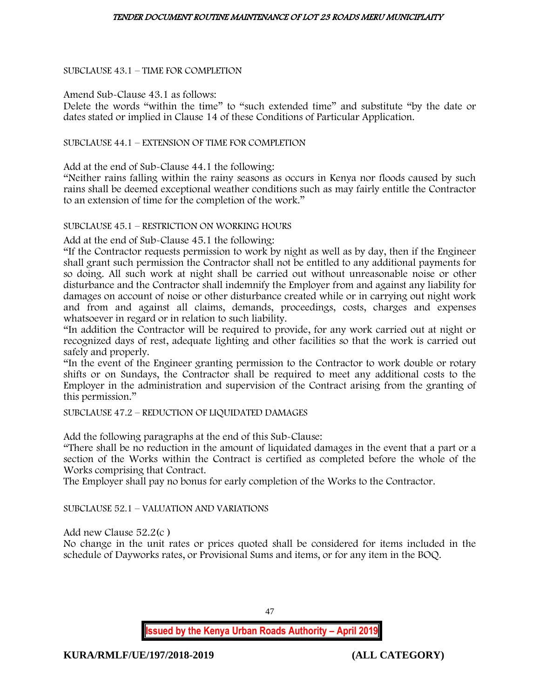## SUBCLAUSE 43.1 – TIME FOR COMPLETION

Amend Sub-Clause 43.1 as follows:

Delete the words "within the time" to "such extended time" and substitute "by the date or dates stated or implied in Clause 14 of these Conditions of Particular Application.

SUBCLAUSE 44.1 – EXTENSION OF TIME FOR COMPLETION

Add at the end of Sub-Clause 44.1 the following:

"Neither rains falling within the rainy seasons as occurs in Kenya nor floods caused by such rains shall be deemed exceptional weather conditions such as may fairly entitle the Contractor to an extension of time for the completion of the work."

SUBCLAUSE 45.1 – RESTRICTION ON WORKING HOURS

Add at the end of Sub-Clause 45.1 the following:

"If the Contractor requests permission to work by night as well as by day, then if the Engineer shall grant such permission the Contractor shall not be entitled to any additional payments for so doing. All such work at night shall be carried out without unreasonable noise or other disturbance and the Contractor shall indemnify the Employer from and against any liability for damages on account of noise or other disturbance created while or in carrying out night work and from and against all claims, demands, proceedings, costs, charges and expenses whatsoever in regard or in relation to such liability.

"In addition the Contractor will be required to provide, for any work carried out at night or recognized days of rest, adequate lighting and other facilities so that the work is carried out safely and properly.

"In the event of the Engineer granting permission to the Contractor to work double or rotary shifts or on Sundays, the Contractor shall be required to meet any additional costs to the Employer in the administration and supervision of the Contract arising from the granting of this permission."

SUBCLAUSE 47.2 – REDUCTION OF LIQUIDATED DAMAGES

Add the following paragraphs at the end of this Sub-Clause:

"There shall be no reduction in the amount of liquidated damages in the event that a part or a section of the Works within the Contract is certified as completed before the whole of the Works comprising that Contract.

The Employer shall pay no bonus for early completion of the Works to the Contractor.

SUBCLAUSE 52.1 – VALUATION AND VARIATIONS

Add new Clause 52.2(c )

No change in the unit rates or prices quoted shall be considered for items included in the schedule of Dayworks rates, or Provisional Sums and items, or for any item in the BOQ.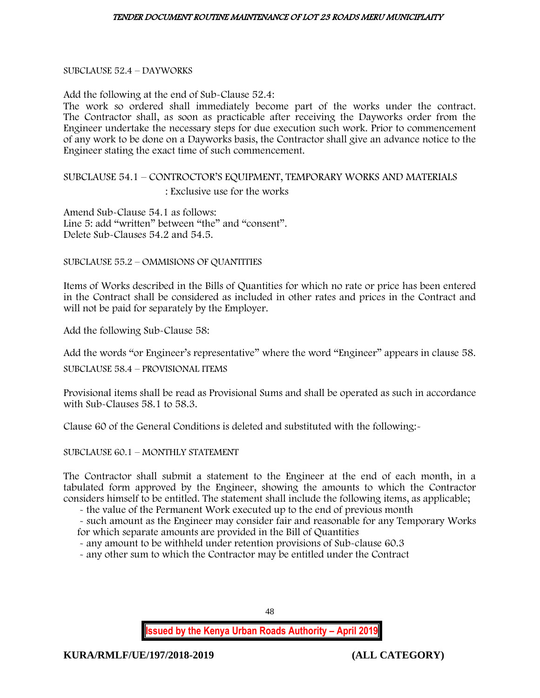#### SUBCLAUSE 52.4 – DAYWORKS

Add the following at the end of Sub-Clause 52.4:

The work so ordered shall immediately become part of the works under the contract. The Contractor shall, as soon as practicable after receiving the Dayworks order from the Engineer undertake the necessary steps for due execution such work. Prior to commencement of any work to be done on a Dayworks basis, the Contractor shall give an advance notice to the Engineer stating the exact time of such commencement.

# SUBCLAUSE 54.1 – CONTROCTOR'S EQUIPMENT, TEMPORARY WORKS AND MATERIALS : Exclusive use for the works

Amend Sub-Clause 54.1 as follows: Line 5: add "written" between "the" and "consent". Delete Sub-Clauses 54.2 and 54.5.

SUBCLAUSE 55.2 – OMMISIONS OF QUANTITIES

Items of Works described in the Bills of Quantities for which no rate or price has been entered in the Contract shall be considered as included in other rates and prices in the Contract and will not be paid for separately by the Employer.

Add the following Sub-Clause 58:

Add the words "or Engineer's representative" where the word "Engineer" appears in clause 58.

SUBCLAUSE 58.4 – PROVISIONAL ITEMS

Provisional items shall be read as Provisional Sums and shall be operated as such in accordance with Sub-Clauses 58.1 to 58.3.

Clause 60 of the General Conditions is deleted and substituted with the following:-

SUBCLAUSE 60.1 – MONTHLY STATEMENT

The Contractor shall submit a statement to the Engineer at the end of each month, in a tabulated form approved by the Engineer, showing the amounts to which the Contractor considers himself to be entitled. The statement shall include the following items, as applicable;

- the value of the Permanent Work executed up to the end of previous month

- such amount as the Engineer may consider fair and reasonable for any Temporary Works for which separate amounts are provided in the Bill of Quantities

- any amount to be withheld under retention provisions of Sub-clause 60.3

- any other sum to which the Contractor may be entitled under the Contract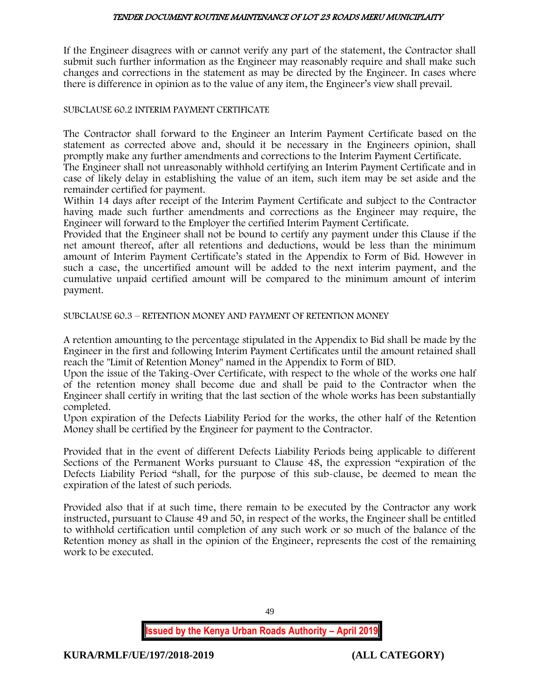If the Engineer disagrees with or cannot verify any part of the statement, the Contractor shall submit such further information as the Engineer may reasonably require and shall make such changes and corrections in the statement as may be directed by the Engineer. In cases where there is difference in opinion as to the value of any item, the Engineer's view shall prevail.

#### SUBCLAUSE 60.2 INTERIM PAYMENT CERTIFICATE

The Contractor shall forward to the Engineer an Interim Payment Certificate based on the statement as corrected above and, should it be necessary in the Engineers opinion, shall promptly make any further amendments and corrections to the Interim Payment Certificate.

The Engineer shall not unreasonably withhold certifying an Interim Payment Certificate and in case of likely delay in establishing the value of an item, such item may be set aside and the remainder certified for payment.

Within 14 days after receipt of the Interim Payment Certificate and subject to the Contractor having made such further amendments and corrections as the Engineer may require, the Engineer will forward to the Employer the certified Interim Payment Certificate.

Provided that the Engineer shall not be bound to certify any payment under this Clause if the net amount thereof, after all retentions and deductions, would be less than the minimum amount of Interim Payment Certificate's stated in the Appendix to Form of Bid. However in such a case, the uncertified amount will be added to the next interim payment, and the cumulative unpaid certified amount will be compared to the minimum amount of interim payment.

SUBCLAUSE 60.3 – RETENTION MONEY AND PAYMENT OF RETENTION MONEY

A retention amounting to the percentage stipulated in the Appendix to Bid shall be made by the Engineer in the first and following Interim Payment Certificates until the amount retained shall reach the "Limit of Retention Money" named in the Appendix to Form of BID.

Upon the issue of the Taking-Over Certificate, with respect to the whole of the works one half of the retention money shall become due and shall be paid to the Contractor when the Engineer shall certify in writing that the last section of the whole works has been substantially completed.

Upon expiration of the Defects Liability Period for the works, the other half of the Retention Money shall be certified by the Engineer for payment to the Contractor.

Provided that in the event of different Defects Liability Periods being applicable to different Sections of the Permanent Works pursuant to Clause 48, the expression "expiration of the Defects Liability Period "shall, for the purpose of this sub-clause, be deemed to mean the expiration of the latest of such periods.

Provided also that if at such time, there remain to be executed by the Contractor any work instructed, pursuant to Clause 49 and 50, in respect of the works, the Engineer shall be entitled to withhold certification until completion of any such work or so much of the balance of the Retention money as shall in the opinion of the Engineer, represents the cost of the remaining work to be executed.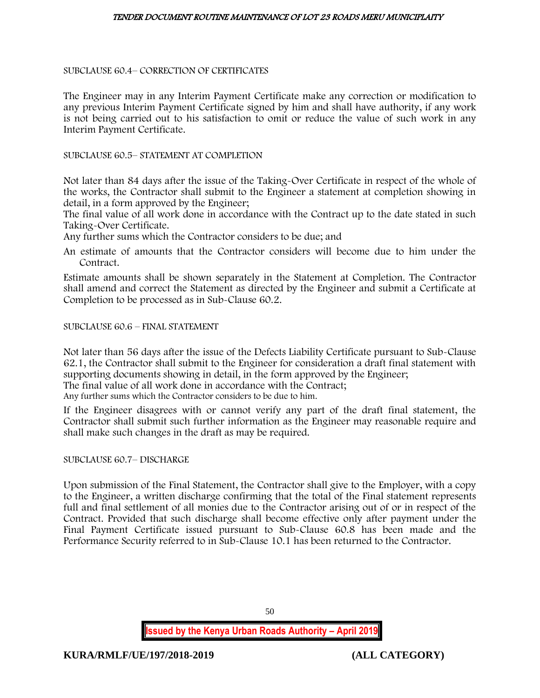## SUBCLAUSE 60.4– CORRECTION OF CERTIFICATES

The Engineer may in any Interim Payment Certificate make any correction or modification to any previous Interim Payment Certificate signed by him and shall have authority, if any work is not being carried out to his satisfaction to omit or reduce the value of such work in any Interim Payment Certificate.

SUBCLAUSE 60.5– STATEMENT AT COMPLETION

Not later than 84 days after the issue of the Taking-Over Certificate in respect of the whole of the works, the Contractor shall submit to the Engineer a statement at completion showing in detail, in a form approved by the Engineer;

The final value of all work done in accordance with the Contract up to the date stated in such Taking-Over Certificate.

Any further sums which the Contractor considers to be due; and

An estimate of amounts that the Contractor considers will become due to him under the Contract.

Estimate amounts shall be shown separately in the Statement at Completion. The Contractor shall amend and correct the Statement as directed by the Engineer and submit a Certificate at Completion to be processed as in Sub-Clause 60.2.

## SUBCLAUSE 60.6 – FINAL STATEMENT

Not later than 56 days after the issue of the Defects Liability Certificate pursuant to Sub-Clause 62.1, the Contractor shall submit to the Engineer for consideration a draft final statement with supporting documents showing in detail, in the form approved by the Engineer;

The final value of all work done in accordance with the Contract;

Any further sums which the Contractor considers to be due to him.

If the Engineer disagrees with or cannot verify any part of the draft final statement, the Contractor shall submit such further information as the Engineer may reasonable require and shall make such changes in the draft as may be required.

## SUBCLAUSE 60.7– DISCHARGE

Upon submission of the Final Statement, the Contractor shall give to the Employer, with a copy to the Engineer, a written discharge confirming that the total of the Final statement represents full and final settlement of all monies due to the Contractor arising out of or in respect of the Contract. Provided that such discharge shall become effective only after payment under the Final Payment Certificate issued pursuant to Sub-Clause 60.8 has been made and the Performance Security referred to in Sub-Clause 10.1 has been returned to the Contractor.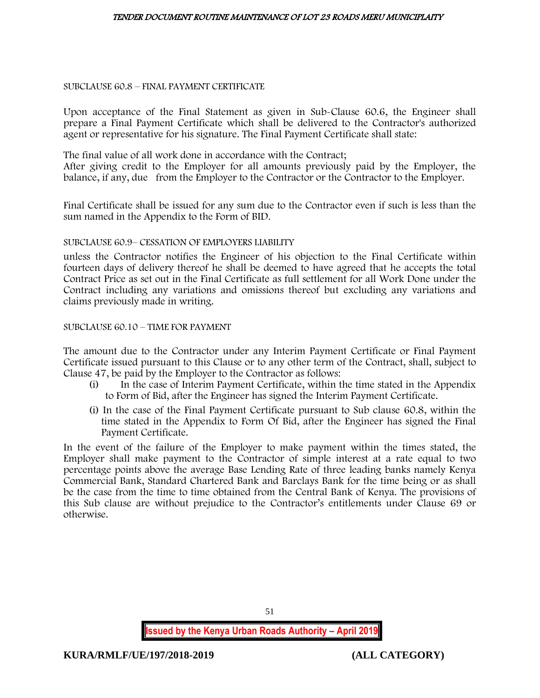#### SUBCLAUSE 60.8 – FINAL PAYMENT CERTIFICATE

Upon acceptance of the Final Statement as given in Sub-Clause 60.6, the Engineer shall prepare a Final Payment Certificate which shall be delivered to the Contractor's authorized agent or representative for his signature. The Final Payment Certificate shall state:

The final value of all work done in accordance with the Contract;

After giving credit to the Employer for all amounts previously paid by the Employer, the balance, if any, due from the Employer to the Contractor or the Contractor to the Employer.

Final Certificate shall be issued for any sum due to the Contractor even if such is less than the sum named in the Appendix to the Form of BID.

## SUBCLAUSE 60.9– CESSATION OF EMPLOYERS LIABILITY

unless the Contractor notifies the Engineer of his objection to the Final Certificate within fourteen days of delivery thereof he shall be deemed to have agreed that he accepts the total Contract Price as set out in the Final Certificate as full settlement for all Work Done under the Contract including any variations and omissions thereof but excluding any variations and claims previously made in writing.

## SUBCLAUSE 60.10 – TIME FOR PAYMENT

The amount due to the Contractor under any Interim Payment Certificate or Final Payment Certificate issued pursuant to this Clause or to any other term of the Contract, shall, subject to Clause 47, be paid by the Employer to the Contractor as follows:

- (i) In the case of Interim Payment Certificate, within the time stated in the Appendix to Form of Bid, after the Engineer has signed the Interim Payment Certificate.
- (i) In the case of the Final Payment Certificate pursuant to Sub clause 60.8, within the time stated in the Appendix to Form Of Bid, after the Engineer has signed the Final Payment Certificate.

In the event of the failure of the Employer to make payment within the times stated, the Employer shall make payment to the Contractor of simple interest at a rate equal to two percentage points above the average Base Lending Rate of three leading banks namely Kenya Commercial Bank, Standard Chartered Bank and Barclays Bank for the time being or as shall be the case from the time to time obtained from the Central Bank of Kenya. The provisions of this Sub clause are without prejudice to the Contractor's entitlements under Clause 69 or otherwise.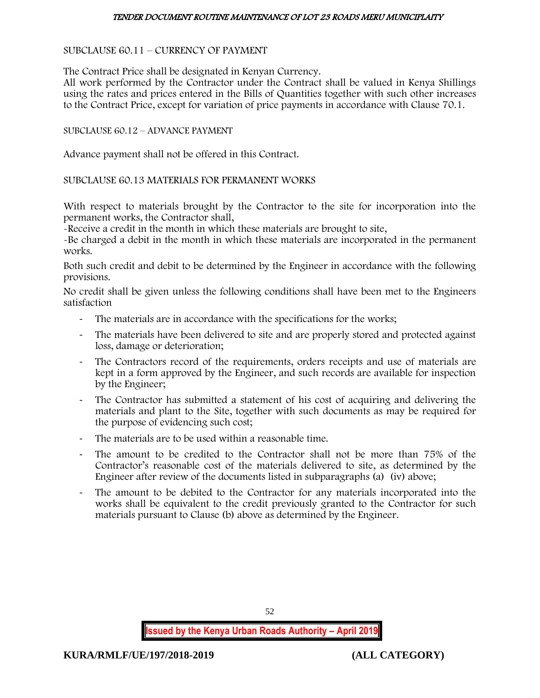## SUBCLAUSE 60.11 – CURRENCY OF PAYMENT

The Contract Price shall be designated in Kenyan Currency.

All work performed by the Contractor under the Contract shall be valued in Kenya Shillings using the rates and prices entered in the Bills of Quantities together with such other increases to the Contract Price, except for variation of price payments in accordance with Clause 70.1.

## SUBCLAUSE 60.12 – ADVANCE PAYMENT

Advance payment shall not be offered in this Contract.

## SUBCLAUSE 60.13 MATERIALS FOR PERMANENT WORKS

With respect to materials brought by the Contractor to the site for incorporation into the permanent works, the Contractor shall,

-Receive a credit in the month in which these materials are brought to site,

-Be charged a debit in the month in which these materials are incorporated in the permanent works.

Both such credit and debit to be determined by the Engineer in accordance with the following provisions.

No credit shall be given unless the following conditions shall have been met to the Engineers satisfaction

- The materials are in accordance with the specifications for the works;
- The materials have been delivered to site and are properly stored and protected against loss, damage or deterioration;
- The Contractors record of the requirements, orders receipts and use of materials are kept in a form approved by the Engineer, and such records are available for inspection by the Engineer;
- The Contractor has submitted a statement of his cost of acquiring and delivering the materials and plant to the Site, together with such documents as may be required for the purpose of evidencing such cost;
- The materials are to be used within a reasonable time.
- The amount to be credited to the Contractor shall not be more than 75% of the Contractor's reasonable cost of the materials delivered to site, as determined by the Engineer after review of the documents listed in subparagraphs (a) (iv) above;
- The amount to be debited to the Contractor for any materials incorporated into the works shall be equivalent to the credit previously granted to the Contractor for such materials pursuant to Clause (b) above as determined by the Engineer.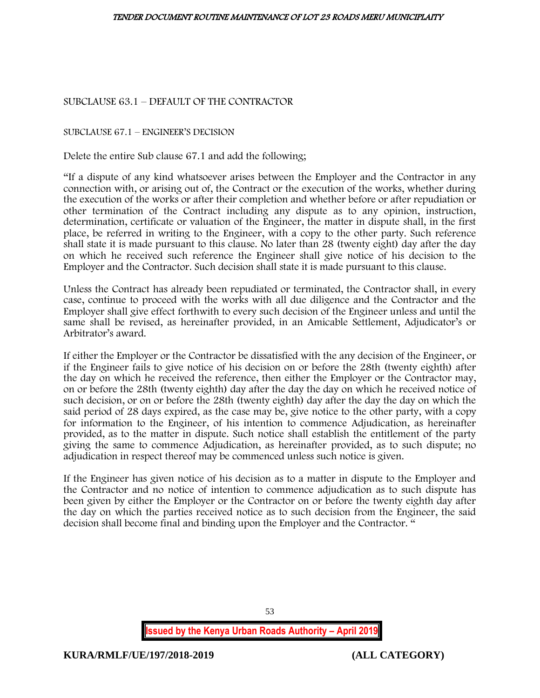SUBCLAUSE 63.1 – DEFAULT OF THE CONTRACTOR

SUBCLAUSE 67.1 – ENGINEER'S DECISION

Delete the entire Sub clause 67.1 and add the following;

"If a dispute of any kind whatsoever arises between the Employer and the Contractor in any connection with, or arising out of, the Contract or the execution of the works, whether during the execution of the works or after their completion and whether before or after repudiation or other termination of the Contract including any dispute as to any opinion, instruction, determination, certificate or valuation of the Engineer, the matter in dispute shall, in the first place, be referred in writing to the Engineer, with a copy to the other party. Such reference shall state it is made pursuant to this clause. No later than 28 (twenty eight) day after the day on which he received such reference the Engineer shall give notice of his decision to the Employer and the Contractor. Such decision shall state it is made pursuant to this clause.

Unless the Contract has already been repudiated or terminated, the Contractor shall, in every case, continue to proceed with the works with all due diligence and the Contractor and the Employer shall give effect forthwith to every such decision of the Engineer unless and until the same shall be revised, as hereinafter provided, in an Amicable Settlement, Adjudicator's or Arbitrator's award.

If either the Employer or the Contractor be dissatisfied with the any decision of the Engineer, or if the Engineer fails to give notice of his decision on or before the 28th (twenty eighth) after the day on which he received the reference, then either the Employer or the Contractor may, on or before the 28th (twenty eighth) day after the day the day on which he received notice of such decision, or on or before the 28th (twenty eighth) day after the day the day on which the said period of 28 days expired, as the case may be, give notice to the other party, with a copy for information to the Engineer, of his intention to commence Adjudication, as hereinafter provided, as to the matter in dispute. Such notice shall establish the entitlement of the party giving the same to commence Adjudication, as hereinafter provided, as to such dispute; no adjudication in respect thereof may be commenced unless such notice is given.

If the Engineer has given notice of his decision as to a matter in dispute to the Employer and the Contractor and no notice of intention to commence adjudication as to such dispute has been given by either the Employer or the Contractor on or before the twenty eighth day after the day on which the parties received notice as to such decision from the Engineer, the said decision shall become final and binding upon the Employer and the Contractor. "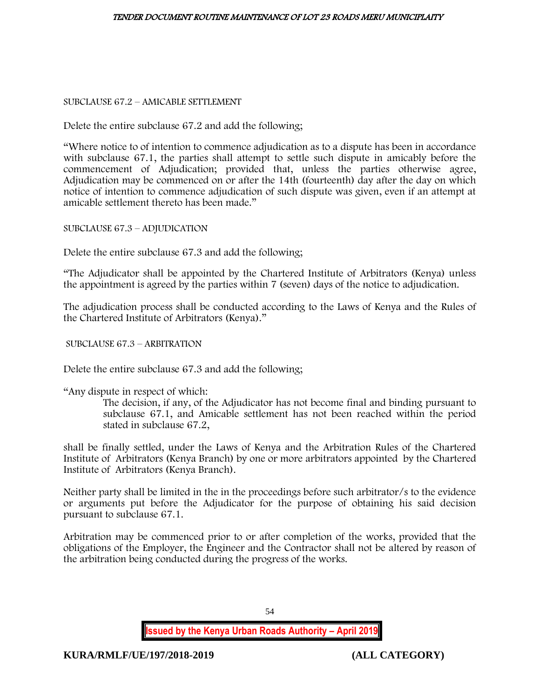SUBCLAUSE 67.2 – AMICABLE SETTLEMENT

Delete the entire subclause 67.2 and add the following;

"Where notice to of intention to commence adjudication as to a dispute has been in accordance with subclause 67.1, the parties shall attempt to settle such dispute in amicably before the commencement of Adjudication; provided that, unless the parties otherwise agree, Adjudication may be commenced on or after the 14th (fourteenth) day after the day on which notice of intention to commence adjudication of such dispute was given, even if an attempt at amicable settlement thereto has been made."

SUBCLAUSE 67.3 – ADJUDICATION

Delete the entire subclause 67.3 and add the following;

"The Adjudicator shall be appointed by the Chartered Institute of Arbitrators (Kenya) unless the appointment is agreed by the parties within 7 (seven) days of the notice to adjudication.

The adjudication process shall be conducted according to the Laws of Kenya and the Rules of the Chartered Institute of Arbitrators (Kenya)."

SUBCLAUSE 67.3 – ARBITRATION

Delete the entire subclause 67.3 and add the following;

"Any dispute in respect of which:

The decision, if any, of the Adjudicator has not become final and binding pursuant to subclause 67.1, and Amicable settlement has not been reached within the period stated in subclause 67.2,

shall be finally settled, under the Laws of Kenya and the Arbitration Rules of the Chartered Institute of Arbitrators (Kenya Branch) by one or more arbitrators appointed by the Chartered Institute of Arbitrators (Kenya Branch).

Neither party shall be limited in the in the proceedings before such arbitrator/s to the evidence or arguments put before the Adjudicator for the purpose of obtaining his said decision pursuant to subclause 67.1.

Arbitration may be commenced prior to or after completion of the works, provided that the obligations of the Employer, the Engineer and the Contractor shall not be altered by reason of the arbitration being conducted during the progress of the works.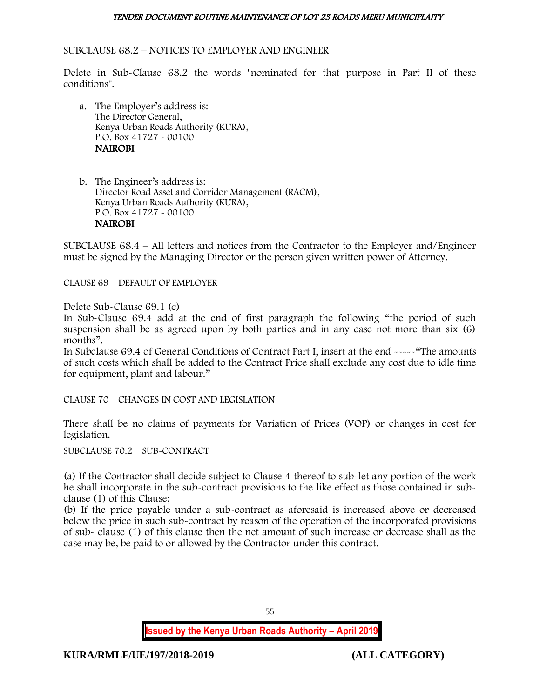#### SUBCLAUSE 68.2 – NOTICES TO EMPLOYER AND ENGINEER

Delete in Sub-Clause 68.2 the words "nominated for that purpose in Part II of these conditions".

a. The Employer's address is: The Director General, Kenya Urban Roads Authority (KURA), P.O. Box 41727 - 00100 NAIROBI

b. The Engineer's address is: Director Road Asset and Corridor Management (RACM), Kenya Urban Roads Authority (KURA), P.O. Box 41727 - 00100 NAIROBI

SUBCLAUSE 68.4 – All letters and notices from the Contractor to the Employer and/Engineer must be signed by the Managing Director or the person given written power of Attorney.

CLAUSE 69 – DEFAULT OF EMPLOYER

Delete Sub-Clause 69.1 (c)

In Sub-Clause 69.4 add at the end of first paragraph the following "the period of such suspension shall be as agreed upon by both parties and in any case not more than six (6) months".

In Subclause 69.4 of General Conditions of Contract Part I, insert at the end -----"The amounts of such costs which shall be added to the Contract Price shall exclude any cost due to idle time for equipment, plant and labour."

CLAUSE 70 – CHANGES IN COST AND LEGISLATION

There shall be no claims of payments for Variation of Prices (VOP) or changes in cost for legislation.

SUBCLAUSE 70.2 – SUB-CONTRACT

(a) If the Contractor shall decide subject to Clause 4 thereof to sub-let any portion of the work he shall incorporate in the sub-contract provisions to the like effect as those contained in subclause (1) of this Clause;

(b) If the price payable under a sub-contract as aforesaid is increased above or decreased below the price in such sub-contract by reason of the operation of the incorporated provisions of sub- clause (1) of this clause then the net amount of such increase or decrease shall as the case may be, be paid to or allowed by the Contractor under this contract.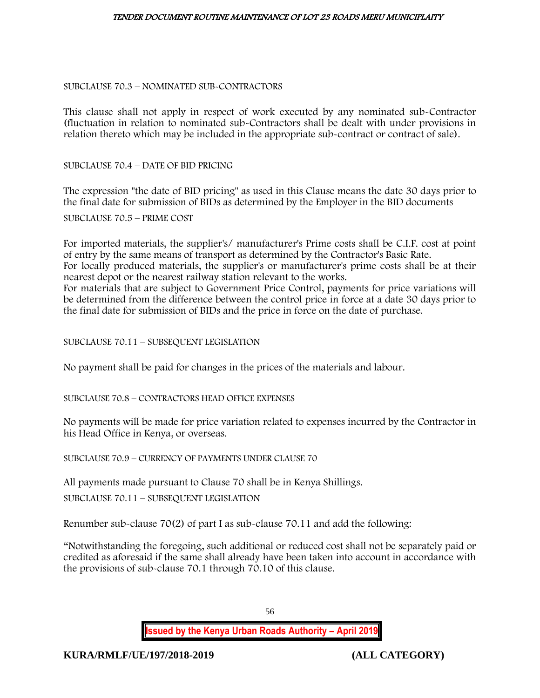#### SUBCLAUSE 70.3 – NOMINATED SUB-CONTRACTORS

This clause shall not apply in respect of work executed by any nominated sub-Contractor (fluctuation in relation to nominated sub-Contractors shall be dealt with under provisions in relation thereto which may be included in the appropriate sub-contract or contract of sale).

SUBCLAUSE 70.4 – DATE OF BID PRICING

The expression "the date of BID pricing" as used in this Clause means the date 30 days prior to the final date for submission of BIDs as determined by the Employer in the BID documents

SUBCLAUSE 70.5 – PRIME COST

For imported materials, the supplier's/ manufacturer's Prime costs shall be C.I.F. cost at point of entry by the same means of transport as determined by the Contractor's Basic Rate. For locally produced materials, the supplier's or manufacturer's prime costs shall be at their nearest depot or the nearest railway station relevant to the works. For materials that are subject to Government Price Control, payments for price variations will be determined from the difference between the control price in force at a date 30 days prior to

the final date for submission of BIDs and the price in force on the date of purchase.

SUBCLAUSE 70.11 – SUBSEQUENT LEGISLATION

No payment shall be paid for changes in the prices of the materials and labour.

## SUBCLAUSE 70.8 – CONTRACTORS HEAD OFFICE EXPENSES

No payments will be made for price variation related to expenses incurred by the Contractor in his Head Office in Kenya, or overseas.

SUBCLAUSE 70.9 – CURRENCY OF PAYMENTS UNDER CLAUSE 70

All payments made pursuant to Clause 70 shall be in Kenya Shillings.

SUBCLAUSE 70.11 – SUBSEQUENT LEGISLATION

Renumber sub-clause 70(2) of part I as sub-clause 70.11 and add the following:

"Notwithstanding the foregoing, such additional or reduced cost shall not be separately paid or credited as aforesaid if the same shall already have been taken into account in accordance with the provisions of sub-clause 70.1 through 70.10 of this clause.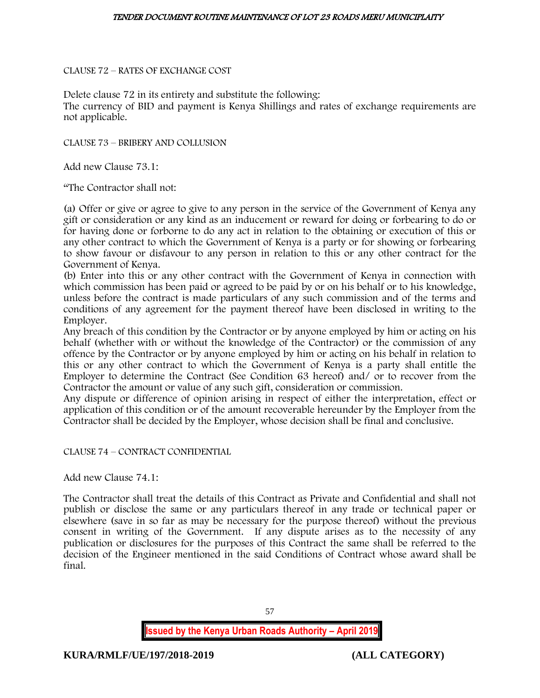CLAUSE 72 – RATES OF EXCHANGE COST

Delete clause 72 in its entirety and substitute the following: The currency of BID and payment is Kenya Shillings and rates of exchange requirements are not applicable.

CLAUSE 73 – BRIBERY AND COLLUSION

Add new Clause 73.1:

"The Contractor shall not:

(a) Offer or give or agree to give to any person in the service of the Government of Kenya any gift or consideration or any kind as an inducement or reward for doing or forbearing to do or for having done or forborne to do any act in relation to the obtaining or execution of this or any other contract to which the Government of Kenya is a party or for showing or forbearing to show favour or disfavour to any person in relation to this or any other contract for the Government of Kenya.

(b) Enter into this or any other contract with the Government of Kenya in connection with which commission has been paid or agreed to be paid by or on his behalf or to his knowledge, unless before the contract is made particulars of any such commission and of the terms and conditions of any agreement for the payment thereof have been disclosed in writing to the Employer.

Any breach of this condition by the Contractor or by anyone employed by him or acting on his behalf (whether with or without the knowledge of the Contractor) or the commission of any offence by the Contractor or by anyone employed by him or acting on his behalf in relation to this or any other contract to which the Government of Kenya is a party shall entitle the Employer to determine the Contract (See Condition 63 hereof) and/ or to recover from the Contractor the amount or value of any such gift, consideration or commission.

Any dispute or difference of opinion arising in respect of either the interpretation, effect or application of this condition or of the amount recoverable hereunder by the Employer from the Contractor shall be decided by the Employer, whose decision shall be final and conclusive.

CLAUSE 74 – CONTRACT CONFIDENTIAL

Add new Clause 74.1:

The Contractor shall treat the details of this Contract as Private and Confidential and shall not publish or disclose the same or any particulars thereof in any trade or technical paper or elsewhere (save in so far as may be necessary for the purpose thereof) without the previous consent in writing of the Government. If any dispute arises as to the necessity of any publication or disclosures for the purposes of this Contract the same shall be referred to the decision of the Engineer mentioned in the said Conditions of Contract whose award shall be final.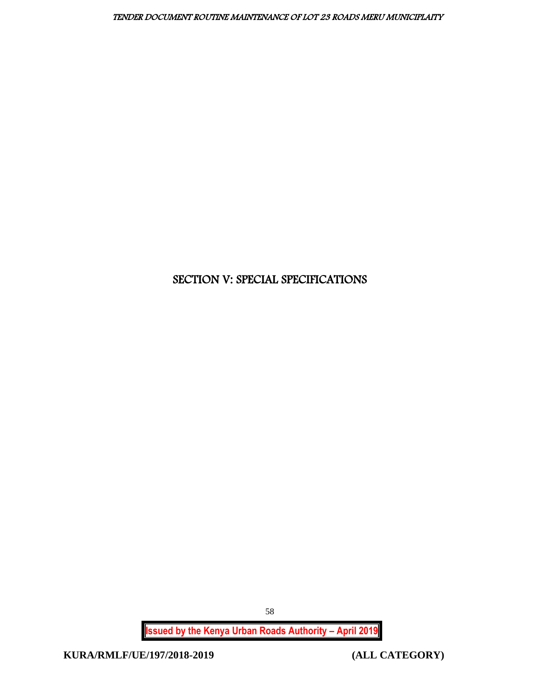# SECTION V: SPECIAL SPECIFICATIONS

**Issued by the Kenya Urban Roads Authority – April 2019**

**KURA/RMLF/UE/197/2018-2019 (ALL CATEGORY)**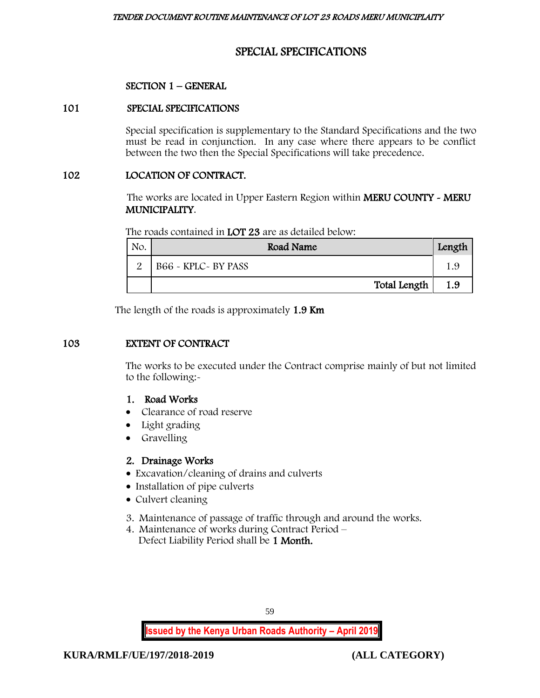# SPECIAL SPECIFICATIONS

## SECTION 1 – GENERAL

## 101 SPECIAL SPECIFICATIONS

Special specification is supplementary to the Standard Specifications and the two must be read in conjunction. In any case where there appears to be conflict between the two then the Special Specifications will take precedence.

## 102 LOCATION OF CONTRACT.

The works are located in Upper Eastern Region within MERU COUNTY - MERU MUNICIPALITY.

| The roads contained in LOT 23 are as detailed below: |  |  |  |  |
|------------------------------------------------------|--|--|--|--|
|------------------------------------------------------|--|--|--|--|

| No. | Road Name            | Length |
|-----|----------------------|--------|
|     | B66 - KPLC - BY PASS |        |
|     | Total Length         | 1.9    |

The length of the roads is approximately 1.9 Km

## 103 EXTENT OF CONTRACT

The works to be executed under the Contract comprise mainly of but not limited to the following:-

## 1. Road Works

- Clearance of road reserve
- Light grading
- Gravelling

## 2. Drainage Works

- Excavation/cleaning of drains and culverts
- Installation of pipe culverts
- Culvert cleaning
- 3. Maintenance of passage of traffic through and around the works.
- 4. Maintenance of works during Contract Period Defect Liability Period shall be 1 Month.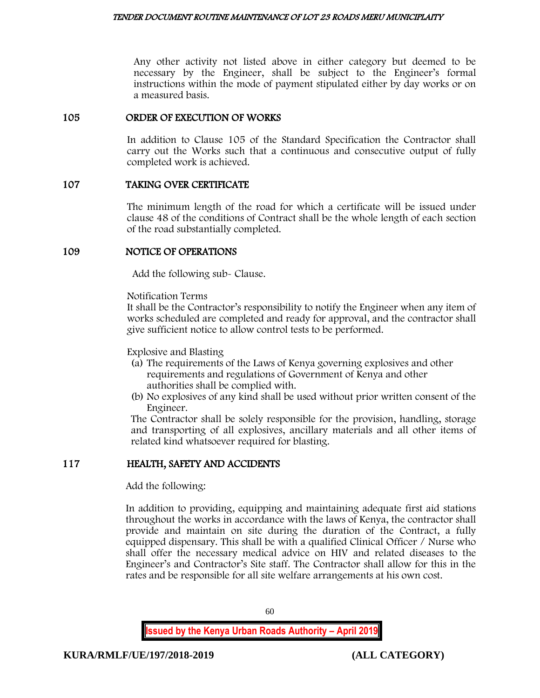Any other activity not listed above in either category but deemed to be necessary by the Engineer, shall be subject to the Engineer's formal instructions within the mode of payment stipulated either by day works or on a measured basis.

## 105 ORDER OF EXECUTION OF WORKS

In addition to Clause 105 of the Standard Specification the Contractor shall carry out the Works such that a continuous and consecutive output of fully completed work is achieved.

## 107 TAKING OVER CERTIFICATE

The minimum length of the road for which a certificate will be issued under clause 48 of the conditions of Contract shall be the whole length of each section of the road substantially completed.

## 109 NOTICE OF OPERATIONS

Add the following sub- Clause.

Notification Terms

It shall be the Contractor's responsibility to notify the Engineer when any item of works scheduled are completed and ready for approval, and the contractor shall give sufficient notice to allow control tests to be performed.

Explosive and Blasting

- (a) The requirements of the Laws of Kenya governing explosives and other requirements and regulations of Government of Kenya and other authorities shall be complied with.
- (b) No explosives of any kind shall be used without prior written consent of the Engineer.

The Contractor shall be solely responsible for the provision, handling, storage and transporting of all explosives, ancillary materials and all other items of related kind whatsoever required for blasting.

## 117 HEALTH, SAFETY AND ACCIDENTS

Add the following:

In addition to providing, equipping and maintaining adequate first aid stations throughout the works in accordance with the laws of Kenya, the contractor shall provide and maintain on site during the duration of the Contract, a fully equipped dispensary. This shall be with a qualified Clinical Officer / Nurse who shall offer the necessary medical advice on HIV and related diseases to the Engineer's and Contractor's Site staff. The Contractor shall allow for this in the rates and be responsible for all site welfare arrangements at his own cost.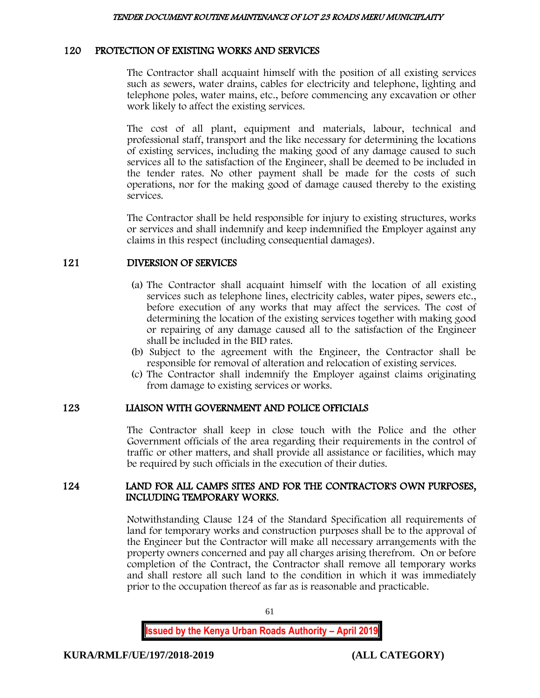## 120 PROTECTION OF EXISTING WORKS AND SERVICES

The Contractor shall acquaint himself with the position of all existing services such as sewers, water drains, cables for electricity and telephone, lighting and telephone poles, water mains, etc., before commencing any excavation or other work likely to affect the existing services.

The cost of all plant, equipment and materials, labour, technical and professional staff, transport and the like necessary for determining the locations of existing services, including the making good of any damage caused to such services all to the satisfaction of the Engineer, shall be deemed to be included in the tender rates. No other payment shall be made for the costs of such operations, nor for the making good of damage caused thereby to the existing services.

The Contractor shall be held responsible for injury to existing structures, works or services and shall indemnify and keep indemnified the Employer against any claims in this respect (including consequential damages).

## 121 DIVERSION OF SERVICES

- (a) The Contractor shall acquaint himself with the location of all existing services such as telephone lines, electricity cables, water pipes, sewers etc., before execution of any works that may affect the services. The cost of determining the location of the existing services together with making good or repairing of any damage caused all to the satisfaction of the Engineer shall be included in the BID rates.
- (b) Subject to the agreement with the Engineer, the Contractor shall be responsible for removal of alteration and relocation of existing services.
- (c) The Contractor shall indemnify the Employer against claims originating from damage to existing services or works.

## 123 LIAISON WITH GOVERNMENT AND POLICE OFFICIALS

The Contractor shall keep in close touch with the Police and the other Government officials of the area regarding their requirements in the control of traffic or other matters, and shall provide all assistance or facilities, which may be required by such officials in the execution of their duties.

## 124 LAND FOR ALL CAMPS SITES AND FOR THE CONTRACTOR'S OWN PURPOSES, INCLUDING TEMPORARY WORKS.

Notwithstanding Clause 124 of the Standard Specification all requirements of land for temporary works and construction purposes shall be to the approval of the Engineer but the Contractor will make all necessary arrangements with the property owners concerned and pay all charges arising therefrom. On or before completion of the Contract, the Contractor shall remove all temporary works and shall restore all such land to the condition in which it was immediately prior to the occupation thereof as far as is reasonable and practicable.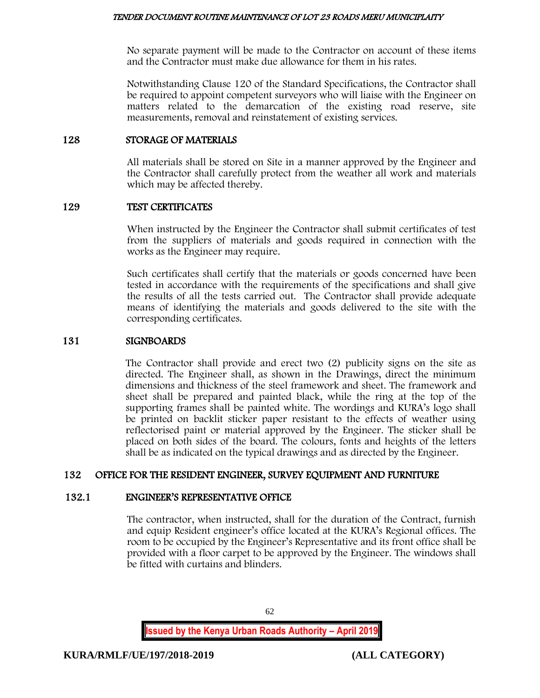No separate payment will be made to the Contractor on account of these items and the Contractor must make due allowance for them in his rates.

Notwithstanding Clause 120 of the Standard Specifications, the Contractor shall be required to appoint competent surveyors who will liaise with the Engineer on matters related to the demarcation of the existing road reserve, site measurements, removal and reinstatement of existing services.

## 128 STORAGE OF MATERIALS

All materials shall be stored on Site in a manner approved by the Engineer and the Contractor shall carefully protect from the weather all work and materials which may be affected thereby.

## 129 TEST CERTIFICATES

When instructed by the Engineer the Contractor shall submit certificates of test from the suppliers of materials and goods required in connection with the works as the Engineer may require.

Such certificates shall certify that the materials or goods concerned have been tested in accordance with the requirements of the specifications and shall give the results of all the tests carried out. The Contractor shall provide adequate means of identifying the materials and goods delivered to the site with the corresponding certificates.

## 131 SIGNBOARDS

The Contractor shall provide and erect two (2) publicity signs on the site as directed. The Engineer shall, as shown in the Drawings, direct the minimum dimensions and thickness of the steel framework and sheet. The framework and sheet shall be prepared and painted black, while the ring at the top of the supporting frames shall be painted white. The wordings and KURA's logo shall be printed on backlit sticker paper resistant to the effects of weather using reflectorised paint or material approved by the Engineer. The sticker shall be placed on both sides of the board. The colours, fonts and heights of the letters shall be as indicated on the typical drawings and as directed by the Engineer.

## 132 OFFICE FOR THE RESIDENT ENGINEER, SURVEY EQUIPMENT AND FURNITURE

## 132.1 ENGINEER'S REPRESENTATIVE OFFICE

The contractor, when instructed, shall for the duration of the Contract, furnish and equip Resident engineer's office located at the KURA's Regional offices. The room to be occupied by the Engineer's Representative and its front office shall be provided with a floor carpet to be approved by the Engineer. The windows shall be fitted with curtains and blinders.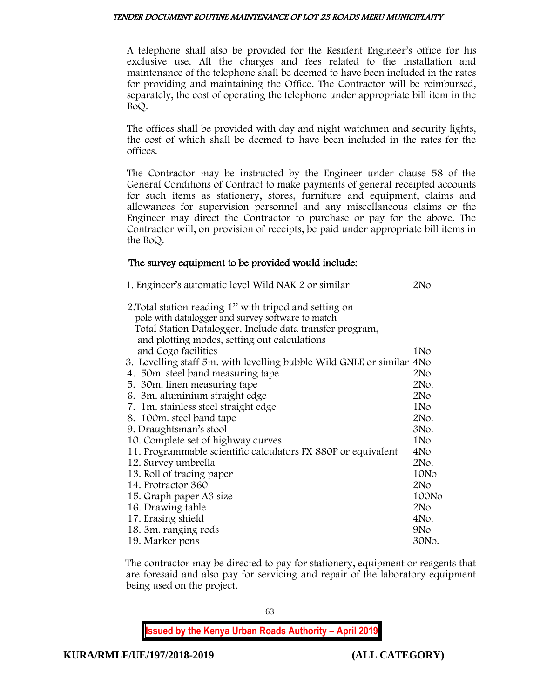A telephone shall also be provided for the Resident Engineer's office for his exclusive use. All the charges and fees related to the installation and maintenance of the telephone shall be deemed to have been included in the rates for providing and maintaining the Office. The Contractor will be reimbursed, separately, the cost of operating the telephone under appropriate bill item in the BoQ.

The offices shall be provided with day and night watchmen and security lights, the cost of which shall be deemed to have been included in the rates for the offices.

The Contractor may be instructed by the Engineer under clause 58 of the General Conditions of Contract to make payments of general receipted accounts for such items as stationery, stores, furniture and equipment, claims and allowances for supervision personnel and any miscellaneous claims or the Engineer may direct the Contractor to purchase or pay for the above. The Contractor will, on provision of receipts, be paid under appropriate bill items in the BoQ.

## The survey equipment to be provided would include:

| 1. Engineer's automatic level Wild NAK 2 or similar                                                         | 2No             |
|-------------------------------------------------------------------------------------------------------------|-----------------|
| 2. Total station reading 1" with tripod and setting on<br>pole with datalogger and survey software to match |                 |
| Total Station Datalogger. Include data transfer program,                                                    |                 |
| and plotting modes, setting out calculations<br>and Cogo facilities                                         | 1No             |
| 3. Levelling staff 5m. with levelling bubble Wild GNLE or similar 4No                                       |                 |
| 4. 50 m. steel band measuring tape                                                                          | 2N <sub>O</sub> |
| 5. 30 m. linen measuring tape                                                                               | 2No.            |
| 6. 3m. aluminium straight edge                                                                              | 2N <sub>O</sub> |
| 7. 1m. stainless steel straight edge                                                                        | 1N <sub>o</sub> |
| 8. 100m. steel band tape                                                                                    | 2No.            |
| 9. Draughtsman's stool                                                                                      | 3No.            |
| 10. Complete set of highway curves                                                                          | 1N <sub>o</sub> |
| 11. Programmable scientific calculators FX 880P or equivalent                                               | 4No             |
| 12. Survey umbrella                                                                                         | 2No.            |
| 13. Roll of tracing paper                                                                                   | 10No            |
| 14. Protractor 360                                                                                          | 2N <sub>O</sub> |
| 15. Graph paper A3 size                                                                                     | 100No           |
| 16. Drawing table                                                                                           | 2No.            |
| 17. Erasing shield                                                                                          | 4No.            |
| 18. 3m. ranging rods                                                                                        | 9N <sub>o</sub> |
| 19. Marker pens                                                                                             | 30No.           |

The contractor may be directed to pay for stationery, equipment or reagents that are foresaid and also pay for servicing and repair of the laboratory equipment being used on the project.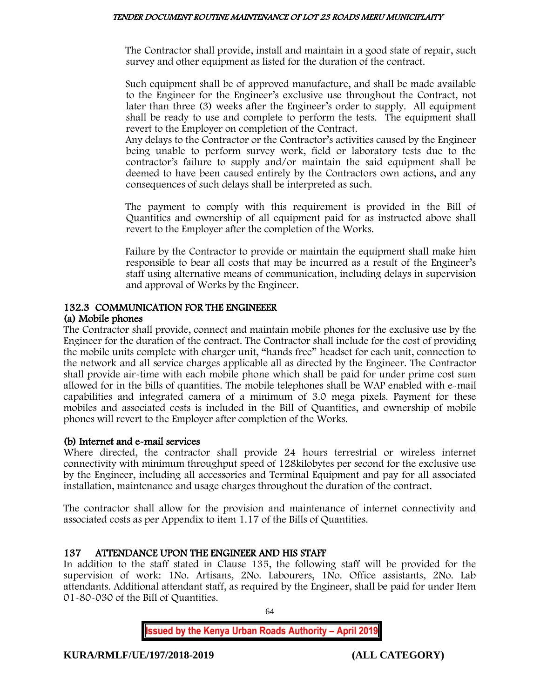The Contractor shall provide, install and maintain in a good state of repair, such survey and other equipment as listed for the duration of the contract.

Such equipment shall be of approved manufacture, and shall be made available to the Engineer for the Engineer's exclusive use throughout the Contract, not later than three (3) weeks after the Engineer's order to supply. All equipment shall be ready to use and complete to perform the tests. The equipment shall revert to the Employer on completion of the Contract.

Any delays to the Contractor or the Contractor's activities caused by the Engineer being unable to perform survey work, field or laboratory tests due to the contractor's failure to supply and/or maintain the said equipment shall be deemed to have been caused entirely by the Contractors own actions, and any consequences of such delays shall be interpreted as such.

The payment to comply with this requirement is provided in the Bill of Quantities and ownership of all equipment paid for as instructed above shall revert to the Employer after the completion of the Works.

Failure by the Contractor to provide or maintain the equipment shall make him responsible to bear all costs that may be incurred as a result of the Engineer's staff using alternative means of communication, including delays in supervision and approval of Works by the Engineer.

# 132.3 COMMUNICATION FOR THE ENGINEEER

## (a) Mobile phones

The Contractor shall provide, connect and maintain mobile phones for the exclusive use by the Engineer for the duration of the contract. The Contractor shall include for the cost of providing the mobile units complete with charger unit, "hands free" headset for each unit, connection to the network and all service charges applicable all as directed by the Engineer. The Contractor shall provide air-time with each mobile phone which shall be paid for under prime cost sum allowed for in the bills of quantities. The mobile telephones shall be WAP enabled with e-mail capabilities and integrated camera of a minimum of 3.0 mega pixels. Payment for these mobiles and associated costs is included in the Bill of Quantities, and ownership of mobile phones will revert to the Employer after completion of the Works.

## (b) Internet and e-mail services

Where directed, the contractor shall provide 24 hours terrestrial or wireless internet connectivity with minimum throughput speed of 128kilobytes per second for the exclusive use by the Engineer, including all accessories and Terminal Equipment and pay for all associated installation, maintenance and usage charges throughout the duration of the contract.

The contractor shall allow for the provision and maintenance of internet connectivity and associated costs as per Appendix to item 1.17 of the Bills of Quantities.

# 137 ATTENDANCE UPON THE ENGINEER AND HIS STAFF

In addition to the staff stated in Clause 135, the following staff will be provided for the supervision of work: 1No. Artisans, 2No. Labourers, 1No. Office assistants, 2No. Lab attendants. Additional attendant staff, as required by the Engineer, shall be paid for under Item 01-80-030 of the Bill of Quantities.

64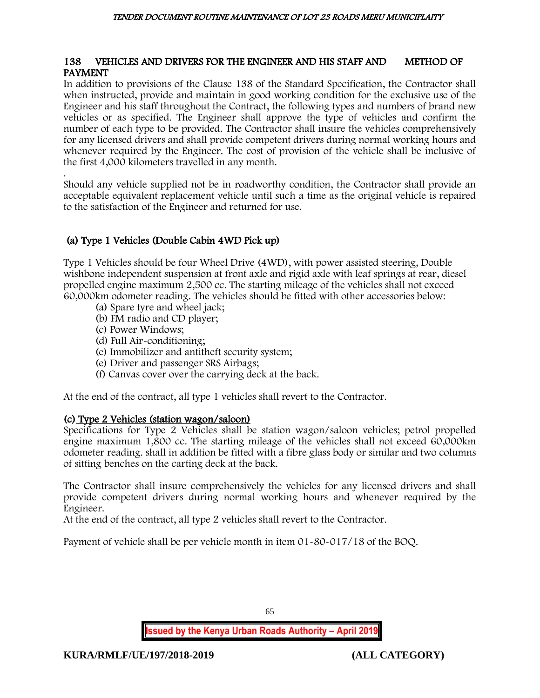## 138 VEHICLES AND DRIVERS FOR THE ENGINEER AND HIS STAFF AND METHOD OF PAYMENT

In addition to provisions of the Clause 138 of the Standard Specification, the Contractor shall when instructed, provide and maintain in good working condition for the exclusive use of the Engineer and his staff throughout the Contract, the following types and numbers of brand new vehicles or as specified. The Engineer shall approve the type of vehicles and confirm the number of each type to be provided. The Contractor shall insure the vehicles comprehensively for any licensed drivers and shall provide competent drivers during normal working hours and whenever required by the Engineer. The cost of provision of the vehicle shall be inclusive of the first 4,000 kilometers travelled in any month.

. Should any vehicle supplied not be in roadworthy condition, the Contractor shall provide an acceptable equivalent replacement vehicle until such a time as the original vehicle is repaired to the satisfaction of the Engineer and returned for use.

# (a) Type 1 Vehicles (Double Cabin 4WD Pick up)

Type 1 Vehicles should be four Wheel Drive (4WD), with power assisted steering, Double wishbone independent suspension at front axle and rigid axle with leaf springs at rear, diesel propelled engine maximum 2,500 cc. The starting mileage of the vehicles shall not exceed 60,000km odometer reading. The vehicles should be fitted with other accessories below:

- (a) Spare tyre and wheel jack;
- (b) FM radio and CD player;
- (c) Power Windows;
- (d) Full Air-conditioning;
- (e) Immobilizer and antitheft security system;
- (e) Driver and passenger SRS Airbags;
- (f) Canvas cover over the carrying deck at the back.

At the end of the contract, all type 1 vehicles shall revert to the Contractor.

## (c) Type 2 Vehicles (station wagon/saloon)

Specifications for Type 2 Vehicles shall be station wagon/saloon vehicles; petrol propelled engine maximum 1,800 cc. The starting mileage of the vehicles shall not exceed 60,000km odometer reading. shall in addition be fitted with a fibre glass body or similar and two columns of sitting benches on the carting deck at the back.

The Contractor shall insure comprehensively the vehicles for any licensed drivers and shall provide competent drivers during normal working hours and whenever required by the Engineer.

At the end of the contract, all type 2 vehicles shall revert to the Contractor.

Payment of vehicle shall be per vehicle month in item 01-80-017/18 of the BOQ.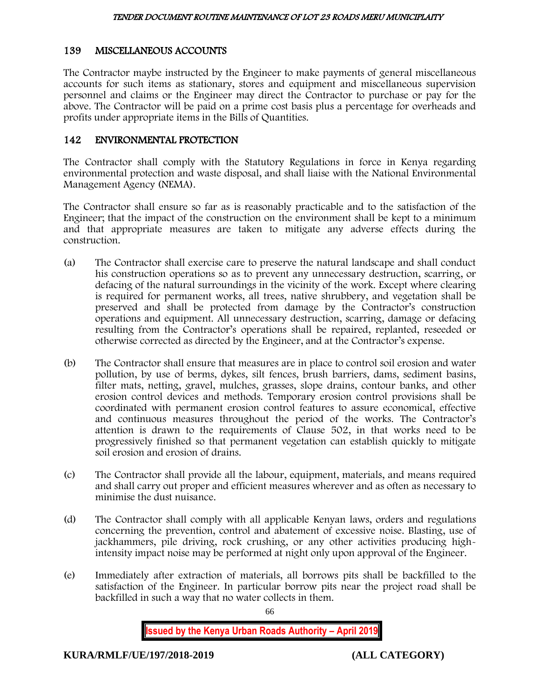# 139 MISCELLANEOUS ACCOUNTS

The Contractor maybe instructed by the Engineer to make payments of general miscellaneous accounts for such items as stationary, stores and equipment and miscellaneous supervision personnel and claims or the Engineer may direct the Contractor to purchase or pay for the above. The Contractor will be paid on a prime cost basis plus a percentage for overheads and profits under appropriate items in the Bills of Quantities.

## 142 ENVIRONMENTAL PROTECTION

The Contractor shall comply with the Statutory Regulations in force in Kenya regarding environmental protection and waste disposal, and shall liaise with the National Environmental Management Agency (NEMA).

The Contractor shall ensure so far as is reasonably practicable and to the satisfaction of the Engineer; that the impact of the construction on the environment shall be kept to a minimum and that appropriate measures are taken to mitigate any adverse effects during the construction.

- (a) The Contractor shall exercise care to preserve the natural landscape and shall conduct his construction operations so as to prevent any unnecessary destruction, scarring, or defacing of the natural surroundings in the vicinity of the work. Except where clearing is required for permanent works, all trees, native shrubbery, and vegetation shall be preserved and shall be protected from damage by the Contractor's construction operations and equipment. All unnecessary destruction, scarring, damage or defacing resulting from the Contractor's operations shall be repaired, replanted, reseeded or otherwise corrected as directed by the Engineer, and at the Contractor's expense.
- (b) The Contractor shall ensure that measures are in place to control soil erosion and water pollution, by use of berms, dykes, silt fences, brush barriers, dams, sediment basins, filter mats, netting, gravel, mulches, grasses, slope drains, contour banks, and other erosion control devices and methods. Temporary erosion control provisions shall be coordinated with permanent erosion control features to assure economical, effective and continuous measures throughout the period of the works. The Contractor's attention is drawn to the requirements of Clause 502, in that works need to be progressively finished so that permanent vegetation can establish quickly to mitigate soil erosion and erosion of drains.
- (c) The Contractor shall provide all the labour, equipment, materials, and means required and shall carry out proper and efficient measures wherever and as often as necessary to minimise the dust nuisance.
- (d) The Contractor shall comply with all applicable Kenyan laws, orders and regulations concerning the prevention, control and abatement of excessive noise. Blasting, use of jackhammers, pile driving, rock crushing, or any other activities producing highintensity impact noise may be performed at night only upon approval of the Engineer.
- (e) Immediately after extraction of materials, all borrows pits shall be backfilled to the satisfaction of the Engineer. In particular borrow pits near the project road shall be backfilled in such a way that no water collects in them.

66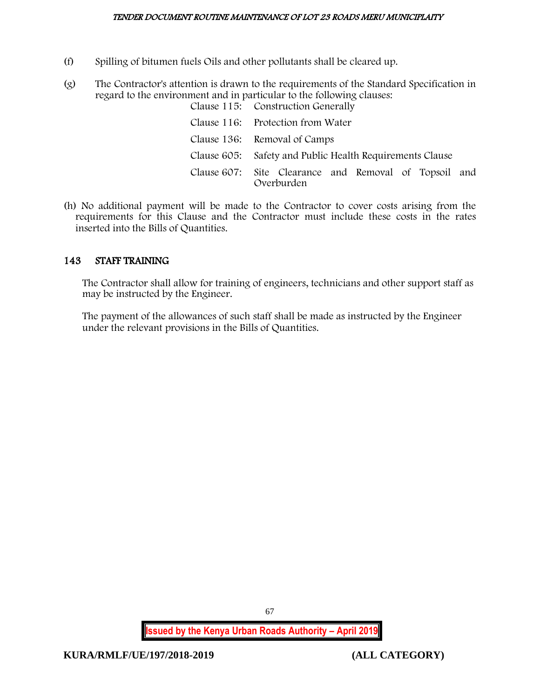- (f) Spilling of bitumen fuels Oils and other pollutants shall be cleared up.
- (g) The Contractor's attention is drawn to the requirements of the Standard Specification in regard to the environment and in particular to the following clauses:

| Clause 115: Construction Generally                                  |
|---------------------------------------------------------------------|
| Clause 116: Protection from Water                                   |
| Clause 136: Removal of Camps                                        |
| Clause 605: Safety and Public Health Requirements Clause            |
| Clause 607: Site Clearance and Removal of Topsoil and<br>Overburden |

(h) No additional payment will be made to the Contractor to cover costs arising from the requirements for this Clause and the Contractor must include these costs in the rates inserted into the Bills of Quantities.

# 143 STAFF TRAINING

The Contractor shall allow for training of engineers, technicians and other support staff as may be instructed by the Engineer.

The payment of the allowances of such staff shall be made as instructed by the Engineer under the relevant provisions in the Bills of Quantities.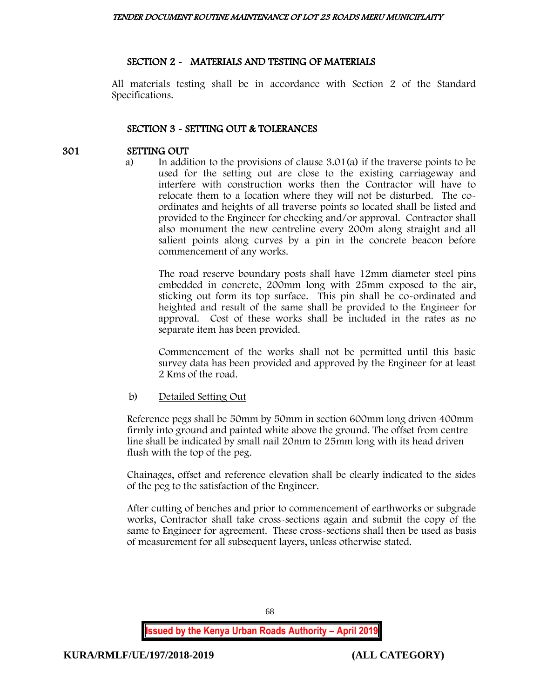## SECTION 2 - MATERIALS AND TESTING OF MATERIALS

All materials testing shall be in accordance with Section 2 of the Standard Specifications.

## SECTION 3 - SETTING OUT & TOLERANCES

## 301 SETTING OUT

a) In addition to the provisions of clause 3.01(a) if the traverse points to be used for the setting out are close to the existing carriageway and interfere with construction works then the Contractor will have to relocate them to a location where they will not be disturbed. The coordinates and heights of all traverse points so located shall be listed and provided to the Engineer for checking and/or approval. Contractor shall also monument the new centreline every 200m along straight and all salient points along curves by a pin in the concrete beacon before commencement of any works.

The road reserve boundary posts shall have 12mm diameter steel pins embedded in concrete, 200mm long with 25mm exposed to the air, sticking out form its top surface. This pin shall be co-ordinated and heighted and result of the same shall be provided to the Engineer for approval. Cost of these works shall be included in the rates as no separate item has been provided.

Commencement of the works shall not be permitted until this basic survey data has been provided and approved by the Engineer for at least 2 Kms of the road.

## b) Detailed Setting Out

Reference pegs shall be 50mm by 50mm in section 600mm long driven 400mm firmly into ground and painted white above the ground. The offset from centre line shall be indicated by small nail 20mm to 25mm long with its head driven flush with the top of the peg.

Chainages, offset and reference elevation shall be clearly indicated to the sides of the peg to the satisfaction of the Engineer.

After cutting of benches and prior to commencement of earthworks or subgrade works, Contractor shall take cross-sections again and submit the copy of the same to Engineer for agreement. These cross-sections shall then be used as basis of measurement for all subsequent layers, unless otherwise stated.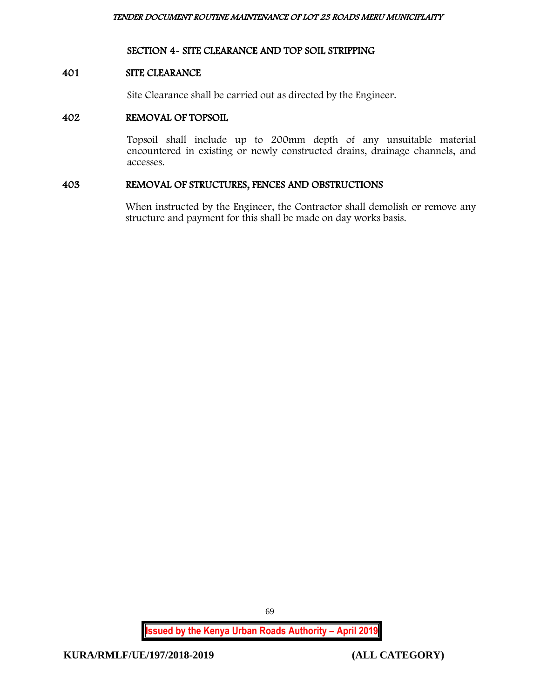## SECTION 4- SITE CLEARANCE AND TOP SOIL STRIPPING

## 401 SITE CLEARANCE

Site Clearance shall be carried out as directed by the Engineer.

## 402 REMOVAL OF TOPSOIL

Topsoil shall include up to 200mm depth of any unsuitable material encountered in existing or newly constructed drains, drainage channels, and accesses.

## 403 REMOVAL OF STRUCTURES, FENCES AND OBSTRUCTIONS

When instructed by the Engineer, the Contractor shall demolish or remove any structure and payment for this shall be made on day works basis.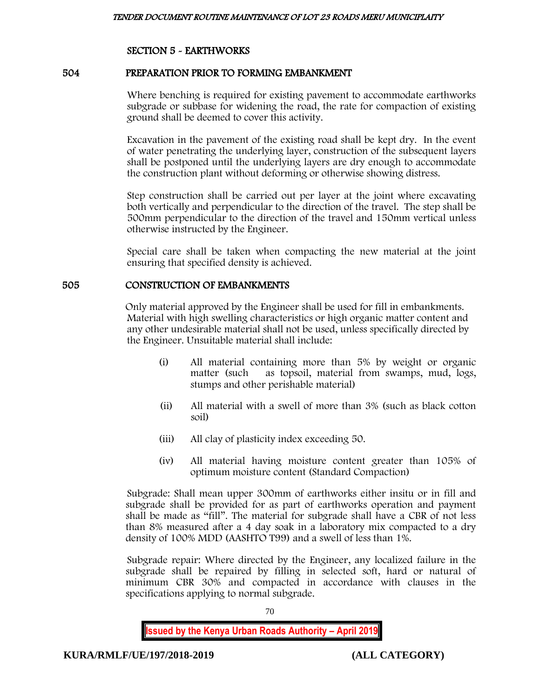## SECTION 5 - EARTHWORKS

## 504 PREPARATION PRIOR TO FORMING EMBANKMENT

Where benching is required for existing pavement to accommodate earthworks subgrade or subbase for widening the road, the rate for compaction of existing ground shall be deemed to cover this activity.

Excavation in the pavement of the existing road shall be kept dry. In the event of water penetrating the underlying layer, construction of the subsequent layers shall be postponed until the underlying layers are dry enough to accommodate the construction plant without deforming or otherwise showing distress.

Step construction shall be carried out per layer at the joint where excavating both vertically and perpendicular to the direction of the travel. The step shall be 500mm perpendicular to the direction of the travel and 150mm vertical unless otherwise instructed by the Engineer.

Special care shall be taken when compacting the new material at the joint ensuring that specified density is achieved.

## 505 CONSTRUCTION OF EMBANKMENTS

Only material approved by the Engineer shall be used for fill in embankments. Material with high swelling characteristics or high organic matter content and any other undesirable material shall not be used, unless specifically directed by the Engineer. Unsuitable material shall include:

- (i) All material containing more than 5% by weight or organic matter (such as topsoil, material from swamps, mud, logs, stumps and other perishable material)
- (ii) All material with a swell of more than 3% (such as black cotton soil)
- (iii) All clay of plasticity index exceeding 50.
- (iv) All material having moisture content greater than 105% of optimum moisture content (Standard Compaction)

Subgrade: Shall mean upper 300mm of earthworks either insitu or in fill and subgrade shall be provided for as part of earthworks operation and payment shall be made as "fill". The material for subgrade shall have a CBR of not less than 8% measured after a 4 day soak in a laboratory mix compacted to a dry density of 100% MDD (AASHTO T99) and a swell of less than 1%.

Subgrade repair: Where directed by the Engineer, any localized failure in the subgrade shall be repaired by filling in selected soft, hard or natural of minimum CBR 30% and compacted in accordance with clauses in the specifications applying to normal subgrade.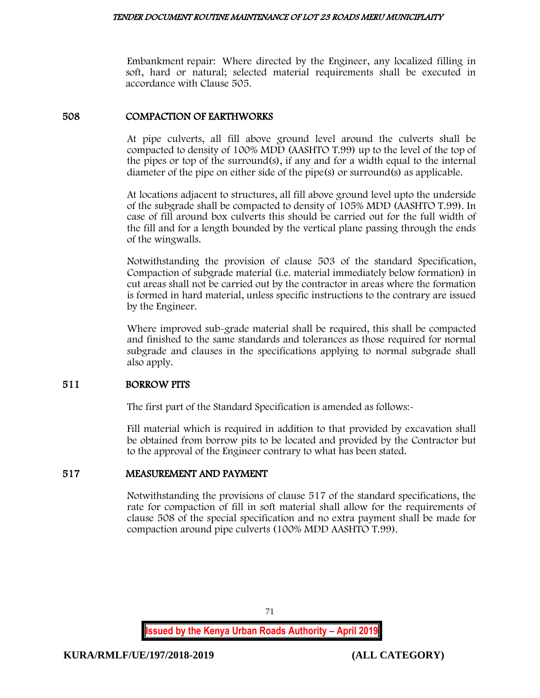Embankment repair: Where directed by the Engineer, any localized filling in soft, hard or natural; selected material requirements shall be executed in accordance with Clause 505.

## 508 COMPACTION OF EARTHWORKS

At pipe culverts, all fill above ground level around the culverts shall be compacted to density of 100% MDD (AASHTO T.99) up to the level of the top of the pipes or top of the surround(s), if any and for a width equal to the internal diameter of the pipe on either side of the pipe(s) or surround(s) as applicable.

At locations adjacent to structures, all fill above ground level upto the underside of the subgrade shall be compacted to density of 105% MDD (AASHTO T.99). In case of fill around box culverts this should be carried out for the full width of the fill and for a length bounded by the vertical plane passing through the ends of the wingwalls.

Notwithstanding the provision of clause 503 of the standard Specification, Compaction of subgrade material (i.e. material immediately below formation) in cut areas shall not be carried out by the contractor in areas where the formation is formed in hard material, unless specific instructions to the contrary are issued by the Engineer.

Where improved sub-grade material shall be required, this shall be compacted and finished to the same standards and tolerances as those required for normal subgrade and clauses in the specifications applying to normal subgrade shall also apply.

## 511 BORROW PITS

The first part of the Standard Specification is amended as follows:-

Fill material which is required in addition to that provided by excavation shall be obtained from borrow pits to be located and provided by the Contractor but to the approval of the Engineer contrary to what has been stated.

## 517 MEASUREMENT AND PAYMENT

Notwithstanding the provisions of clause 517 of the standard specifications, the rate for compaction of fill in soft material shall allow for the requirements of clause 508 of the special specification and no extra payment shall be made for compaction around pipe culverts (100% MDD AASHTO T.99).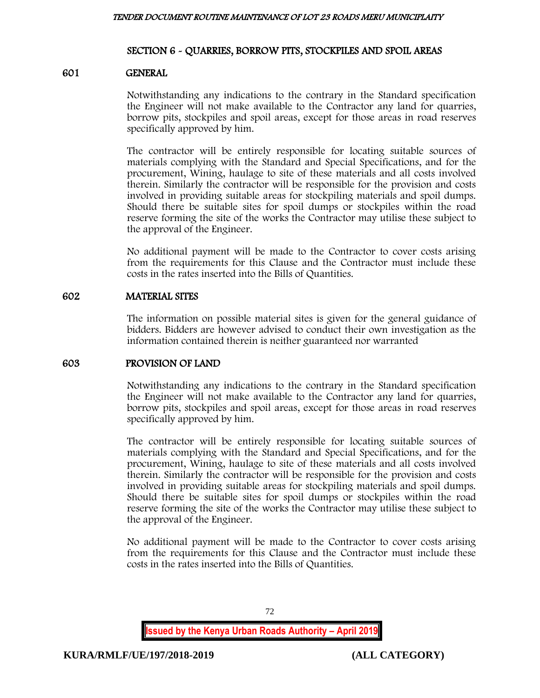## SECTION 6 - QUARRIES, BORROW PITS, STOCKPILES AND SPOIL AREAS

## 601 GENERAL

Notwithstanding any indications to the contrary in the Standard specification the Engineer will not make available to the Contractor any land for quarries, borrow pits, stockpiles and spoil areas, except for those areas in road reserves specifically approved by him.

The contractor will be entirely responsible for locating suitable sources of materials complying with the Standard and Special Specifications, and for the procurement, Wining, haulage to site of these materials and all costs involved therein. Similarly the contractor will be responsible for the provision and costs involved in providing suitable areas for stockpiling materials and spoil dumps. Should there be suitable sites for spoil dumps or stockpiles within the road reserve forming the site of the works the Contractor may utilise these subject to the approval of the Engineer.

No additional payment will be made to the Contractor to cover costs arising from the requirements for this Clause and the Contractor must include these costs in the rates inserted into the Bills of Quantities.

## 602 MATERIAL SITES

The information on possible material sites is given for the general guidance of bidders. Bidders are however advised to conduct their own investigation as the information contained therein is neither guaranteed nor warranted

## 603 PROVISION OF LAND

Notwithstanding any indications to the contrary in the Standard specification the Engineer will not make available to the Contractor any land for quarries, borrow pits, stockpiles and spoil areas, except for those areas in road reserves specifically approved by him.

The contractor will be entirely responsible for locating suitable sources of materials complying with the Standard and Special Specifications, and for the procurement, Wining, haulage to site of these materials and all costs involved therein. Similarly the contractor will be responsible for the provision and costs involved in providing suitable areas for stockpiling materials and spoil dumps. Should there be suitable sites for spoil dumps or stockpiles within the road reserve forming the site of the works the Contractor may utilise these subject to the approval of the Engineer.

No additional payment will be made to the Contractor to cover costs arising from the requirements for this Clause and the Contractor must include these costs in the rates inserted into the Bills of Quantities.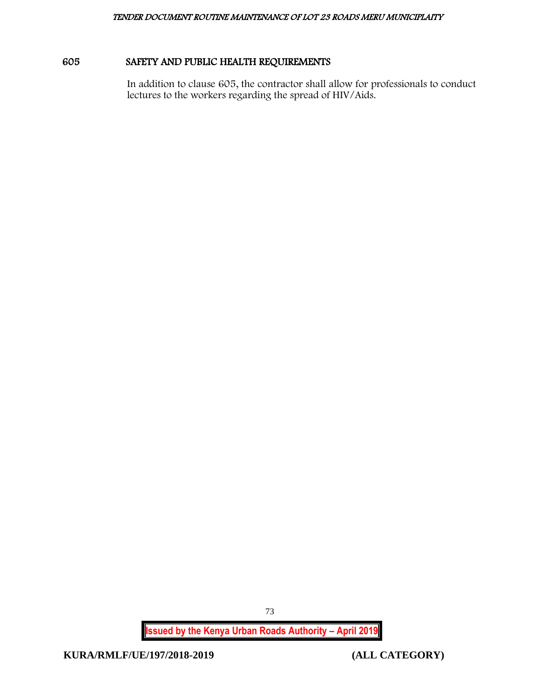# 605 SAFETY AND PUBLIC HEALTH REQUIREMENTS

In addition to clause 605, the contractor shall allow for professionals to conduct lectures to the workers regarding the spread of HIV/Aids.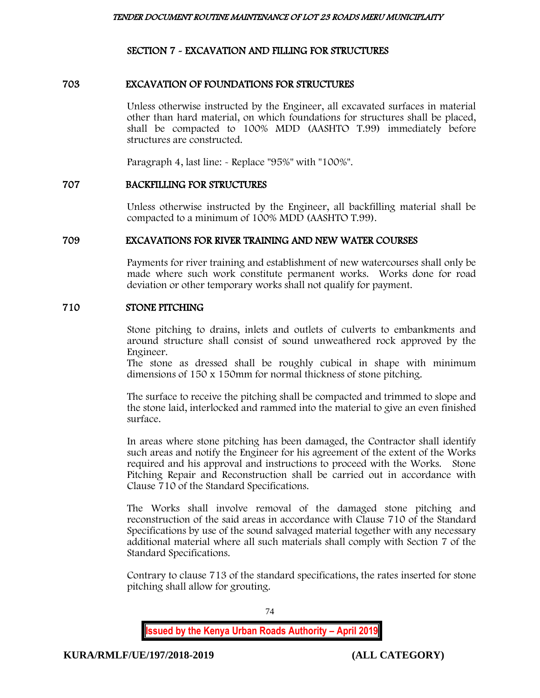# SECTION 7 - EXCAVATION AND FILLING FOR STRUCTURES

## 703 EXCAVATION OF FOUNDATIONS FOR STRUCTURES

Unless otherwise instructed by the Engineer, all excavated surfaces in material other than hard material, on which foundations for structures shall be placed, shall be compacted to 100% MDD (AASHTO T.99) immediately before structures are constructed.

Paragraph 4, last line:  $\sim$  Replace "95%" with "100%".

## 707 BACKFILLING FOR STRUCTURES

Unless otherwise instructed by the Engineer, all backfilling material shall be compacted to a minimum of 100% MDD (AASHTO T.99).

## 709 EXCAVATIONS FOR RIVER TRAINING AND NEW WATER COURSES

Payments for river training and establishment of new watercourses shall only be made where such work constitute permanent works. Works done for road deviation or other temporary works shall not qualify for payment.

## 710 STONE PITCHING

Stone pitching to drains, inlets and outlets of culverts to embankments and around structure shall consist of sound unweathered rock approved by the Engineer.

The stone as dressed shall be roughly cubical in shape with minimum dimensions of 150 x 150mm for normal thickness of stone pitching.

The surface to receive the pitching shall be compacted and trimmed to slope and the stone laid, interlocked and rammed into the material to give an even finished surface.

In areas where stone pitching has been damaged, the Contractor shall identify such areas and notify the Engineer for his agreement of the extent of the Works required and his approval and instructions to proceed with the Works. Stone Pitching Repair and Reconstruction shall be carried out in accordance with Clause 710 of the Standard Specifications.

The Works shall involve removal of the damaged stone pitching and reconstruction of the said areas in accordance with Clause 710 of the Standard Specifications by use of the sound salvaged material together with any necessary additional material where all such materials shall comply with Section 7 of the Standard Specifications.

Contrary to clause 713 of the standard specifications, the rates inserted for stone pitching shall allow for grouting.

74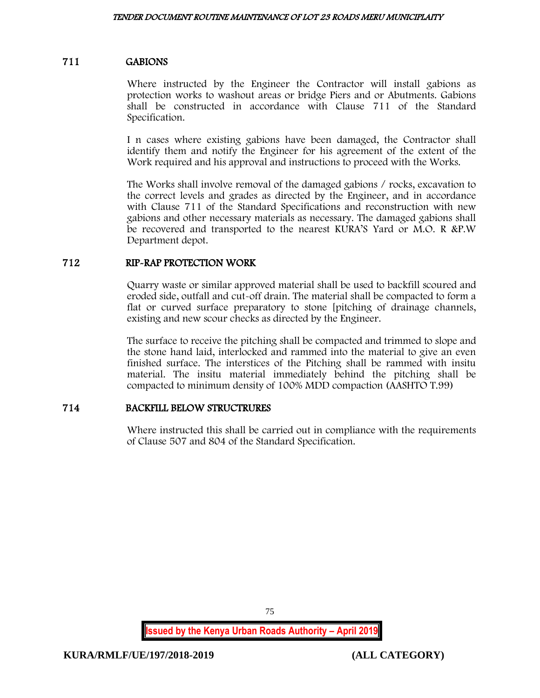## 711 GABIONS

Where instructed by the Engineer the Contractor will install gabions as protection works to washout areas or bridge Piers and or Abutments. Gabions shall be constructed in accordance with Clause 711 of the Standard Specification.

I n cases where existing gabions have been damaged, the Contractor shall identify them and notify the Engineer for his agreement of the extent of the Work required and his approval and instructions to proceed with the Works.

The Works shall involve removal of the damaged gabions / rocks, excavation to the correct levels and grades as directed by the Engineer, and in accordance with Clause 711 of the Standard Specifications and reconstruction with new gabions and other necessary materials as necessary. The damaged gabions shall be recovered and transported to the nearest KURA'S Yard or M.O. R &P.W Department depot.

## 712 RIP-RAP PROTECTION WORK

Quarry waste or similar approved material shall be used to backfill scoured and eroded side, outfall and cut-off drain. The material shall be compacted to form a flat or curved surface preparatory to stone [pitching of drainage channels, existing and new scour checks as directed by the Engineer.

The surface to receive the pitching shall be compacted and trimmed to slope and the stone hand laid, interlocked and rammed into the material to give an even finished surface. The interstices of the Pitching shall be rammed with insitu material. The insitu material immediately behind the pitching shall be compacted to minimum density of 100% MDD compaction (AASHTO T.99)

## 714 BACKFILL BELOW STRUCTRURES

Where instructed this shall be carried out in compliance with the requirements of Clause 507 and 804 of the Standard Specification.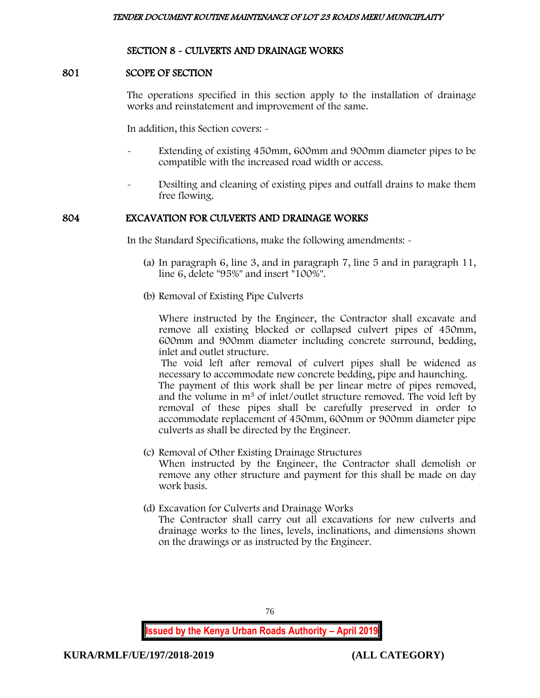## SECTION 8 - CULVERTS AND DRAINAGE WORKS

#### 801 SCOPE OF SECTION

The operations specified in this section apply to the installation of drainage works and reinstatement and improvement of the same.

In addition, this Section covers: -

- Extending of existing 450mm, 600mm and 900mm diameter pipes to be compatible with the increased road width or access.
- Desilting and cleaning of existing pipes and outfall drains to make them free flowing.

## 804 EXCAVATION FOR CULVERTS AND DRAINAGE WORKS

In the Standard Specifications, make the following amendments: -

- (a) In paragraph 6, line 3, and in paragraph 7, line 5 and in paragraph 11, line 6, delete "95%" and insert "100%".
- (b) Removal of Existing Pipe Culverts

Where instructed by the Engineer, the Contractor shall excavate and remove all existing blocked or collapsed culvert pipes of 450mm, 600mm and 900mm diameter including concrete surround, bedding, inlet and outlet structure.

The void left after removal of culvert pipes shall be widened as necessary to accommodate new concrete bedding, pipe and haunching.

The payment of this work shall be per linear metre of pipes removed, and the volume in m<sup>3</sup> of inlet/outlet structure removed. The void left by removal of these pipes shall be carefully preserved in order to accommodate replacement of 450mm, 600mm or 900mm diameter pipe culverts as shall be directed by the Engineer.

- (c) Removal of Other Existing Drainage Structures When instructed by the Engineer, the Contractor shall demolish or remove any other structure and payment for this shall be made on day work basis.
- (d) Excavation for Culverts and Drainage Works

The Contractor shall carry out all excavations for new culverts and drainage works to the lines, levels, inclinations, and dimensions shown on the drawings or as instructed by the Engineer.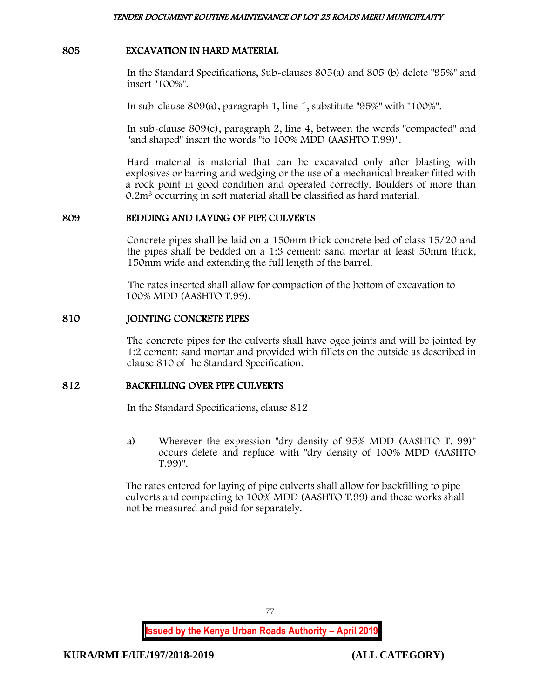## 805 EXCAVATION IN HARD MATERIAL

In the Standard Specifications, Sub-clauses 805(a) and 805 (b) delete "95%" and insert "100%".

In sub-clause 809(a), paragraph 1, line 1, substitute "95%" with "100%".

In sub-clause 809(c), paragraph 2, line 4, between the words "compacted" and "and shaped" insert the words "to 100% MDD (AASHTO T.99)".

Hard material is material that can be excavated only after blasting with explosives or barring and wedging or the use of a mechanical breaker fitted with a rock point in good condition and operated correctly. Boulders of more than 0.2m<sup>3</sup> occurring in soft material shall be classified as hard material.

## 809 BEDDING AND LAYING OF PIPE CULVERTS

Concrete pipes shall be laid on a 150mm thick concrete bed of class 15/20 and the pipes shall be bedded on a 1:3 cement: sand mortar at least 50mm thick, 150mm wide and extending the full length of the barrel.

The rates inserted shall allow for compaction of the bottom of excavation to 100% MDD (AASHTO T.99).

## 810 JOINTING CONCRETE PIPES

The concrete pipes for the culverts shall have ogee joints and will be jointed by 1:2 cement: sand mortar and provided with fillets on the outside as described in clause 810 of the Standard Specification.

## 812 BACKFILLING OVER PIPE CULVERTS

In the Standard Specifications, clause 812

a) Wherever the expression "dry density of 95% MDD (AASHTO T. 99)" occurs delete and replace with "dry density of 100% MDD (AASHTO T.99)".

The rates entered for laying of pipe culverts shall allow for backfilling to pipe culverts and compacting to 100% MDD (AASHTO T.99) and these works shall not be measured and paid for separately.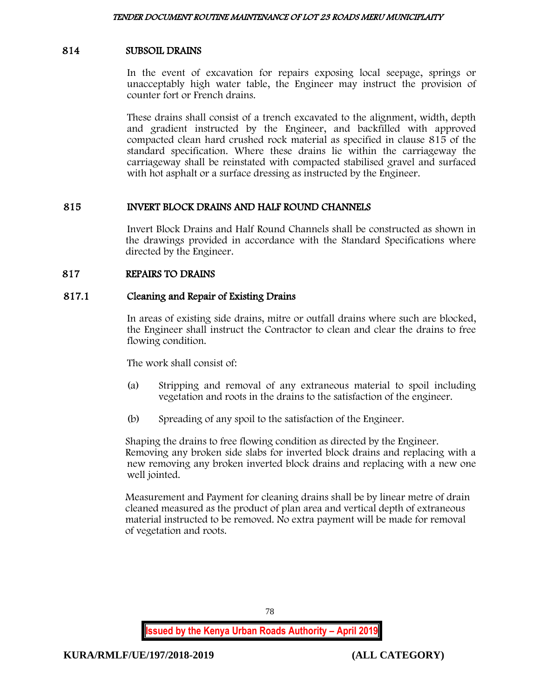## 814 SUBSOIL DRAINS

In the event of excavation for repairs exposing local seepage, springs or unacceptably high water table, the Engineer may instruct the provision of counter fort or French drains.

These drains shall consist of a trench excavated to the alignment, width, depth and gradient instructed by the Engineer, and backfilled with approved compacted clean hard crushed rock material as specified in clause 815 of the standard specification. Where these drains lie within the carriageway the carriageway shall be reinstated with compacted stabilised gravel and surfaced with hot asphalt or a surface dressing as instructed by the Engineer.

## 815 INVERT BLOCK DRAINS AND HALF ROUND CHANNELS

Invert Block Drains and Half Round Channels shall be constructed as shown in the drawings provided in accordance with the Standard Specifications where directed by the Engineer.

## 817 REPAIRS TO DRAINS

## 817.1 Cleaning and Repair of Existing Drains

In areas of existing side drains, mitre or outfall drains where such are blocked, the Engineer shall instruct the Contractor to clean and clear the drains to free flowing condition.

The work shall consist of:

- (a) Stripping and removal of any extraneous material to spoil including vegetation and roots in the drains to the satisfaction of the engineer.
- (b) Spreading of any spoil to the satisfaction of the Engineer.

Shaping the drains to free flowing condition as directed by the Engineer. Removing any broken side slabs for inverted block drains and replacing with a new removing any broken inverted block drains and replacing with a new one well jointed.

Measurement and Payment for cleaning drains shall be by linear metre of drain cleaned measured as the product of plan area and vertical depth of extraneous material instructed to be removed. No extra payment will be made for removal of vegetation and roots.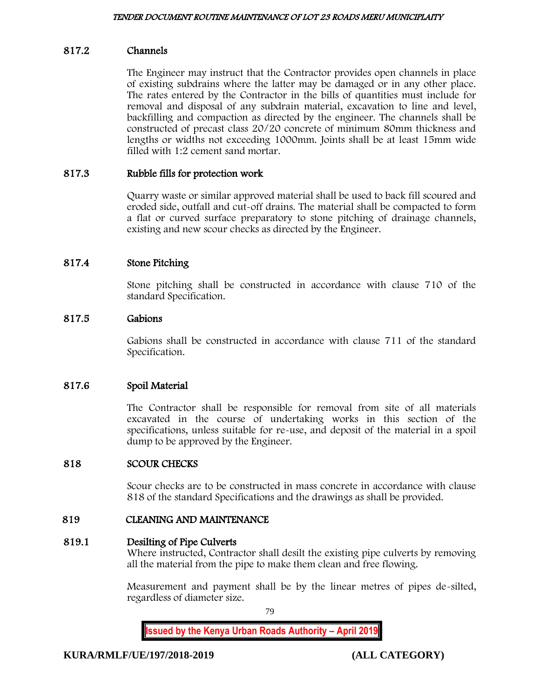## 817.2 Channels

The Engineer may instruct that the Contractor provides open channels in place of existing subdrains where the latter may be damaged or in any other place. The rates entered by the Contractor in the bills of quantities must include for removal and disposal of any subdrain material, excavation to line and level, backfilling and compaction as directed by the engineer. The channels shall be constructed of precast class 20/20 concrete of minimum 80mm thickness and lengths or widths not exceeding 1000mm. Joints shall be at least 15mm wide filled with 1:2 cement sand mortar.

## 817.3 Rubble fills for protection work

Quarry waste or similar approved material shall be used to back fill scoured and eroded side, outfall and cut-off drains. The material shall be compacted to form a flat or curved surface preparatory to stone pitching of drainage channels, existing and new scour checks as directed by the Engineer.

## 817.4 Stone Pitching

Stone pitching shall be constructed in accordance with clause 710 of the standard Specification.

#### 817.5 Gabions

Gabions shall be constructed in accordance with clause 711 of the standard Specification.

## 817.6 Spoil Material

The Contractor shall be responsible for removal from site of all materials excavated in the course of undertaking works in this section of the specifications, unless suitable for re-use, and deposit of the material in a spoil dump to be approved by the Engineer.

#### 818 SCOUR CHECKS

Scour checks are to be constructed in mass concrete in accordance with clause 818 of the standard Specifications and the drawings as shall be provided.

#### 819 CLEANING AND MAINTENANCE

#### 819.1 Desilting of Pipe Culverts

Where instructed, Contractor shall desilt the existing pipe culverts by removing all the material from the pipe to make them clean and free flowing.

Measurement and payment shall be by the linear metres of pipes de-silted, regardless of diameter size.

79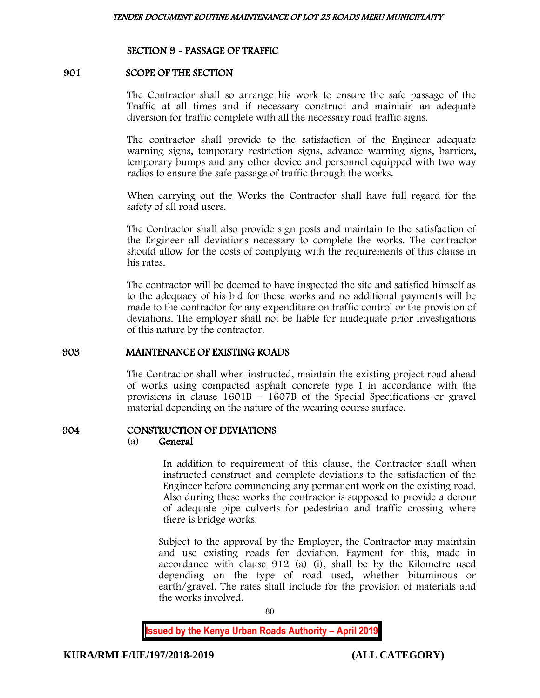## SECTION 9 - PASSAGE OF TRAFFIC

#### 901 SCOPE OF THE SECTION

The Contractor shall so arrange his work to ensure the safe passage of the Traffic at all times and if necessary construct and maintain an adequate diversion for traffic complete with all the necessary road traffic signs.

The contractor shall provide to the satisfaction of the Engineer adequate warning signs, temporary restriction signs, advance warning signs, barriers, temporary bumps and any other device and personnel equipped with two way radios to ensure the safe passage of traffic through the works.

When carrying out the Works the Contractor shall have full regard for the safety of all road users.

The Contractor shall also provide sign posts and maintain to the satisfaction of the Engineer all deviations necessary to complete the works. The contractor should allow for the costs of complying with the requirements of this clause in his rates.

The contractor will be deemed to have inspected the site and satisfied himself as to the adequacy of his bid for these works and no additional payments will be made to the contractor for any expenditure on traffic control or the provision of deviations. The employer shall not be liable for inadequate prior investigations of this nature by the contractor.

#### 903 MAINTENANCE OF EXISTING ROADS

The Contractor shall when instructed, maintain the existing project road ahead of works using compacted asphalt concrete type I in accordance with the provisions in clause  $1601B - 1607B$  of the Special Specifications or gravel material depending on the nature of the wearing course surface.

## 904 CONSTRUCTION OF DEVIATIONS

#### (a) General

In addition to requirement of this clause, the Contractor shall when instructed construct and complete deviations to the satisfaction of the Engineer before commencing any permanent work on the existing road. Also during these works the contractor is supposed to provide a detour of adequate pipe culverts for pedestrian and traffic crossing where there is bridge works.

Subject to the approval by the Employer, the Contractor may maintain and use existing roads for deviation. Payment for this, made in accordance with clause 912 (a) (i), shall be by the Kilometre used depending on the type of road used, whether bituminous or earth/gravel. The rates shall include for the provision of materials and the works involved.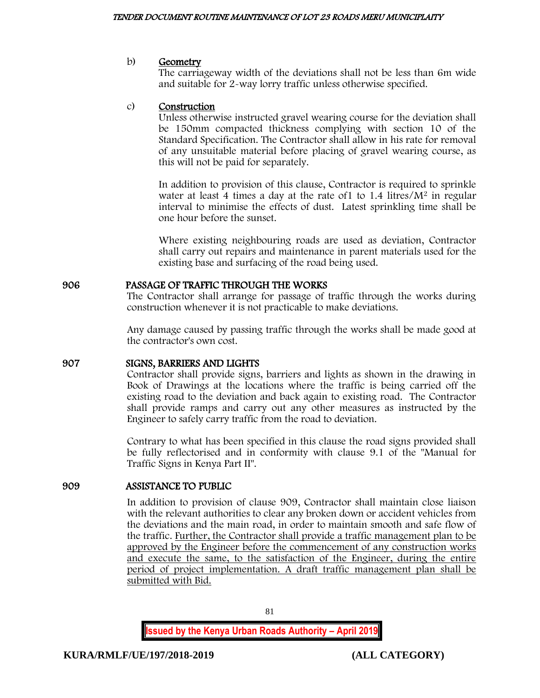#### b) Geometry

The carriageway width of the deviations shall not be less than 6m wide and suitable for 2-way lorry traffic unless otherwise specified.

## c) Construction

Unless otherwise instructed gravel wearing course for the deviation shall be 150mm compacted thickness complying with section 10 of the Standard Specification. The Contractor shall allow in his rate for removal of any unsuitable material before placing of gravel wearing course, as this will not be paid for separately.

In addition to provision of this clause, Contractor is required to sprinkle water at least 4 times a day at the rate of 1 to 1.4 litres/ $M^2$  in regular interval to minimise the effects of dust. Latest sprinkling time shall be one hour before the sunset.

Where existing neighbouring roads are used as deviation, Contractor shall carry out repairs and maintenance in parent materials used for the existing base and surfacing of the road being used.

## 906 PASSAGE OF TRAFFIC THROUGH THE WORKS

The Contractor shall arrange for passage of traffic through the works during construction whenever it is not practicable to make deviations.

Any damage caused by passing traffic through the works shall be made good at the contractor's own cost.

## 907 SIGNS, BARRIERS AND LIGHTS

Contractor shall provide signs, barriers and lights as shown in the drawing in Book of Drawings at the locations where the traffic is being carried off the existing road to the deviation and back again to existing road. The Contractor shall provide ramps and carry out any other measures as instructed by the Engineer to safely carry traffic from the road to deviation.

Contrary to what has been specified in this clause the road signs provided shall be fully reflectorised and in conformity with clause 9.1 of the "Manual for Traffic Signs in Kenya Part II".

## 909 ASSISTANCE TO PUBLIC

In addition to provision of clause 909, Contractor shall maintain close liaison with the relevant authorities to clear any broken down or accident vehicles from the deviations and the main road, in order to maintain smooth and safe flow of the traffic. Further, the Contractor shall provide a traffic management plan to be approved by the Engineer before the commencement of any construction works and execute the same, to the satisfaction of the Engineer, during the entire period of project implementation. A draft traffic management plan shall be submitted with Bid.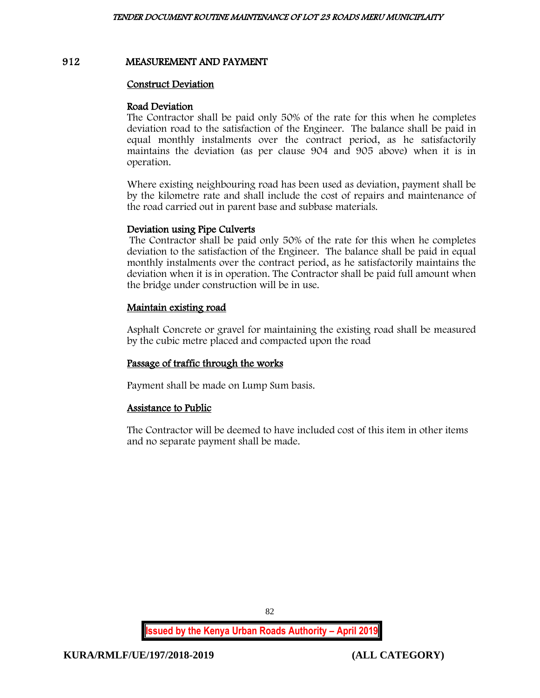### 912 MEASUREMENT AND PAYMENT

#### Construct Deviation

#### Road Deviation

The Contractor shall be paid only 50% of the rate for this when he completes deviation road to the satisfaction of the Engineer. The balance shall be paid in equal monthly instalments over the contract period, as he satisfactorily maintains the deviation (as per clause 904 and 905 above) when it is in operation.

Where existing neighbouring road has been used as deviation, payment shall be by the kilometre rate and shall include the cost of repairs and maintenance of the road carried out in parent base and subbase materials.

## Deviation using Pipe Culverts

The Contractor shall be paid only 50% of the rate for this when he completes deviation to the satisfaction of the Engineer. The balance shall be paid in equal monthly instalments over the contract period, as he satisfactorily maintains the deviation when it is in operation. The Contractor shall be paid full amount when the bridge under construction will be in use.

## Maintain existing road

Asphalt Concrete or gravel for maintaining the existing road shall be measured by the cubic metre placed and compacted upon the road

## Passage of traffic through the works

Payment shall be made on Lump Sum basis.

## Assistance to Public

The Contractor will be deemed to have included cost of this item in other items and no separate payment shall be made.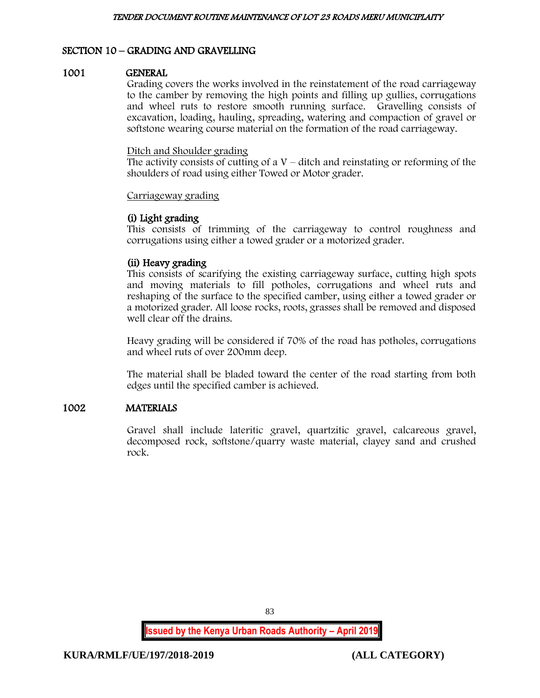# SECTION 10 – GRADING AND GRAVELLING

#### 1001 GENERAL

Grading covers the works involved in the reinstatement of the road carriageway to the camber by removing the high points and filling up gullies, corrugations and wheel ruts to restore smooth running surface. Gravelling consists of excavation, loading, hauling, spreading, watering and compaction of gravel or softstone wearing course material on the formation of the road carriageway.

#### Ditch and Shoulder grading

The activity consists of cutting of a  $V$  – ditch and reinstating or reforming of the shoulders of road using either Towed or Motor grader.

#### Carriageway grading

## (i) Light grading

This consists of trimming of the carriageway to control roughness and corrugations using either a towed grader or a motorized grader.

## (ii) Heavy grading

This consists of scarifying the existing carriageway surface, cutting high spots and moving materials to fill potholes, corrugations and wheel ruts and reshaping of the surface to the specified camber, using either a towed grader or a motorized grader. All loose rocks, roots, grasses shall be removed and disposed well clear off the drains.

Heavy grading will be considered if 70% of the road has potholes, corrugations and wheel ruts of over 200mm deep.

The material shall be bladed toward the center of the road starting from both edges until the specified camber is achieved.

## 1002 MATERIALS

Gravel shall include lateritic gravel, quartzitic gravel, calcareous gravel, decomposed rock, softstone/quarry waste material, clayey sand and crushed rock.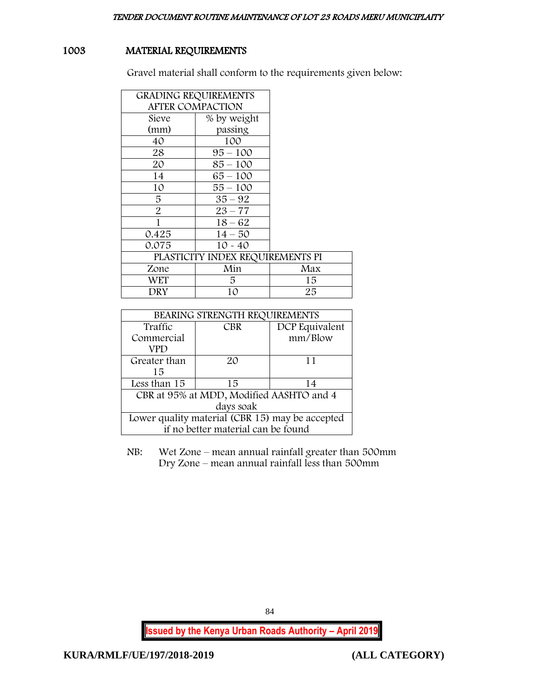# 1003 MATERIAL REQUIREMENTS

Gravel material shall conform to the requirements given below:

|                         | <b>GRADING REQUIREMENTS</b>      |     |
|-------------------------|----------------------------------|-----|
| <b>AFTER COMPACTION</b> |                                  |     |
| Sieve                   | % by weight                      |     |
| (mm)                    | passing                          |     |
| 40                      | 100                              |     |
| 28                      | $95 - 100$                       |     |
| 20                      | $85 - 100$                       |     |
| 14                      | $65 - 100$                       |     |
| 10                      | $55 - 100$                       |     |
| 5                       | $35 - 92$                        |     |
| 2                       | $23 - 77$                        |     |
| 1                       | $18 - 62$                        |     |
| 0.425                   | $14 - 50$                        |     |
| 0.075                   | $10 - 40$                        |     |
|                         | PLASTICITY INDEX REQUIREMENTS PI |     |
| Zone                    | Min                              | Max |
| WET                     | 5.                               | 15  |
| DRY                     | 10                               | 25  |

| BEARING STRENGTH REQUIREMENTS                   |            |                |
|-------------------------------------------------|------------|----------------|
| Traffic                                         | <b>CBR</b> | DCP Equivalent |
| Commercial                                      |            | mm/Blow        |
| VPD                                             |            |                |
| Greater than                                    | 20         | 11             |
| 15                                              |            |                |
| Less than 15                                    | 15         | 14             |
| CBR at 95% at MDD, Modified AASHTO and 4        |            |                |
| days soak                                       |            |                |
| Lower quality material (CBR 15) may be accepted |            |                |
| if no better material can be found              |            |                |

NB: Wet Zone – mean annual rainfall greater than 500mm Dry Zone – mean annual rainfall less than 500mm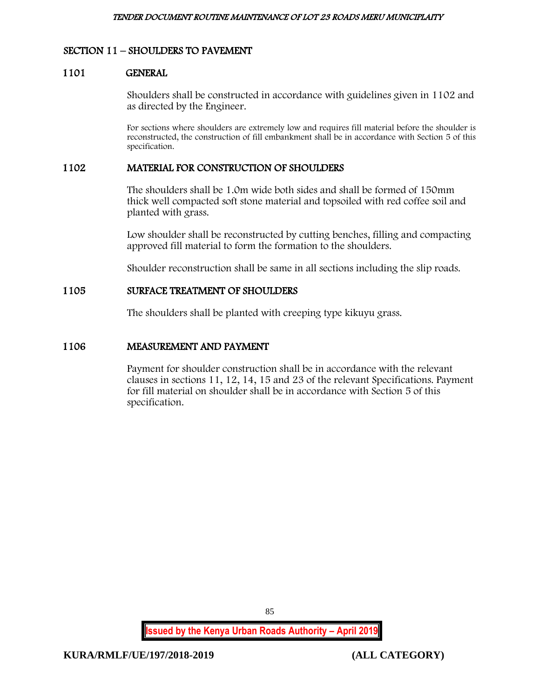## SECTION 11 – SHOULDERS TO PAVEMENT

#### 1101 GENERAL

Shoulders shall be constructed in accordance with guidelines given in 1102 and as directed by the Engineer.

For sections where shoulders are extremely low and requires fill material before the shoulder is reconstructed, the construction of fill embankment shall be in accordance with Section 5 of this specification.

#### 1102 MATERIAL FOR CONSTRUCTION OF SHOULDERS

The shoulders shall be 1.0m wide both sides and shall be formed of 150mm thick well compacted soft stone material and topsoiled with red coffee soil and planted with grass.

Low shoulder shall be reconstructed by cutting benches, filling and compacting approved fill material to form the formation to the shoulders.

Shoulder reconstruction shall be same in all sections including the slip roads.

## 1105 SURFACE TREATMENT OF SHOULDERS

The shoulders shall be planted with creeping type kikuyu grass.

#### 1106 MEASUREMENT AND PAYMENT

Payment for shoulder construction shall be in accordance with the relevant clauses in sections 11, 12, 14, 15 and 23 of the relevant Specifications. Payment for fill material on shoulder shall be in accordance with Section 5 of this specification.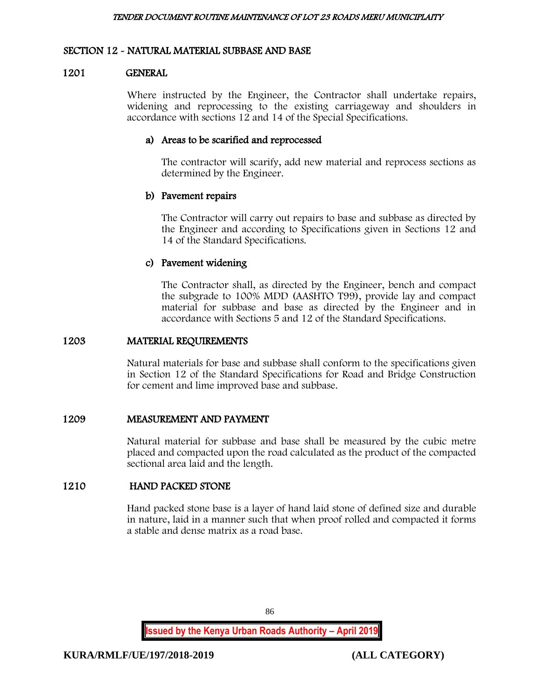## SECTION 12 - NATURAL MATERIAL SUBBASE AND BASE

#### 1201 GENERAL

Where instructed by the Engineer, the Contractor shall undertake repairs, widening and reprocessing to the existing carriageway and shoulders in accordance with sections 12 and 14 of the Special Specifications.

## a) Areas to be scarified and reprocessed

The contractor will scarify, add new material and reprocess sections as determined by the Engineer.

## b) Pavement repairs

The Contractor will carry out repairs to base and subbase as directed by the Engineer and according to Specifications given in Sections 12 and 14 of the Standard Specifications.

## c) Pavement widening

The Contractor shall, as directed by the Engineer, bench and compact the subgrade to 100% MDD (AASHTO T99), provide lay and compact material for subbase and base as directed by the Engineer and in accordance with Sections 5 and 12 of the Standard Specifications.

## 1203 MATERIAL REQUIREMENTS

Natural materials for base and subbase shall conform to the specifications given in Section 12 of the Standard Specifications for Road and Bridge Construction for cement and lime improved base and subbase.

## 1209 MEASUREMENT AND PAYMENT

Natural material for subbase and base shall be measured by the cubic metre placed and compacted upon the road calculated as the product of the compacted sectional area laid and the length.

## 1210 HAND PACKED STONE

Hand packed stone base is a layer of hand laid stone of defined size and durable in nature, laid in a manner such that when proof rolled and compacted it forms a stable and dense matrix as a road base.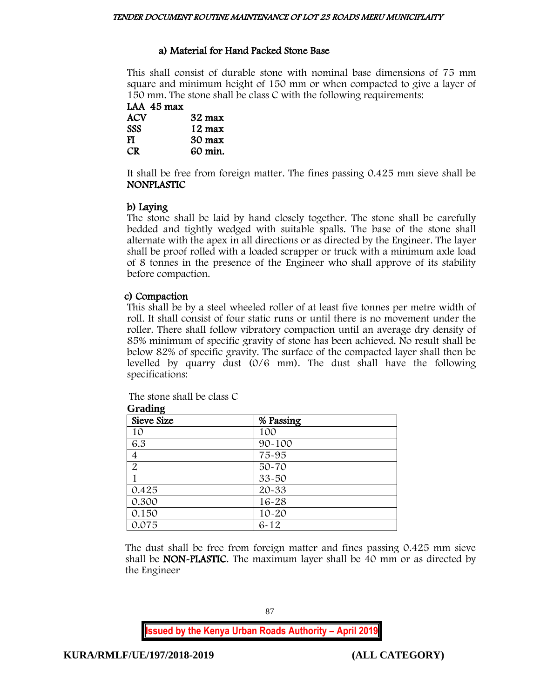# a) Material for Hand Packed Stone Base

This shall consist of durable stone with nominal base dimensions of 75 mm square and minimum height of 150 mm or when compacted to give a layer of 150 mm. The stone shall be class C with the following requirements:

LAA 45 max  $32$  max SSS 12 max FI 30 max CR 60 min.

It shall be free from foreign matter. The fines passing 0.425 mm sieve shall be NONPLASTIC

# b) Laying

The stone shall be laid by hand closely together. The stone shall be carefully bedded and tightly wedged with suitable spalls. The base of the stone shall alternate with the apex in all directions or as directed by the Engineer. The layer shall be proof rolled with a loaded scrapper or truck with a minimum axle load of 8 tonnes in the presence of the Engineer who shall approve of its stability before compaction.

# c) Compaction

This shall be by a steel wheeled roller of at least five tonnes per metre width of roll. It shall consist of four static runs or until there is no movement under the roller. There shall follow vibratory compaction until an average dry density of 85% minimum of specific gravity of stone has been achieved. No result shall be below 82% of specific gravity. The surface of the compacted layer shall then be levelled by quarry dust (0/6 mm). The dust shall have the following specifications:

| Arading        |            |  |
|----------------|------------|--|
| Sieve Size     | % Passing  |  |
| 10             | 100        |  |
| 6.3            | $90 - 100$ |  |
| 4              | 75-95      |  |
| $\overline{2}$ | $50 - 70$  |  |
|                | 33-50      |  |
| 0.425          | 20-33      |  |
| 0.300          | $16 - 28$  |  |
| 0.150          | $10 - 20$  |  |
| 0.075          | $6 - 12$   |  |

The stone shall be class C  $G \cup P$ 

The dust shall be free from foreign matter and fines passing 0.425 mm sieve shall be NON-PLASTIC. The maximum layer shall be 40 mm or as directed by the Engineer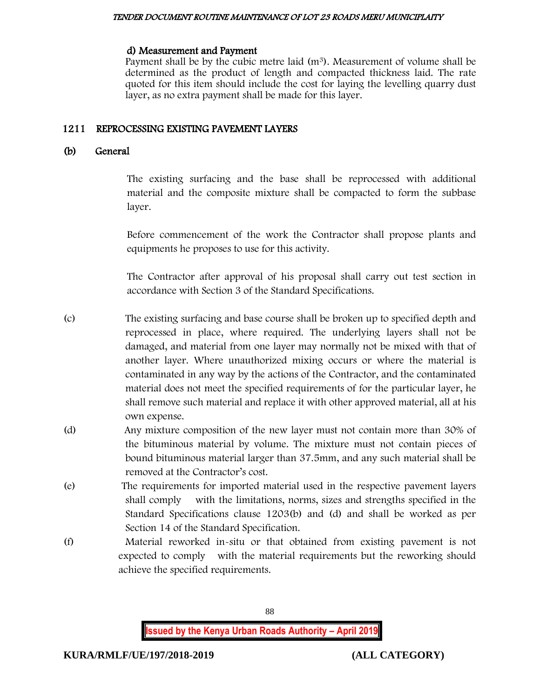#### TENDER DOCUMENT ROUTINE MAINTENANCE OF LOT 23 ROADS MERU MUNICIPLAITY

#### d) Measurement and Payment

Payment shall be by the cubic metre laid  $(m<sup>3</sup>)$ . Measurement of volume shall be determined as the product of length and compacted thickness laid. The rate quoted for this item should include the cost for laying the levelling quarry dust layer, as no extra payment shall be made for this layer.

## 1211 REPROCESSING EXISTING PAVEMENT LAYERS

## (b) General

The existing surfacing and the base shall be reprocessed with additional material and the composite mixture shall be compacted to form the subbase layer.

Before commencement of the work the Contractor shall propose plants and equipments he proposes to use for this activity.

The Contractor after approval of his proposal shall carry out test section in accordance with Section 3 of the Standard Specifications.

- (c) The existing surfacing and base course shall be broken up to specified depth and reprocessed in place, where required. The underlying layers shall not be damaged, and material from one layer may normally not be mixed with that of another layer. Where unauthorized mixing occurs or where the material is contaminated in any way by the actions of the Contractor, and the contaminated material does not meet the specified requirements of for the particular layer, he shall remove such material and replace it with other approved material, all at his own expense.
- (d) Any mixture composition of the new layer must not contain more than 30% of the bituminous material by volume. The mixture must not contain pieces of bound bituminous material larger than 37.5mm, and any such material shall be removed at the Contractor's cost.
- (e) The requirements for imported material used in the respective pavement layers shall comply with the limitations, norms, sizes and strengths specified in the Standard Specifications clause 1203(b) and (d) and shall be worked as per Section 14 of the Standard Specification.
- (f) Material reworked in-situ or that obtained from existing pavement is not expected to comply with the material requirements but the reworking should achieve the specified requirements.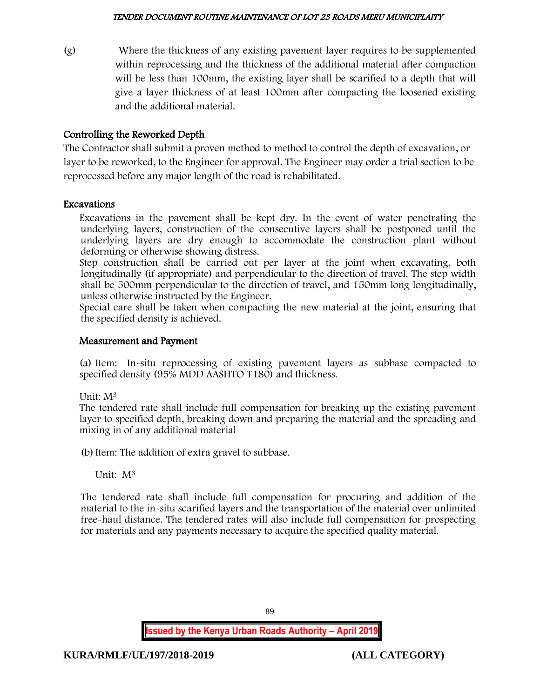(g) Where the thickness of any existing pavement layer requires to be supplemented within reprocessing and the thickness of the additional material after compaction will be less than 100mm, the existing layer shall be scarified to a depth that will give a layer thickness of at least 100mm after compacting the loosened existing and the additional material.

# Controlling the Reworked Depth

The Contractor shall submit a proven method to method to control the depth of excavation, or layer to be reworked, to the Engineer for approval. The Engineer may order a trial section to be reprocessed before any major length of the road is rehabilitated.

## Excavations

Excavations in the pavement shall be kept dry. In the event of water penetrating the underlying layers, construction of the consecutive layers shall be postponed until the underlying layers are dry enough to accommodate the construction plant without deforming or otherwise showing distress.

Step construction shall be carried out per layer at the joint when excavating, both longitudinally (if appropriate) and perpendicular to the direction of travel. The step width shall be 500mm perpendicular to the direction of travel, and 150mm long longitudinally, unless otherwise instructed by the Engineer.

Special care shall be taken when compacting the new material at the joint, ensuring that the specified density is achieved.

## Measurement and Payment

(a) Item: In-situ reprocessing of existing pavement layers as subbase compacted to specified density (95% MDD AASHTO T180) and thickness.

Unit: M<sup>3</sup>

The tendered rate shall include full compensation for breaking up the existing pavement layer to specified depth, breaking down and preparing the material and the spreading and mixing in of any additional material

(b)Item: The addition of extra gravel to subbase.

Unit: M<sup>3</sup>

The tendered rate shall include full compensation for procuring and addition of the material to the in-situ scarified layers and the transportation of the material over unlimited free-haul distance. The tendered rates will also include full compensation for prospecting for materials and any payments necessary to acquire the specified quality material.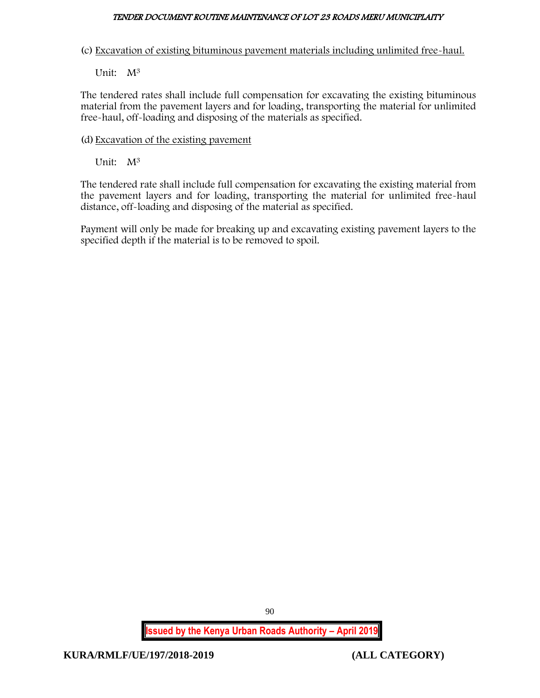### TENDER DOCUMENT ROUTINE MAINTENANCE OF LOT 23 ROADS MERU MUNICIPLAITY

(c) Excavation of existing bituminous pavement materials including unlimited free-haul.

Unit: M<sup>3</sup>

The tendered rates shall include full compensation for excavating the existing bituminous material from the pavement layers and for loading, transporting the material for unlimited free-haul, off-loading and disposing of the materials as specified.

(d) Excavation of the existing pavement

Unit: M<sup>3</sup>

The tendered rate shall include full compensation for excavating the existing material from the pavement layers and for loading, transporting the material for unlimited free-haul distance, off-loading and disposing of the material as specified.

Payment will only be made for breaking up and excavating existing pavement layers to the specified depth if the material is to be removed to spoil.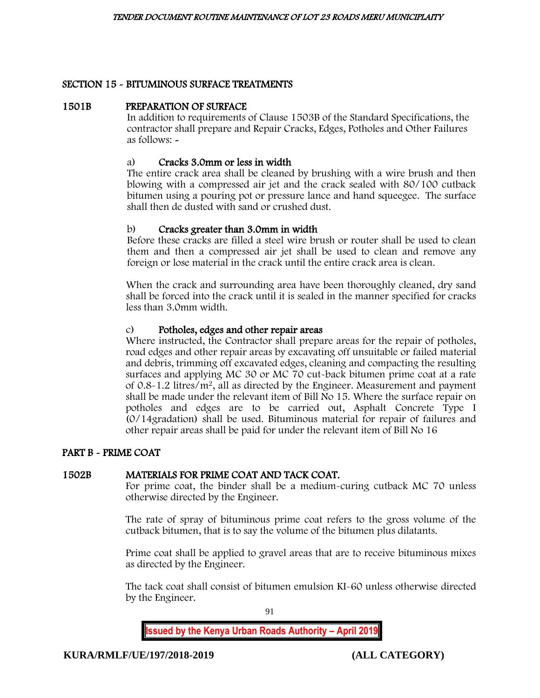## SECTION 15 - BITUMINOUS SURFACE TREATMENTS

#### 1501B PREPARATION OF SURFACE

In addition to requirements of Clause 1503B of the Standard Specifications, the contractor shall prepare and Repair Cracks, Edges, Potholes and Other Failures as follows: -

## a) Cracks 3.0mm or less in width

The entire crack area shall be cleaned by brushing with a wire brush and then blowing with a compressed air jet and the crack sealed with 80/100 cutback bitumen using a pouring pot or pressure lance and hand squeegee. The surface shall then de dusted with sand or crushed dust.

## b) Cracks greater than 3.0mm in width

Before these cracks are filled a steel wire brush or router shall be used to clean them and then a compressed air jet shall be used to clean and remove any foreign or lose material in the crack until the entire crack area is clean.

When the crack and surrounding area have been thoroughly cleaned, dry sand shall be forced into the crack until it is sealed in the manner specified for cracks less than 3.0mm width.

## c) Potholes, edges and other repair areas

Where instructed, the Contractor shall prepare areas for the repair of potholes, road edges and other repair areas by excavating off unsuitable or failed material and debris, trimming off excavated edges, cleaning and compacting the resulting surfaces and applying MC 30 or MC 70 cut-back bitumen prime coat at a rate of 0.8-1.2 litres/m<sup>2</sup>, all as directed by the Engineer. Measurement and payment shall be made under the relevant item of Bill No 15. Where the surface repair on potholes and edges are to be carried out, Asphalt Concrete Type I (0/14gradation) shall be used. Bituminous material for repair of failures and other repair areas shall be paid for under the relevant item of Bill No 16

## PART B - PRIME COAT

## 1502B MATERIALS FOR PRIME COAT AND TACK COAT.

For prime coat, the binder shall be a medium-curing cutback MC 70 unless otherwise directed by the Engineer.

The rate of spray of bituminous prime coat refers to the gross volume of the cutback bitumen, that is to say the volume of the bitumen plus dilatants.

Prime coat shall be applied to gravel areas that are to receive bituminous mixes as directed by the Engineer.

The tack coat shall consist of bitumen emulsion KI-60 unless otherwise directed by the Engineer.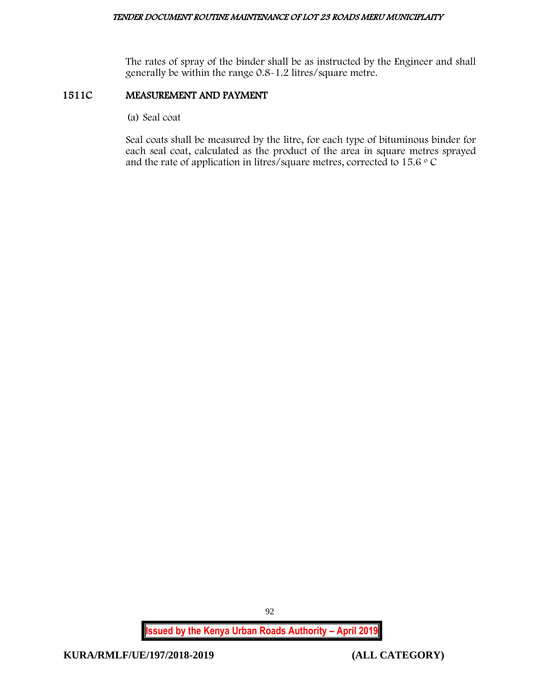The rates of spray of the binder shall be as instructed by the Engineer and shall generally be within the range 0.8-1.2 litres/square metre.

## 1511C MEASUREMENT AND PAYMENT

(a) Seal coat

Seal coats shall be measured by the litre, for each type of bituminous binder for each seal coat, calculated as the product of the area in square metres sprayed and the rate of application in litres/square metres, corrected to 15.6  $\circ$  C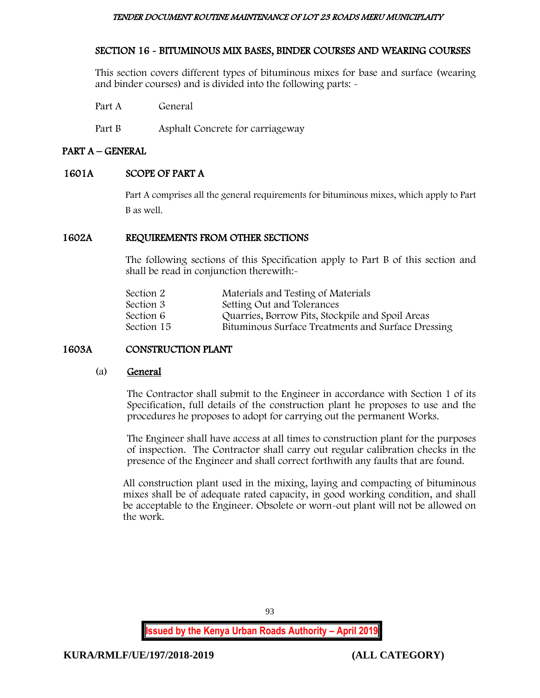#### TENDER DOCUMENT ROUTINE MAINTENANCE OF LOT 23 ROADS MERU MUNICIPLAITY

# SECTION 16 - BITUMINOUS MIX BASES, BINDER COURSES AND WEARING COURSES

This section covers different types of bituminous mixes for base and surface (wearing and binder courses) and is divided into the following parts: -

Part A General

Part B Asphalt Concrete for carriageway

## PART A – GENERAL

# 1601A SCOPE OF PART A

Part A comprises all the general requirements for bituminous mixes, which apply to Part B as well.

## 1602A REQUIREMENTS FROM OTHER SECTIONS

The following sections of this Specification apply to Part B of this section and shall be read in conjunction therewith:-

| Section 2  | Materials and Testing of Materials                 |
|------------|----------------------------------------------------|
| Section 3  | Setting Out and Tolerances                         |
| Section 6  | Quarries, Borrow Pits, Stockpile and Spoil Areas   |
| Section 15 | Bituminous Surface Treatments and Surface Dressing |
|            |                                                    |

# 1603A CONSTRUCTION PLANT

#### (a) General

The Contractor shall submit to the Engineer in accordance with Section 1 of its Specification, full details of the construction plant he proposes to use and the procedures he proposes to adopt for carrying out the permanent Works.

The Engineer shall have access at all times to construction plant for the purposes of inspection. The Contractor shall carry out regular calibration checks in the presence of the Engineer and shall correct forthwith any faults that are found.

All construction plant used in the mixing, laying and compacting of bituminous mixes shall be of adequate rated capacity, in good working condition, and shall be acceptable to the Engineer. Obsolete or worn-out plant will not be allowed on the work.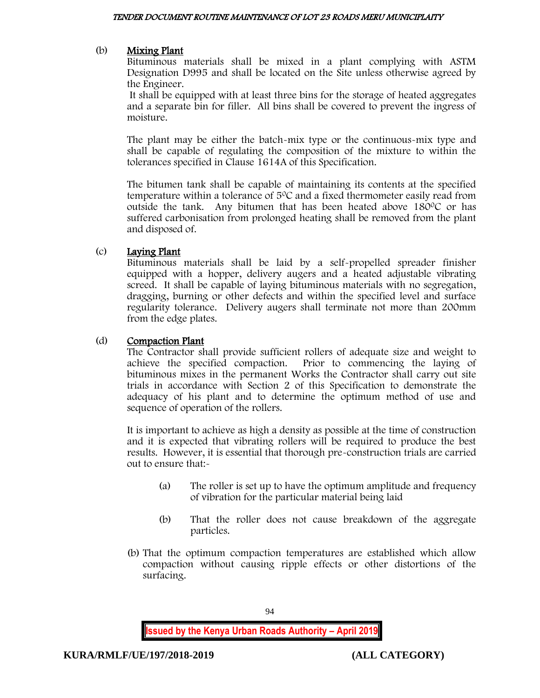## (b) Mixing Plant

Bituminous materials shall be mixed in a plant complying with ASTM Designation D995 and shall be located on the Site unless otherwise agreed by the Engineer.

It shall be equipped with at least three bins for the storage of heated aggregates and a separate bin for filler. All bins shall be covered to prevent the ingress of moisture.

The plant may be either the batch-mix type or the continuous-mix type and shall be capable of regulating the composition of the mixture to within the tolerances specified in Clause 1614A of this Specification.

The bitumen tank shall be capable of maintaining its contents at the specified temperature within a tolerance of  $5^{\circ}$ C and a fixed thermometer easily read from outside the tank. Any bitumen that has been heated above  $180^{\circ}$ C or has suffered carbonisation from prolonged heating shall be removed from the plant and disposed of.

## (c) Laying Plant

Bituminous materials shall be laid by a self-propelled spreader finisher equipped with a hopper, delivery augers and a heated adjustable vibrating screed. It shall be capable of laying bituminous materials with no segregation, dragging, burning or other defects and within the specified level and surface regularity tolerance. Delivery augers shall terminate not more than 200mm from the edge plates.

## (d) Compaction Plant

The Contractor shall provide sufficient rollers of adequate size and weight to achieve the specified compaction. Prior to commencing the laying of bituminous mixes in the permanent Works the Contractor shall carry out site trials in accordance with Section 2 of this Specification to demonstrate the adequacy of his plant and to determine the optimum method of use and sequence of operation of the rollers.

It is important to achieve as high a density as possible at the time of construction and it is expected that vibrating rollers will be required to produce the best results. However, it is essential that thorough pre-construction trials are carried out to ensure that:-

- (a) The roller is set up to have the optimum amplitude and frequency of vibration for the particular material being laid
- (b) That the roller does not cause breakdown of the aggregate particles.
- (b) That the optimum compaction temperatures are established which allow compaction without causing ripple effects or other distortions of the surfacing.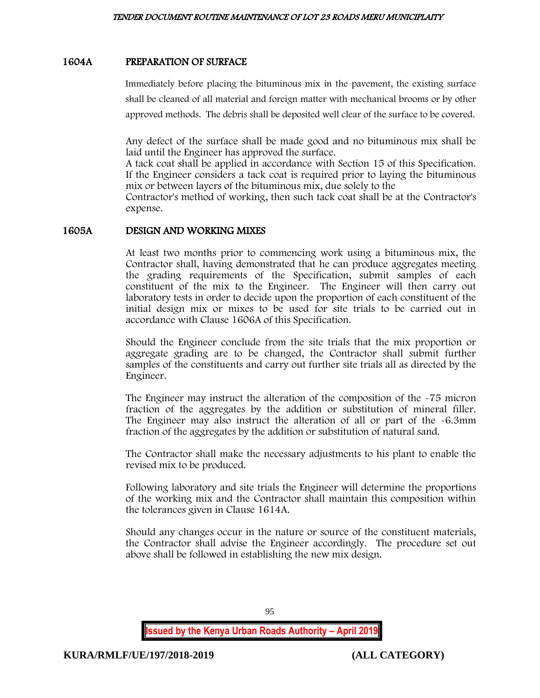## 1604A PREPARATION OF SURFACE

Immediately before placing the bituminous mix in the pavement, the existing surface shall be cleaned of all material and foreign matter with mechanical brooms or by other approved methods. The debris shall be deposited well clear of the surface to be covered.

Any defect of the surface shall be made good and no bituminous mix shall be laid until the Engineer has approved the surface.

A tack coat shall be applied in accordance with Section 15 of this Specification. If the Engineer considers a tack coat is required prior to laying the bituminous mix or between layers of the bituminous mix, due solely to the

Contractor's method of working, then such tack coat shall be at the Contractor's expense.

## 1605A DESIGN AND WORKING MIXES

At least two months prior to commencing work using a bituminous mix, the Contractor shall, having demonstrated that he can produce aggregates meeting the grading requirements of the Specification, submit samples of each constituent of the mix to the Engineer. The Engineer will then carry out laboratory tests in order to decide upon the proportion of each constituent of the initial design mix or mixes to be used for site trials to be carried out in accordance with Clause 1606A of this Specification.

Should the Engineer conclude from the site trials that the mix proportion or aggregate grading are to be changed, the Contractor shall submit further samples of the constituents and carry out further site trials all as directed by the Engineer.

The Engineer may instruct the alteration of the composition of the -75 micron fraction of the aggregates by the addition or substitution of mineral filler. The Engineer may also instruct the alteration of all or part of the -6.3mm fraction of the aggregates by the addition or substitution of natural sand.

The Contractor shall make the necessary adjustments to his plant to enable the revised mix to be produced.

Following laboratory and site trials the Engineer will determine the proportions of the working mix and the Contractor shall maintain this composition within the tolerances given in Clause 1614A.

Should any changes occur in the nature or source of the constituent materials, the Contractor shall advise the Engineer accordingly. The procedure set out above shall be followed in establishing the new mix design.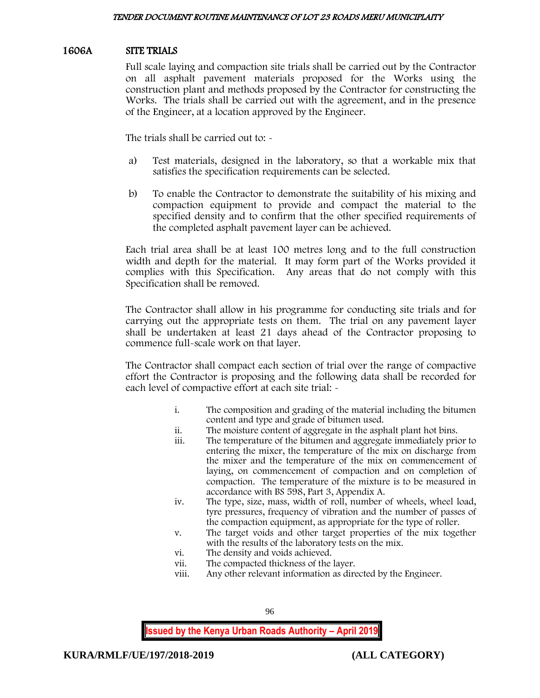## 1606A SITE TRIALS

Full scale laying and compaction site trials shall be carried out by the Contractor on all asphalt pavement materials proposed for the Works using the construction plant and methods proposed by the Contractor for constructing the Works. The trials shall be carried out with the agreement, and in the presence of the Engineer, at a location approved by the Engineer.

The trials shall be carried out to: -

- a) Test materials, designed in the laboratory, so that a workable mix that satisfies the specification requirements can be selected.
- b) To enable the Contractor to demonstrate the suitability of his mixing and compaction equipment to provide and compact the material to the specified density and to confirm that the other specified requirements of the completed asphalt pavement layer can be achieved.

Each trial area shall be at least 100 metres long and to the full construction width and depth for the material. It may form part of the Works provided it complies with this Specification. Any areas that do not comply with this Specification shall be removed.

The Contractor shall allow in his programme for conducting site trials and for carrying out the appropriate tests on them. The trial on any pavement layer shall be undertaken at least 21 days ahead of the Contractor proposing to commence full-scale work on that layer.

The Contractor shall compact each section of trial over the range of compactive effort the Contractor is proposing and the following data shall be recorded for each level of compactive effort at each site trial: -

- i. The composition and grading of the material including the bitumen content and type and grade of bitumen used.
- ii. The moisture content of aggregate in the asphalt plant hot bins.
- The temperature of the bitumen and aggregate immediately prior to entering the mixer, the temperature of the mix on discharge from the mixer and the temperature of the mix on commencement of laying, on commencement of compaction and on completion of compaction. The temperature of the mixture is to be measured in accordance with BS 598, Part 3, Appendix A.
- iv. The type, size, mass, width of roll, number of wheels, wheel load, tyre pressures, frequency of vibration and the number of passes of the compaction equipment, as appropriate for the type of roller.
- v. The target voids and other target properties of the mix together with the results of the laboratory tests on the mix.
- vi. The density and voids achieved.
- vii. The compacted thickness of the layer.
- viii. Any other relevant information as directed by the Engineer.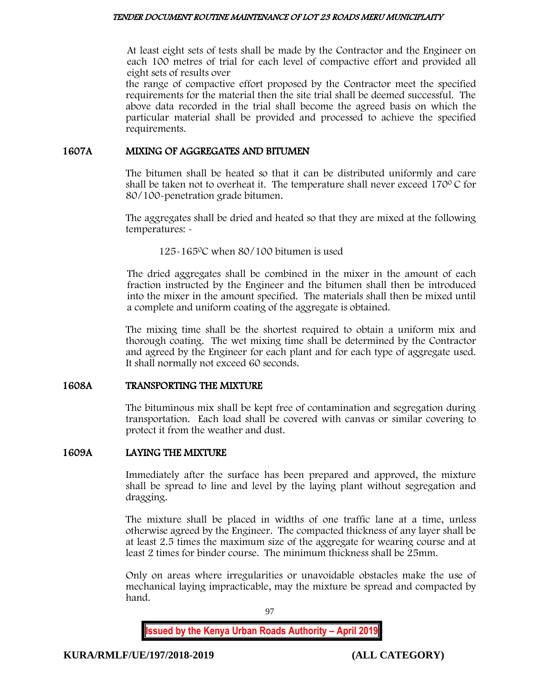At least eight sets of tests shall be made by the Contractor and the Engineer on each 100 metres of trial for each level of compactive effort and provided all eight sets of results over

the range of compactive effort proposed by the Contractor meet the specified requirements for the material then the site trial shall be deemed successful. The above data recorded in the trial shall become the agreed basis on which the particular material shall be provided and processed to achieve the specified requirements.

## 1607A MIXING OF AGGREGATES AND BITUMEN

The bitumen shall be heated so that it can be distributed uniformly and care shall be taken not to overheat it. The temperature shall never exceed  $170^{\circ}$ C for 80/100-penetration grade bitumen.

The aggregates shall be dried and heated so that they are mixed at the following temperatures: -

125-165<sup>0</sup>C when 80/100 bitumen is used

The dried aggregates shall be combined in the mixer in the amount of each fraction instructed by the Engineer and the bitumen shall then be introduced into the mixer in the amount specified. The materials shall then be mixed until a complete and uniform coating of the aggregate is obtained.

The mixing time shall be the shortest required to obtain a uniform mix and thorough coating. The wet mixing time shall be determined by the Contractor and agreed by the Engineer for each plant and for each type of aggregate used. It shall normally not exceed 60 seconds.

## 1608A TRANSPORTING THE MIXTURE

The bituminous mix shall be kept free of contamination and segregation during transportation. Each load shall be covered with canvas or similar covering to protect it from the weather and dust.

## 1609A LAYING THE MIXTURE

Immediately after the surface has been prepared and approved, the mixture shall be spread to line and level by the laying plant without segregation and dragging.

The mixture shall be placed in widths of one traffic lane at a time, unless otherwise agreed by the Engineer. The compacted thickness of any layer shall be at least 2.5 times the maximum size of the aggregate for wearing course and at least 2 times for binder course. The minimum thickness shall be 25mm.

Only on areas where irregularities or unavoidable obstacles make the use of mechanical laying impracticable, may the mixture be spread and compacted by hand.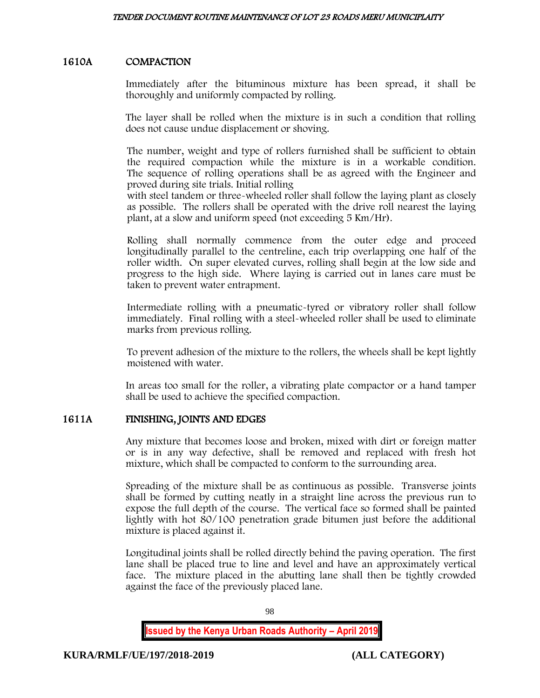# 1610A COMPACTION

Immediately after the bituminous mixture has been spread, it shall be thoroughly and uniformly compacted by rolling.

The layer shall be rolled when the mixture is in such a condition that rolling does not cause undue displacement or shoving.

The number, weight and type of rollers furnished shall be sufficient to obtain the required compaction while the mixture is in a workable condition. The sequence of rolling operations shall be as agreed with the Engineer and proved during site trials. Initial rolling

with steel tandem or three-wheeled roller shall follow the laying plant as closely as possible. The rollers shall be operated with the drive roll nearest the laying plant, at a slow and uniform speed (not exceeding 5 Km/Hr).

Rolling shall normally commence from the outer edge and proceed longitudinally parallel to the centreline, each trip overlapping one half of the roller width. On super elevated curves, rolling shall begin at the low side and progress to the high side. Where laying is carried out in lanes care must be taken to prevent water entrapment.

Intermediate rolling with a pneumatic-tyred or vibratory roller shall follow immediately. Final rolling with a steel-wheeled roller shall be used to eliminate marks from previous rolling.

To prevent adhesion of the mixture to the rollers, the wheels shall be kept lightly moistened with water.

In areas too small for the roller, a vibrating plate compactor or a hand tamper shall be used to achieve the specified compaction.

## 1611A FINISHING, JOINTS AND EDGES

Any mixture that becomes loose and broken, mixed with dirt or foreign matter or is in any way defective, shall be removed and replaced with fresh hot mixture, which shall be compacted to conform to the surrounding area.

Spreading of the mixture shall be as continuous as possible. Transverse joints shall be formed by cutting neatly in a straight line across the previous run to expose the full depth of the course. The vertical face so formed shall be painted lightly with hot 80/100 penetration grade bitumen just before the additional mixture is placed against it.

Longitudinal joints shall be rolled directly behind the paving operation. The first lane shall be placed true to line and level and have an approximately vertical face. The mixture placed in the abutting lane shall then be tightly crowded against the face of the previously placed lane.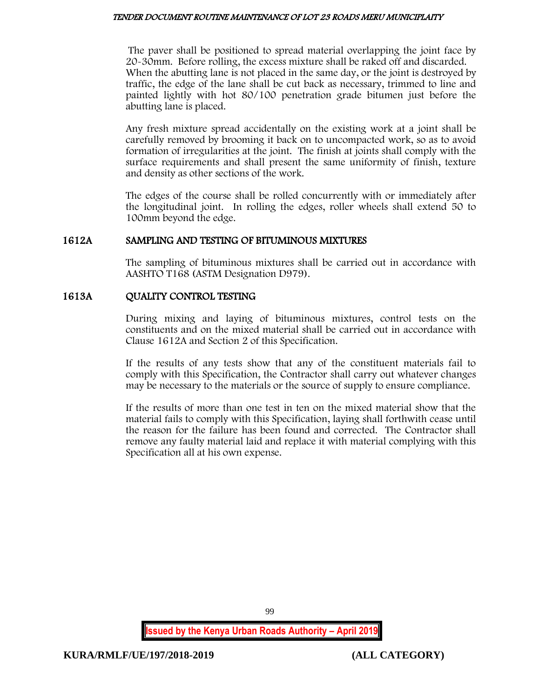#### TENDER DOCUMENT ROUTINE MAINTENANCE OF LOT 23 ROADS MERU MUNICIPLAITY

The paver shall be positioned to spread material overlapping the joint face by 20-30mm. Before rolling, the excess mixture shall be raked off and discarded. When the abutting lane is not placed in the same day, or the joint is destroyed by traffic, the edge of the lane shall be cut back as necessary, trimmed to line and painted lightly with hot 80/100 penetration grade bitumen just before the abutting lane is placed.

Any fresh mixture spread accidentally on the existing work at a joint shall be carefully removed by brooming it back on to uncompacted work, so as to avoid formation of irregularities at the joint. The finish at joints shall comply with the surface requirements and shall present the same uniformity of finish, texture and density as other sections of the work.

The edges of the course shall be rolled concurrently with or immediately after the longitudinal joint. In rolling the edges, roller wheels shall extend 50 to 100mm beyond the edge.

## 1612A SAMPLING AND TESTING OF BITUMINOUS MIXTURES

The sampling of bituminous mixtures shall be carried out in accordance with AASHTO T168 (ASTM Designation D979).

## 1613A QUALITY CONTROL TESTING

During mixing and laying of bituminous mixtures, control tests on the constituents and on the mixed material shall be carried out in accordance with Clause 1612A and Section 2 of this Specification.

If the results of any tests show that any of the constituent materials fail to comply with this Specification, the Contractor shall carry out whatever changes may be necessary to the materials or the source of supply to ensure compliance.

If the results of more than one test in ten on the mixed material show that the material fails to comply with this Specification, laying shall forthwith cease until the reason for the failure has been found and corrected. The Contractor shall remove any faulty material laid and replace it with material complying with this Specification all at his own expense.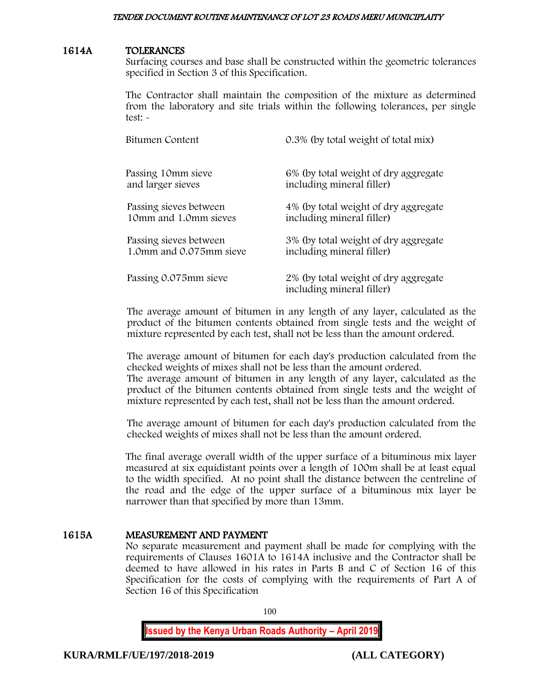#### 1614A TOLERANCES

Surfacing courses and base shall be constructed within the geometric tolerances specified in Section 3 of this Specification.

The Contractor shall maintain the composition of the mixture as determined from the laboratory and site trials within the following tolerances, per single test: -

| Bitumen Content         | 0.3% (by total weight of total mix)                               |
|-------------------------|-------------------------------------------------------------------|
| Passing 10mm sieve      | 6% (by total weight of dry aggregate                              |
| and larger sieves       | including mineral filler)                                         |
| Passing sieves between  | 4% (by total weight of dry aggregate                              |
| 10mm and 1.0mm sieves   | including mineral filler)                                         |
| Passing sieves between  | 3% (by total weight of dry aggregate                              |
| 1.0mm and 0.075mm sieve | including mineral filler)                                         |
| Passing 0.075mm sieve   | 2% (by total weight of dry aggregate<br>including mineral filler) |

The average amount of bitumen in any length of any layer, calculated as the product of the bitumen contents obtained from single tests and the weight of mixture represented by each test, shall not be less than the amount ordered.

The average amount of bitumen for each day's production calculated from the checked weights of mixes shall not be less than the amount ordered. The average amount of bitumen in any length of any layer, calculated as the product of the bitumen contents obtained from single tests and the weight of mixture represented by each test, shall not be less than the amount ordered.

The average amount of bitumen for each day's production calculated from the checked weights of mixes shall not be less than the amount ordered.

The final average overall width of the upper surface of a bituminous mix layer measured at six equidistant points over a length of 100m shall be at least equal to the width specified. At no point shall the distance between the centreline of the road and the edge of the upper surface of a bituminous mix layer be narrower than that specified by more than 13mm.

## 1615A MEASUREMENT AND PAYMENT

No separate measurement and payment shall be made for complying with the requirements of Clauses 1601A to 1614A inclusive and the Contractor shall be deemed to have allowed in his rates in Parts B and C of Section 16 of this Specification for the costs of complying with the requirements of Part A of Section 16 of this Specification

100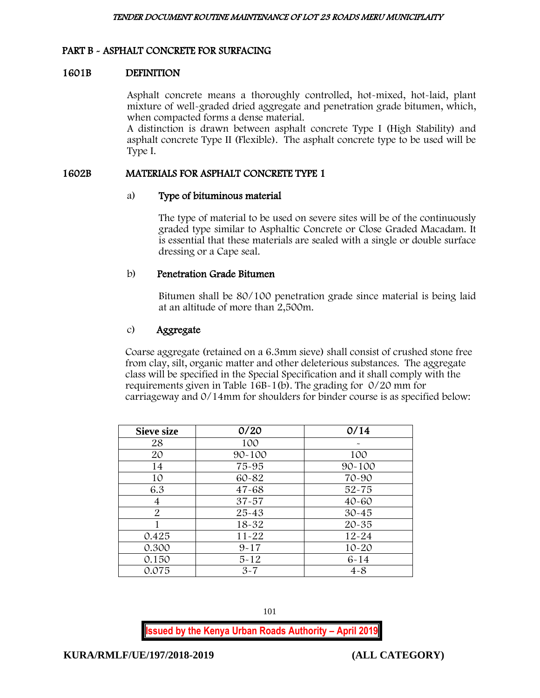## PART B - ASPHALT CONCRETE FOR SURFACING

#### 1601B DEFINITION

Asphalt concrete means a thoroughly controlled, hot-mixed, hot-laid, plant mixture of well-graded dried aggregate and penetration grade bitumen, which, when compacted forms a dense material.

A distinction is drawn between asphalt concrete Type I (High Stability) and asphalt concrete Type II (Flexible). The asphalt concrete type to be used will be Type I.

#### 1602B MATERIALS FOR ASPHALT CONCRETE TYPE 1

#### a) Type of bituminous material

The type of material to be used on severe sites will be of the continuously graded type similar to Asphaltic Concrete or Close Graded Macadam. It is essential that these materials are sealed with a single or double surface dressing or a Cape seal.

#### b) Penetration Grade Bitumen

Bitumen shall be 80/100 penetration grade since material is being laid at an altitude of more than 2,500m.

#### c) Aggregate

Coarse aggregate (retained on a 6.3mm sieve) shall consist of crushed stone free from clay, silt, organic matter and other deleterious substances. The aggregate class will be specified in the Special Specification and it shall comply with the requirements given in Table 16B-1(b). The grading for 0/20 mm for carriageway and 0/14mm for shoulders for binder course is as specified below:

| <b>Sieve size</b> | 0/20       | 0/14       |
|-------------------|------------|------------|
| 28                | 100        |            |
| 20                | $90 - 100$ | 100        |
| 14                | 75-95      | $90 - 100$ |
| 10                | 60-82      | 70-90      |
| 6.3               | $47 - 68$  | $52 - 75$  |
| 4                 | $37 - 57$  | $40 - 60$  |
| 2                 | $25 - 43$  | $30 - 45$  |
|                   | 18-32      | $20 - 35$  |
| 0.425             | $11 - 22$  | $12 - 24$  |
| 0.300             | $9 - 17$   | $10 - 20$  |
| 0.150             | $5 - 12$   | $6 - 14$   |
| 0.075             | $3 - 7$    | $4 - 8$    |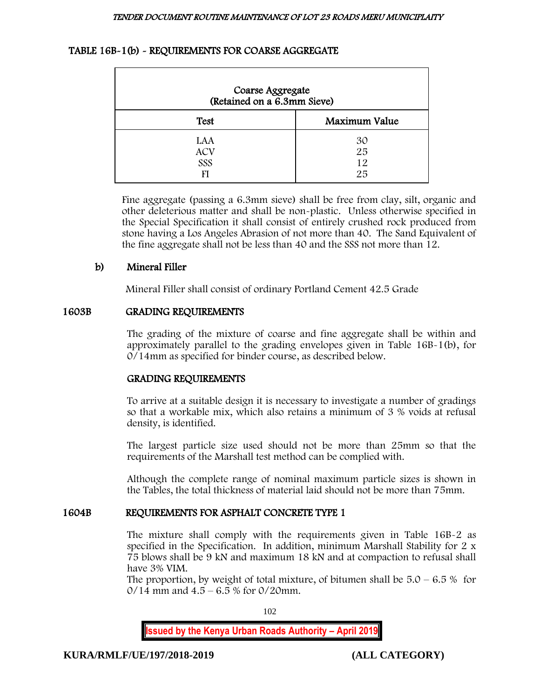## TABLE 16B-1(b) - REQUIREMENTS FOR COARSE AGGREGATE

| Coarse Aggregate<br>(Retained on a 6.3mm Sieve) |                      |  |
|-------------------------------------------------|----------------------|--|
| <b>Test</b>                                     | Maximum Value        |  |
| LAA<br><b>ACV</b><br>SSS<br>FI                  | 30<br>25<br>12<br>25 |  |

Fine aggregate (passing a 6.3mm sieve) shall be free from clay, silt, organic and other deleterious matter and shall be non-plastic. Unless otherwise specified in the Special Specification it shall consist of entirely crushed rock produced from stone having a Los Angeles Abrasion of not more than 40. The Sand Equivalent of the fine aggregate shall not be less than 40 and the SSS not more than 12.

## b) Mineral Filler

Mineral Filler shall consist of ordinary Portland Cement 42.5 Grade

#### 1603B GRADING REQUIREMENTS

The grading of the mixture of coarse and fine aggregate shall be within and approximately parallel to the grading envelopes given in Table 16B-1(b), for 0/14mm as specified for binder course, as described below.

## GRADING REQUIREMENTS

To arrive at a suitable design it is necessary to investigate a number of gradings so that a workable mix, which also retains a minimum of 3 % voids at refusal density, is identified.

The largest particle size used should not be more than 25mm so that the requirements of the Marshall test method can be complied with.

Although the complete range of nominal maximum particle sizes is shown in the Tables, the total thickness of material laid should not be more than 75mm.

## 1604B REQUIREMENTS FOR ASPHALT CONCRETE TYPE 1

The mixture shall comply with the requirements given in Table 16B-2 as specified in the Specification. In addition, minimum Marshall Stability for 2 x 75 blows shall be 9 kN and maximum 18 kN and at compaction to refusal shall have 3% VIM.

The proportion, by weight of total mixture, of bitumen shall be  $5.0 - 6.5 %$  for  $0/14$  mm and  $4.5 - 6.5$  % for  $0/20$ mm.

102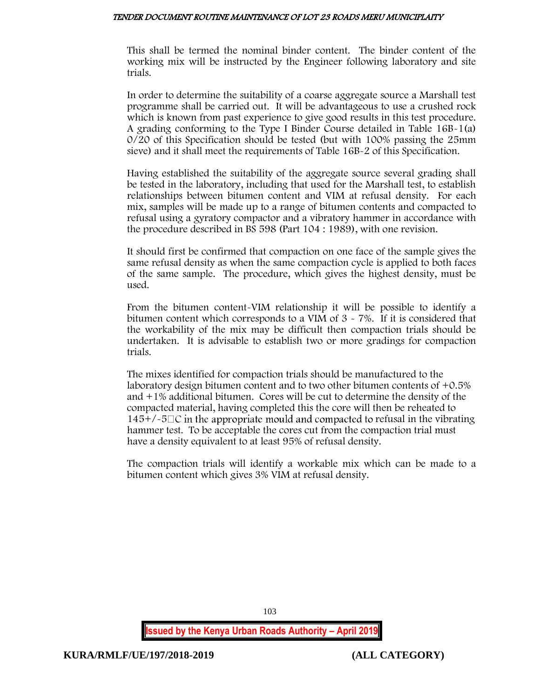#### TENDER DOCUMENT ROUTINE MAINTENANCE OF LOT 23 ROADS MERU MUNICIPLAITY

This shall be termed the nominal binder content. The binder content of the working mix will be instructed by the Engineer following laboratory and site trials.

In order to determine the suitability of a coarse aggregate source a Marshall test programme shall be carried out. It will be advantageous to use a crushed rock which is known from past experience to give good results in this test procedure. A grading conforming to the Type I Binder Course detailed in Table 16B-1(a) 0/20 of this Specification should be tested (but with 100% passing the 25mm sieve) and it shall meet the requirements of Table 16B-2 of this Specification.

Having established the suitability of the aggregate source several grading shall be tested in the laboratory, including that used for the Marshall test, to establish relationships between bitumen content and VIM at refusal density. For each mix, samples will be made up to a range of bitumen contents and compacted to refusal using a gyratory compactor and a vibratory hammer in accordance with the procedure described in BS 598 (Part 104 : 1989), with one revision.

It should first be confirmed that compaction on one face of the sample gives the same refusal density as when the same compaction cycle is applied to both faces of the same sample. The procedure, which gives the highest density, must be used.

From the bitumen content-VIM relationship it will be possible to identify a bitumen content which corresponds to a VIM of 3 - 7%. If it is considered that the workability of the mix may be difficult then compaction trials should be undertaken. It is advisable to establish two or more gradings for compaction trials.

The mixes identified for compaction trials should be manufactured to the laboratory design bitumen content and to two other bitumen contents of +0.5% and +1% additional bitumen. Cores will be cut to determine the density of the compacted material, having completed this the core will then be reheated to  $145+/-5\degree$  in the appropriate mould and compacted to refusal in the vibrating hammer test. To be acceptable the cores cut from the compaction trial must have a density equivalent to at least 95% of refusal density.

The compaction trials will identify a workable mix which can be made to a bitumen content which gives 3% VIM at refusal density.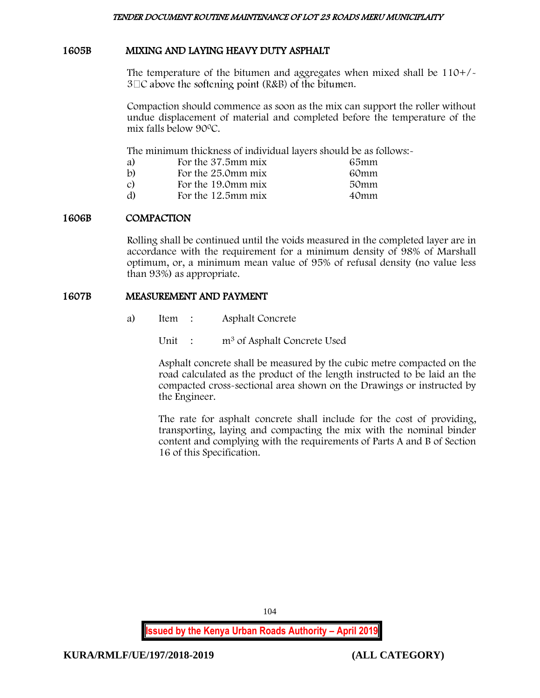## 1605B MIXING AND LAYING HEAVY DUTY ASPHALT

The temperature of the bitumen and aggregates when mixed shall be 110+/-  $3\Box C$  above the softening point (R&B) of the bitumen.

Compaction should commence as soon as the mix can support the roller without undue displacement of material and completed before the temperature of the mix falls below 90<sup>0</sup>C.

The minimum thickness of individual layers should be as follows:

|                    | 65mm               |
|--------------------|--------------------|
| For the 25.0mm mix | 60mm               |
| For the 19.0mm mix | 50mm               |
| For the 12.5mm mix | 40mm               |
|                    | For the 37.5mm mix |

## 1606B COMPACTION

Rolling shall be continued until the voids measured in the completed layer are in accordance with the requirement for a minimum density of 98% of Marshall optimum, or, a minimum mean value of 95% of refusal density (no value less than 93%) as appropriate.

#### 1607B MEASUREMENT AND PAYMENT

a) Item : Asphalt Concrete

Unit : m<sup>3</sup> of Asphalt Concrete Used

Asphalt concrete shall be measured by the cubic metre compacted on the road calculated as the product of the length instructed to be laid an the compacted cross-sectional area shown on the Drawings or instructed by the Engineer.

The rate for asphalt concrete shall include for the cost of providing, transporting, laying and compacting the mix with the nominal binder content and complying with the requirements of Parts A and B of Section 16 of this Specification.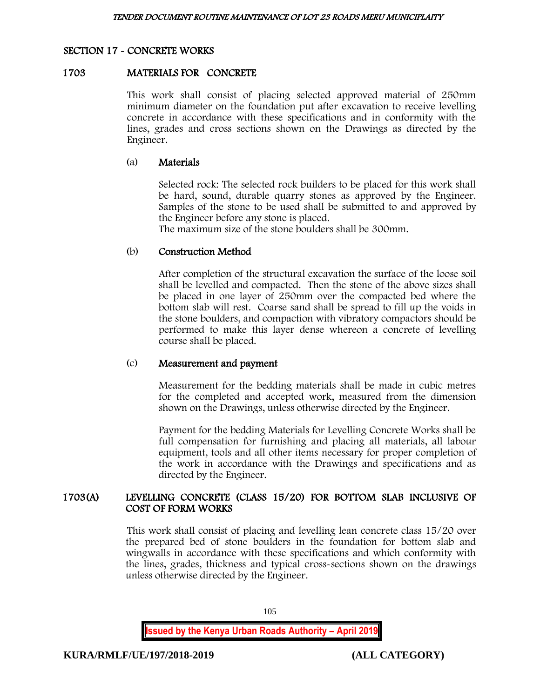# SECTION 17 - CONCRETE WORKS

#### 1703 MATERIALS FOR CONCRETE

This work shall consist of placing selected approved material of 250mm minimum diameter on the foundation put after excavation to receive levelling concrete in accordance with these specifications and in conformity with the lines, grades and cross sections shown on the Drawings as directed by the Engineer.

#### (a) Materials

Selected rock: The selected rock builders to be placed for this work shall be hard, sound, durable quarry stones as approved by the Engineer. Samples of the stone to be used shall be submitted to and approved by the Engineer before any stone is placed.

The maximum size of the stone boulders shall be 300mm.

#### (b) Construction Method

After completion of the structural excavation the surface of the loose soil shall be levelled and compacted. Then the stone of the above sizes shall be placed in one layer of 250mm over the compacted bed where the bottom slab will rest. Coarse sand shall be spread to fill up the voids in the stone boulders, and compaction with vibratory compactors should be performed to make this layer dense whereon a concrete of levelling course shall be placed.

#### (c) Measurement and payment

Measurement for the bedding materials shall be made in cubic metres for the completed and accepted work, measured from the dimension shown on the Drawings, unless otherwise directed by the Engineer.

Payment for the bedding Materials for Levelling Concrete Works shall be full compensation for furnishing and placing all materials, all labour equipment, tools and all other items necessary for proper completion of the work in accordance with the Drawings and specifications and as directed by the Engineer.

## 1703(A) LEVELLING CONCRETE (CLASS 15/20) FOR BOTTOM SLAB INCLUSIVE OF COST OF FORM WORKS

This work shall consist of placing and levelling lean concrete class 15/20 over the prepared bed of stone boulders in the foundation for bottom slab and wingwalls in accordance with these specifications and which conformity with the lines, grades, thickness and typical cross-sections shown on the drawings unless otherwise directed by the Engineer.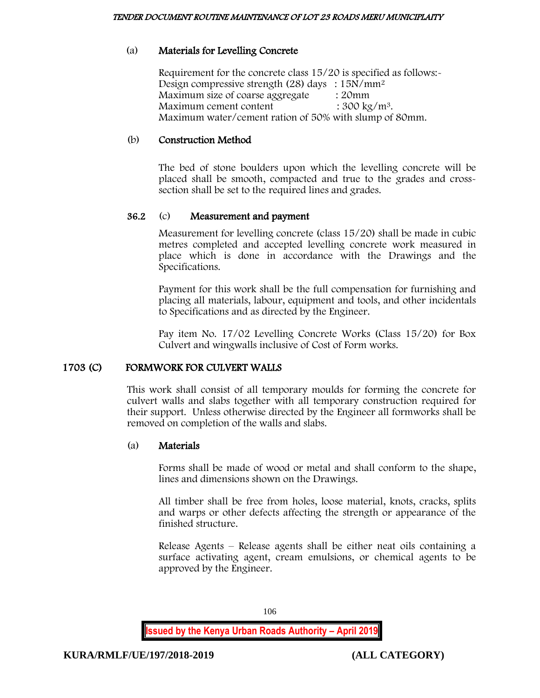# (a) Materials for Levelling Concrete

Requirement for the concrete class 15/20 is specified as follows:- Design compressive strength (28) days : 15N/mm<sup>2</sup> Maximum size of coarse aggregate : 20mm Maximum cement content  $: 300 \text{ kg/m}^3$ . Maximum water/cement ration of 50% with slump of 80mm.

# (b) Construction Method

The bed of stone boulders upon which the levelling concrete will be placed shall be smooth, compacted and true to the grades and crosssection shall be set to the required lines and grades.

# 36.2 (c) Measurement and payment

Measurement for levelling concrete (class 15/20) shall be made in cubic metres completed and accepted levelling concrete work measured in place which is done in accordance with the Drawings and the Specifications.

Payment for this work shall be the full compensation for furnishing and placing all materials, labour, equipment and tools, and other incidentals to Specifications and as directed by the Engineer.

Pay item No. 17/02 Levelling Concrete Works (Class 15/20) for Box Culvert and wingwalls inclusive of Cost of Form works.

## 1703 (C) FORMWORK FOR CULVERT WALLS

This work shall consist of all temporary moulds for forming the concrete for culvert walls and slabs together with all temporary construction required for their support. Unless otherwise directed by the Engineer all formworks shall be removed on completion of the walls and slabs.

## (a) Materials

Forms shall be made of wood or metal and shall conform to the shape, lines and dimensions shown on the Drawings.

All timber shall be free from holes, loose material, knots, cracks, splits and warps or other defects affecting the strength or appearance of the finished structure.

Release Agents – Release agents shall be either neat oils containing a surface activating agent, cream emulsions, or chemical agents to be approved by the Engineer.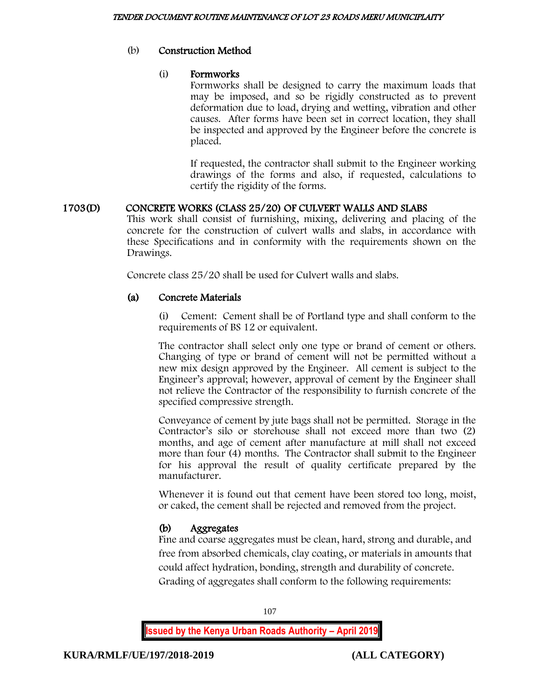## (b) Construction Method

## (i) Formworks

Formworks shall be designed to carry the maximum loads that may be imposed, and so be rigidly constructed as to prevent deformation due to load, drying and wetting, vibration and other causes. After forms have been set in correct location, they shall be inspected and approved by the Engineer before the concrete is placed.

If requested, the contractor shall submit to the Engineer working drawings of the forms and also, if requested, calculations to certify the rigidity of the forms.

## 1703(D) CONCRETE WORKS (CLASS 25/20) OF CULVERT WALLS AND SLABS

This work shall consist of furnishing, mixing, delivering and placing of the concrete for the construction of culvert walls and slabs, in accordance with these Specifications and in conformity with the requirements shown on the Drawings.

Concrete class 25/20 shall be used for Culvert walls and slabs.

## (a) Concrete Materials

(i) Cement: Cement shall be of Portland type and shall conform to the requirements of BS 12 or equivalent.

The contractor shall select only one type or brand of cement or others. Changing of type or brand of cement will not be permitted without a new mix design approved by the Engineer. All cement is subject to the Engineer's approval; however, approval of cement by the Engineer shall not relieve the Contractor of the responsibility to furnish concrete of the specified compressive strength.

Conveyance of cement by jute bags shall not be permitted. Storage in the Contractor's silo or storehouse shall not exceed more than two (2) months, and age of cement after manufacture at mill shall not exceed more than four (4) months. The Contractor shall submit to the Engineer for his approval the result of quality certificate prepared by the manufacturer.

Whenever it is found out that cement have been stored too long, moist, or caked, the cement shall be rejected and removed from the project.

## (b) Aggregates

Fine and coarse aggregates must be clean, hard, strong and durable, and free from absorbed chemicals, clay coating, or materials in amounts that could affect hydration, bonding, strength and durability of concrete. Grading of aggregates shall conform to the following requirements:

107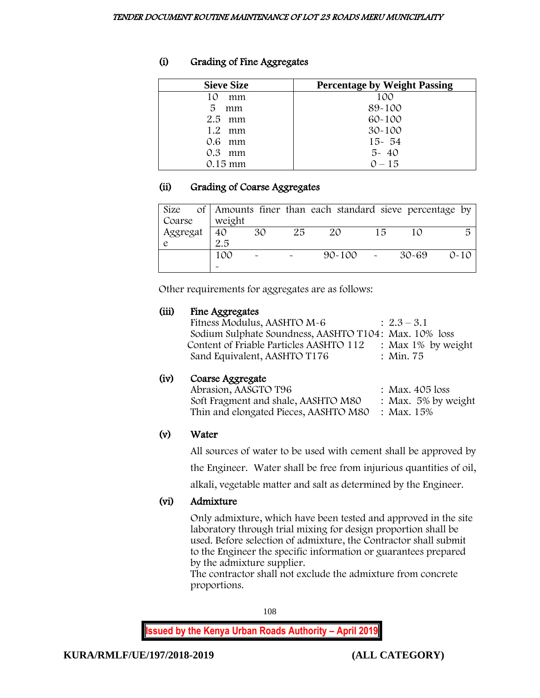# (i) Grading of Fine Aggregates

| <b>Sieve Size</b>   | <b>Percentage by Weight Passing</b> |
|---------------------|-------------------------------------|
| 10<br>mm            | 100                                 |
| 5<br>mm             | 89-100                              |
| $2.5$ mm            | $60 - 100$                          |
| 1.2<br>mm           | $30 - 100$                          |
| 0.6 mm              | $15 - 54$                           |
| $0.3^{\circ}$<br>mm | $5 - 40$                            |
| $0.15$ mm           | $0 - 15$                            |

# (ii) Grading of Coarse Aggregates

|               |                |                       |    | Size of Amounts finer than each standard sieve percentage by |    |           |          |
|---------------|----------------|-----------------------|----|--------------------------------------------------------------|----|-----------|----------|
| Coarse        | weight         |                       |    |                                                              |    |           |          |
| Aggregat<br>e | $\frac{1}{40}$ | 30                    | 25 | 20                                                           | 15 | 1 O       |          |
|               | 2.5            |                       |    |                                                              |    |           |          |
|               | 100            | $\tilde{\phantom{a}}$ |    | 90~100                                                       |    | $30 - 69$ | $0 - 10$ |
|               |                |                       |    |                                                              |    |           |          |

Other requirements for aggregates are as follows:

# (iii) Fine Aggregates

| Fitness Modulus, AASHTO M-6                           | $: 2.3 - 3.1$         |  |
|-------------------------------------------------------|-----------------------|--|
| Sodium Sulphate Soundness, AASHTO T104: Max. 10% loss |                       |  |
| Content of Friable Particles AASHTO 112               | : Max $1\%$ by weight |  |
| Sand Equivalent, AASHTO T176                          | : Min. 75             |  |
|                                                       |                       |  |

# (iv) Coarse Aggregate

| Abrasion, AASGTO T96                             | : Max. $405$ loss      |
|--------------------------------------------------|------------------------|
| Soft Fragment and shale, AASHTO M80              | : Max. $5\%$ by weight |
| Thin and elongated Pieces, AASHTO M80 : Max. 15% |                        |

# (v) Water

All sources of water to be used with cement shall be approved by

the Engineer. Water shall be free from injurious quantities of oil,

alkali, vegetable matter and salt as determined by the Engineer.

# (vi) Admixture

Only admixture, which have been tested and approved in the site laboratory through trial mixing for design proportion shall be used. Before selection of admixture, the Contractor shall submit to the Engineer the specific information or guarantees prepared by the admixture supplier.

The contractor shall not exclude the admixture from concrete proportions.

108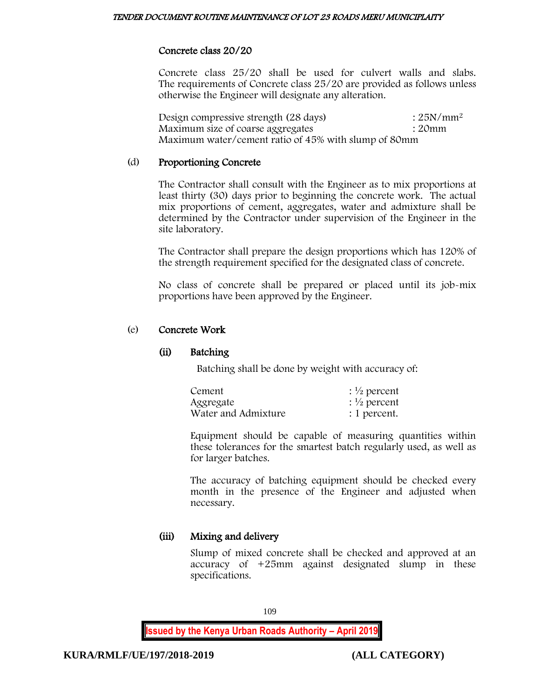### Concrete class 20/20

Concrete class 25/20 shall be used for culvert walls and slabs. The requirements of Concrete class 25/20 are provided as follows unless otherwise the Engineer will designate any alteration.

Design compressive strength (28 days) : 25N/mm<sup>2</sup> Maximum size of coarse aggregates : 20mm Maximum water/cement ratio of 45% with slump of 80mm

### (d) Proportioning Concrete

The Contractor shall consult with the Engineer as to mix proportions at least thirty (30) days prior to beginning the concrete work. The actual mix proportions of cement, aggregates, water and admixture shall be determined by the Contractor under supervision of the Engineer in the site laboratory.

The Contractor shall prepare the design proportions which has 120% of the strength requirement specified for the designated class of concrete.

No class of concrete shall be prepared or placed until its job-mix proportions have been approved by the Engineer.

### (e) Concrete Work

### (ii) Batching

Batching shall be done by weight with accuracy of:

| Cement              | : $\frac{1}{2}$ percent |
|---------------------|-------------------------|
| Aggregate           | $\frac{1}{2}$ percent   |
| Water and Admixture | : 1 percent.            |

Equipment should be capable of measuring quantities within these tolerances for the smartest batch regularly used, as well as for larger batches.

The accuracy of batching equipment should be checked every month in the presence of the Engineer and adjusted when necessary.

# (iii) Mixing and delivery

Slump of mixed concrete shall be checked and approved at an accuracy of +25mm against designated slump in these specifications.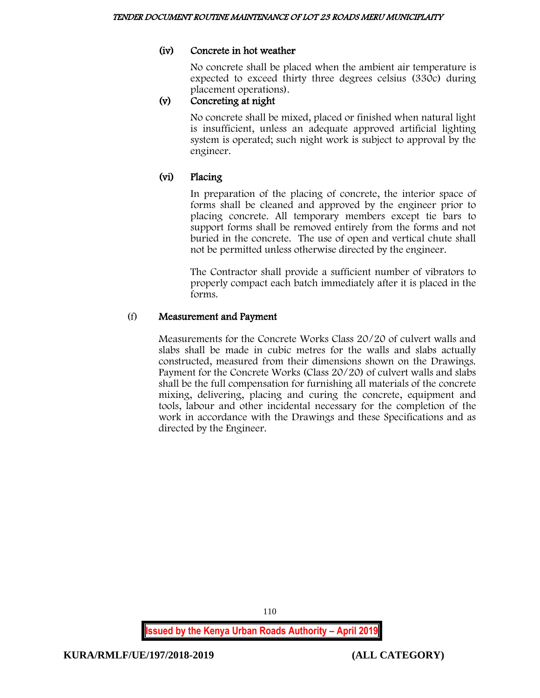# (iv) Concrete in hot weather

No concrete shall be placed when the ambient air temperature is expected to exceed thirty three degrees celsius (330c) during placement operations).

# (v) Concreting at night

No concrete shall be mixed, placed or finished when natural light is insufficient, unless an adequate approved artificial lighting system is operated; such night work is subject to approval by the engineer.

# (vi) Placing

In preparation of the placing of concrete, the interior space of forms shall be cleaned and approved by the engineer prior to placing concrete. All temporary members except tie bars to support forms shall be removed entirely from the forms and not buried in the concrete. The use of open and vertical chute shall not be permitted unless otherwise directed by the engineer.

The Contractor shall provide a sufficient number of vibrators to properly compact each batch immediately after it is placed in the forms.

### (f) Measurement and Payment

Measurements for the Concrete Works Class 20/20 of culvert walls and slabs shall be made in cubic metres for the walls and slabs actually constructed, measured from their dimensions shown on the Drawings. Payment for the Concrete Works (Class 20/20) of culvert walls and slabs shall be the full compensation for furnishing all materials of the concrete mixing, delivering, placing and curing the concrete, equipment and tools, labour and other incidental necessary for the completion of the work in accordance with the Drawings and these Specifications and as directed by the Engineer.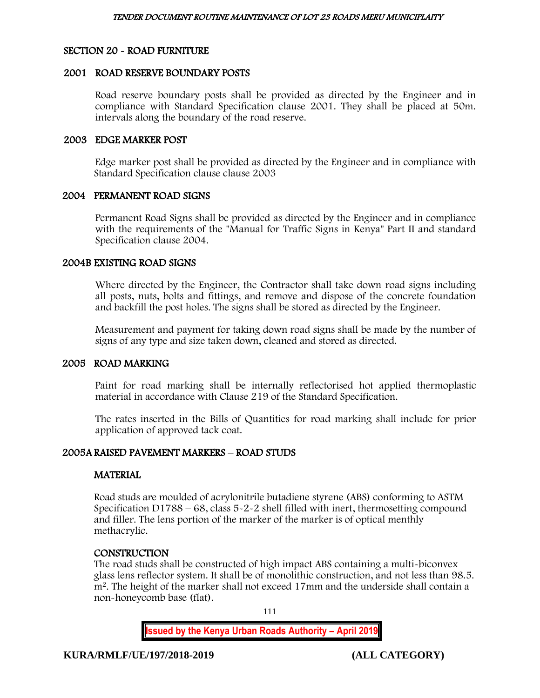### SECTION 20 - ROAD FURNITURE

### 2001 ROAD RESERVE BOUNDARY POSTS

Road reserve boundary posts shall be provided as directed by the Engineer and in compliance with Standard Specification clause 2001. They shall be placed at 50m. intervals along the boundary of the road reserve.

### 2003 EDGE MARKER POST

Edge marker post shall be provided as directed by the Engineer and in compliance with Standard Specification clause clause 2003

### 2004 PERMANENT ROAD SIGNS

Permanent Road Signs shall be provided as directed by the Engineer and in compliance with the requirements of the "Manual for Traffic Signs in Kenya" Part II and standard Specification clause 2004.

#### 2004B EXISTING ROAD SIGNS

Where directed by the Engineer, the Contractor shall take down road signs including all posts, nuts, bolts and fittings, and remove and dispose of the concrete foundation and backfill the post holes. The signs shall be stored as directed by the Engineer.

Measurement and payment for taking down road signs shall be made by the number of signs of any type and size taken down, cleaned and stored as directed.

### 2005 ROAD MARKING

Paint for road marking shall be internally reflectorised hot applied thermoplastic material in accordance with Clause 219 of the Standard Specification.

The rates inserted in the Bills of Quantities for road marking shall include for prior application of approved tack coat.

### 2005A RAISED PAVEMENT MARKERS – ROAD STUDS

### **MATERIAL**

Road studs are moulded of acrylonitrile butadiene styrene (ABS) conforming to ASTM Specification D1788 – 68, class 5-2-2 shell filled with inert, thermosetting compound and filler. The lens portion of the marker of the marker is of optical menthly methacrylic.

### **CONSTRUCTION**

The road studs shall be constructed of high impact ABS containing a multi-biconvex glass lens reflector system. It shall be of monolithic construction, and not less than 98.5. m<sup>2</sup>. The height of the marker shall not exceed 17mm and the underside shall contain a non-honeycomb base (flat).

111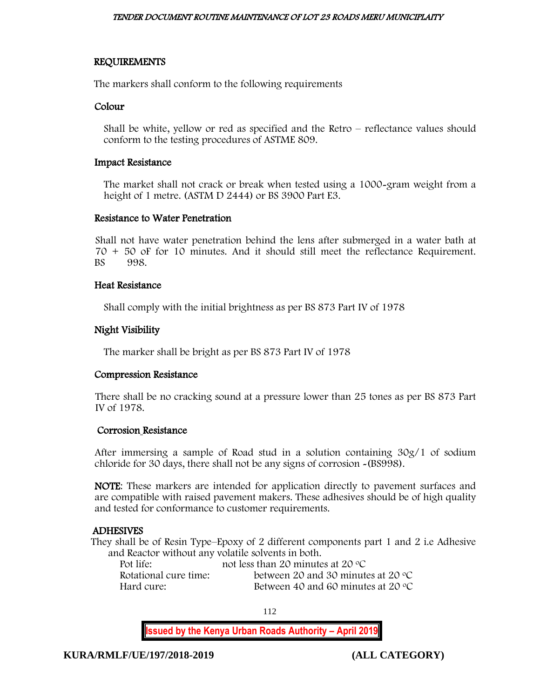### REQUIREMENTS

The markers shall conform to the following requirements

### Colour

Shall be white, yellow or red as specified and the Retro – reflectance values should conform to the testing procedures of ASTME 809.

### Impact Resistance

The market shall not crack or break when tested using a 1000-gram weight from a height of 1 metre. (ASTM D 2444) or BS 3900 Part E3.

### Resistance to Water Penetration

Shall not have water penetration behind the lens after submerged in a water bath at 70 + 50 oF for 10 minutes. And it should still meet the reflectance Requirement. 998.

### Heat Resistance

Shall comply with the initial brightness as per BS 873 Part IV of 1978

### Night Visibility

The marker shall be bright as per BS 873 Part IV of 1978

### Compression Resistance

There shall be no cracking sound at a pressure lower than 25 tones as per BS 873 Part IV of 1978.

### Corrosion Resistance

After immersing a sample of Road stud in a solution containing 30g/1 of sodium chloride for 30 days, there shall not be any signs of corrosion -(BS998).

NOTE: These markers are intended for application directly to pavement surfaces and are compatible with raised pavement makers. These adhesives should be of high quality and tested for conformance to customer requirements.

# ADHESIVES

They shall be of Resin Type–Epoxy of 2 different components part 1 and 2 i.e Adhesive and Reactor without any volatile solvents in both.

Pot life: not less than 20 minutes at 20 °C Rotational cure time: between 20 and 30 minutes at 20 °C<br>Hard cure: Between 40 and 60 minutes at 20 °C Between 40 and 60 minutes at 20  $\degree$ C

112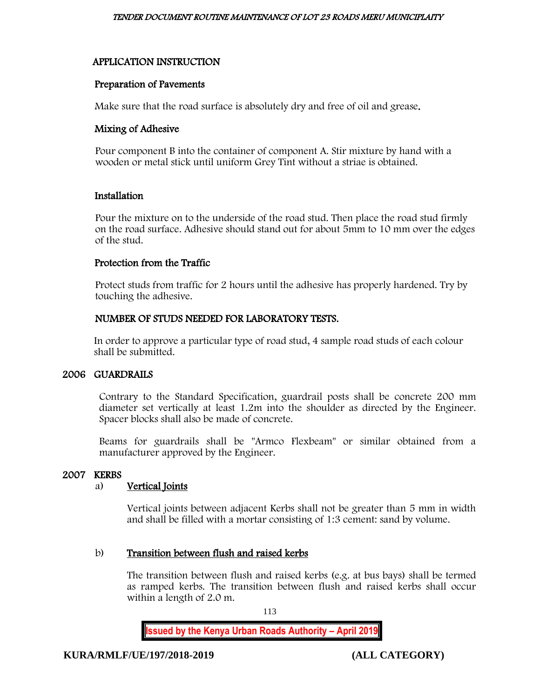# APPLICATION INSTRUCTION

# Preparation of Pavements

Make sure that the road surface is absolutely dry and free of oil and grease.

# Mixing of Adhesive

Pour component B into the container of component A. Stir mixture by hand with a wooden or metal stick until uniform Grey Tint without a striae is obtained.

# Installation

Pour the mixture on to the underside of the road stud. Then place the road stud firmly on the road surface. Adhesive should stand out for about 5mm to 10 mm over the edges of the stud.

### Protection from the Traffic

Protect studs from traffic for 2 hours until the adhesive has properly hardened. Try by touching the adhesive.

# NUMBER OF STUDS NEEDED FOR LABORATORY TESTS.

In order to approve a particular type of road stud, 4 sample road studs of each colour shall be submitted.

# 2006 GUARDRAILS

Contrary to the Standard Specification, guardrail posts shall be concrete 200 mm diameter set vertically at least 1.2m into the shoulder as directed by the Engineer. Spacer blocks shall also be made of concrete.

Beams for guardrails shall be "Armco Flexbeam" or similar obtained from a manufacturer approved by the Engineer.

# 2007 KERBS

# a) Vertical Joints

Vertical joints between adjacent Kerbs shall not be greater than 5 mm in width and shall be filled with a mortar consisting of 1:3 cement: sand by volume.

# b) Transition between flush and raised kerbs

The transition between flush and raised kerbs (e.g. at bus bays) shall be termed as ramped kerbs. The transition between flush and raised kerbs shall occur within a length of 2.0 m.

113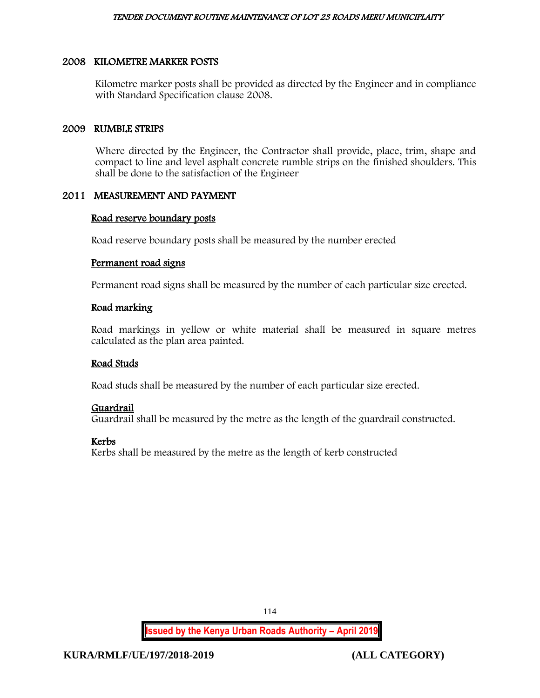# 2008 KILOMETRE MARKER POSTS

Kilometre marker posts shall be provided as directed by the Engineer and in compliance with Standard Specification clause 2008.

# 2009 RUMBLE STRIPS

Where directed by the Engineer, the Contractor shall provide, place, trim, shape and compact to line and level asphalt concrete rumble strips on the finished shoulders. This shall be done to the satisfaction of the Engineer

# 2011 MEASUREMENT AND PAYMENT

# Road reserve boundary posts

Road reserve boundary posts shall be measured by the number erected

# Permanent road signs

Permanent road signs shall be measured by the number of each particular size erected.

# Road marking

Road markings in yellow or white material shall be measured in square metres calculated as the plan area painted.

# Road Studs

Road studs shall be measured by the number of each particular size erected.

# Guardrail

Guardrail shall be measured by the metre as the length of the guardrail constructed.

# Kerbs

Kerbs shall be measured by the metre as the length of kerb constructed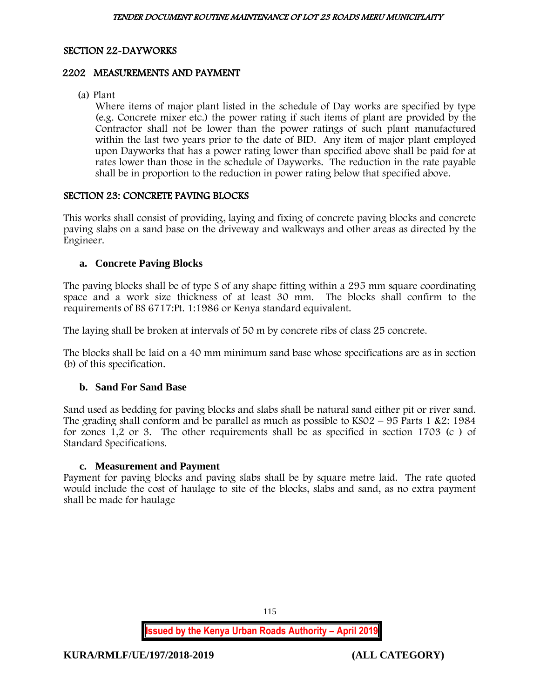## SECTION 22-DAYWORKS

### 2202 MEASUREMENTS AND PAYMENT

(a) Plant

Where items of major plant listed in the schedule of Day works are specified by type (e.g. Concrete mixer etc.) the power rating if such items of plant are provided by the Contractor shall not be lower than the power ratings of such plant manufactured within the last two years prior to the date of BID. Any item of major plant employed upon Dayworks that has a power rating lower than specified above shall be paid for at rates lower than those in the schedule of Dayworks. The reduction in the rate payable shall be in proportion to the reduction in power rating below that specified above.

### SECTION 23: CONCRETE PAVING BLOCKS

This works shall consist of providing, laying and fixing of concrete paving blocks and concrete paving slabs on a sand base on the driveway and walkways and other areas as directed by the Engineer.

### **a. Concrete Paving Blocks**

The paving blocks shall be of type S of any shape fitting within a 295 mm square coordinating space and a work size thickness of at least 30 mm. The blocks shall confirm to the requirements of BS 6717:Pt. 1:1986 or Kenya standard equivalent.

The laying shall be broken at intervals of 50 m by concrete ribs of class 25 concrete.

The blocks shall be laid on a 40 mm minimum sand base whose specifications are as in section (b) of this specification.

# **b. Sand For Sand Base**

Sand used as bedding for paving blocks and slabs shall be natural sand either pit or river sand. The grading shall conform and be parallel as much as possible to  $KSO2 - 95$  Parts 1 &2: 1984 for zones 1,2 or 3. The other requirements shall be as specified in section 1703 (c ) of Standard Specifications.

### **c. Measurement and Payment**

Payment for paving blocks and paving slabs shall be by square metre laid. The rate quoted would include the cost of haulage to site of the blocks, slabs and sand, as no extra payment shall be made for haulage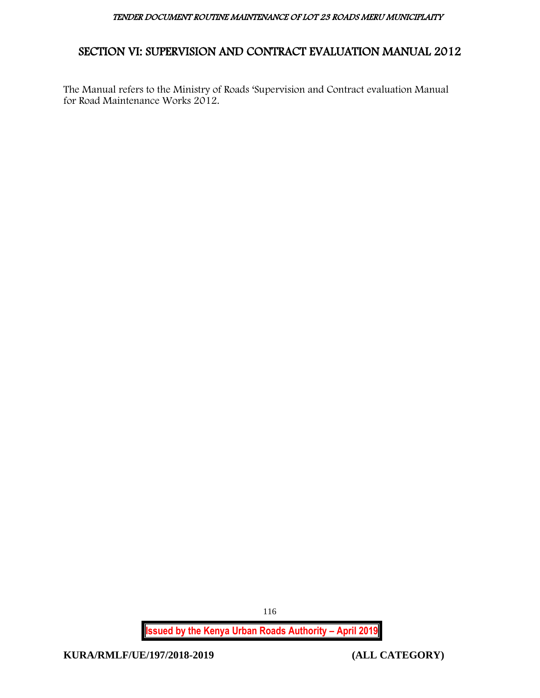# SECTION VI: SUPERVISION AND CONTRACT EVALUATION MANUAL 2012

The Manual refers to the Ministry of Roads 'Supervision and Contract evaluation Manual for Road Maintenance Works 2012.

> **Issued by the Kenya Urban Roads Authority – April 2019** 116

**KURA/RMLF/UE/197/2018-2019 (ALL CATEGORY)**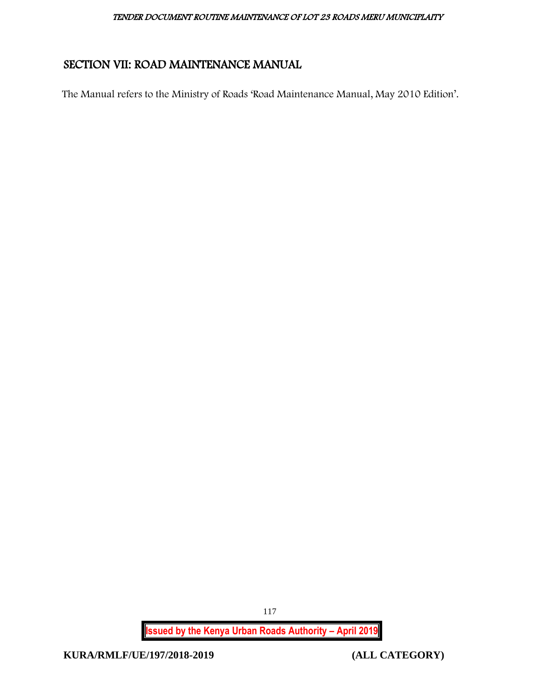# SECTION VII: ROAD MAINTENANCE MANUAL

The Manual refers to the Ministry of Roads 'Road Maintenance Manual, May 2010 Edition'.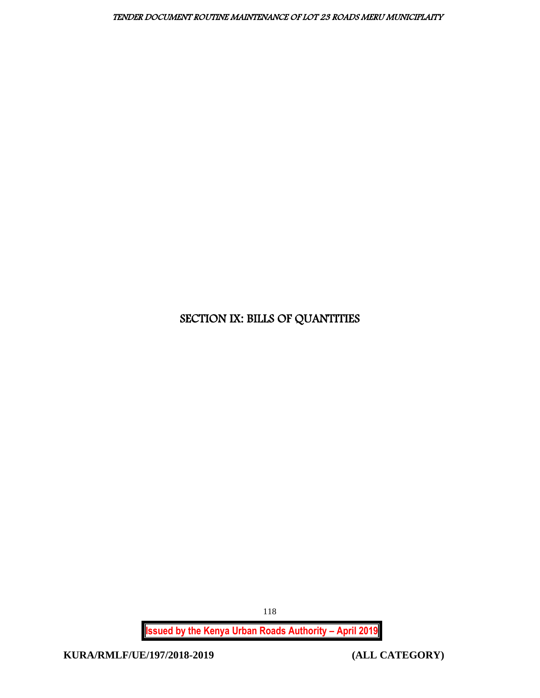# SECTION IX: BILLS OF QUANTITIES

**Issued by the Kenya Urban Roads Authority – April 2019**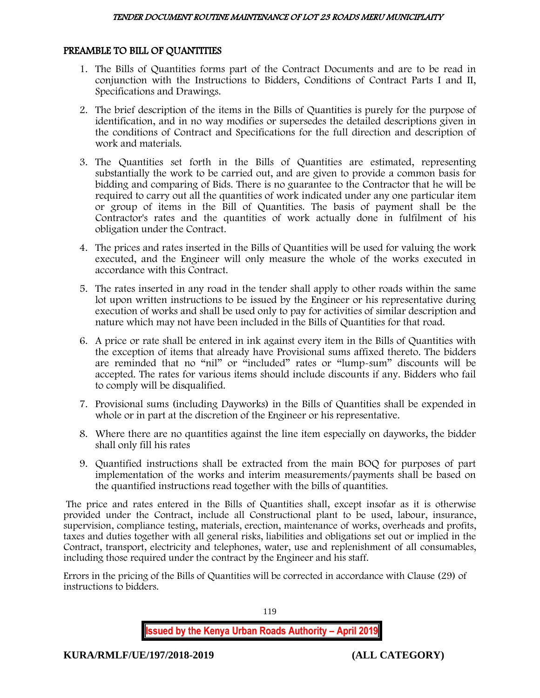# PREAMBLE TO BILL OF QUANTITIES

- 1. The Bills of Quantities forms part of the Contract Documents and are to be read in conjunction with the Instructions to Bidders, Conditions of Contract Parts I and II, Specifications and Drawings.
- 2. The brief description of the items in the Bills of Quantities is purely for the purpose of identification, and in no way modifies or supersedes the detailed descriptions given in the conditions of Contract and Specifications for the full direction and description of work and materials.
- 3. The Quantities set forth in the Bills of Quantities are estimated, representing substantially the work to be carried out, and are given to provide a common basis for bidding and comparing of Bids. There is no guarantee to the Contractor that he will be required to carry out all the quantities of work indicated under any one particular item or group of items in the Bill of Quantities. The basis of payment shall be the Contractor's rates and the quantities of work actually done in fulfilment of his obligation under the Contract.
- 4. The prices and rates inserted in the Bills of Quantities will be used for valuing the work executed, and the Engineer will only measure the whole of the works executed in accordance with this Contract.
- 5. The rates inserted in any road in the tender shall apply to other roads within the same lot upon written instructions to be issued by the Engineer or his representative during execution of works and shall be used only to pay for activities of similar description and nature which may not have been included in the Bills of Quantities for that road.
- 6. A price or rate shall be entered in ink against every item in the Bills of Quantities with the exception of items that already have Provisional sums affixed thereto. The bidders are reminded that no "nil" or "included" rates or "lump-sum" discounts will be accepted. The rates for various items should include discounts if any. Bidders who fail to comply will be disqualified.
- 7. Provisional sums (including Dayworks) in the Bills of Quantities shall be expended in whole or in part at the discretion of the Engineer or his representative.
- 8. Where there are no quantities against the line item especially on dayworks, the bidder shall only fill his rates
- 9. Quantified instructions shall be extracted from the main BOQ for purposes of part implementation of the works and interim measurements/payments shall be based on the quantified instructions read together with the bills of quantities.

The price and rates entered in the Bills of Quantities shall, except insofar as it is otherwise provided under the Contract, include all Constructional plant to be used, labour, insurance, supervision, compliance testing, materials, erection, maintenance of works, overheads and profits, taxes and duties together with all general risks, liabilities and obligations set out or implied in the Contract, transport, electricity and telephones, water, use and replenishment of all consumables, including those required under the contract by the Engineer and his staff.

Errors in the pricing of the Bills of Quantities will be corrected in accordance with Clause (29) of instructions to bidders.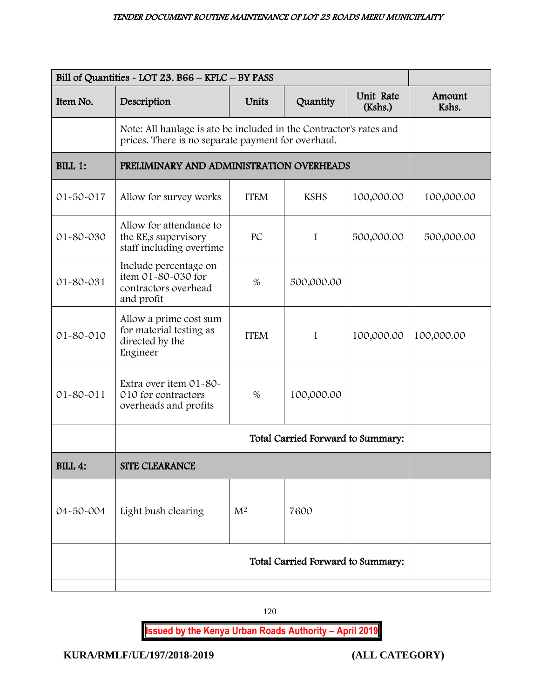|                 | Bill of Quantities - LOT 23. B66 - KPLC - BY PASS                                                                        |             |             |                      |                 |
|-----------------|--------------------------------------------------------------------------------------------------------------------------|-------------|-------------|----------------------|-----------------|
| Item No.        | Description                                                                                                              | Units       | Quantity    | Unit Rate<br>(Kshs.) | Amount<br>Kshs. |
|                 | Note: All haulage is ato be included in the Contractor's rates and<br>prices. There is no separate payment for overhaul. |             |             |                      |                 |
| BILL 1:         | PRELIMINARY AND ADMINISTRATION OVERHEADS                                                                                 |             |             |                      |                 |
| 01-50-017       | Allow for survey works                                                                                                   | <b>ITEM</b> | <b>KSHS</b> | 100,000.00           | 100,000.00      |
| 01-80-030       | Allow for attendance to<br>the RE, s supervisory<br>staff including overtime                                             | PC          | 1           | 500,000.00           | 500,000.00      |
| 01-80-031       | Include percentage on<br>item 01-80-030 for<br>contractors overhead<br>and profit                                        | $\%$        | 500,000.00  |                      |                 |
| 01-80-010       | Allow a prime cost sum<br>for material testing as<br>directed by the<br>Engineer                                         | <b>ITEM</b> | 1           | 100,000.00           | 100,000.00      |
| $01 - 80 - 011$ | Extra over item 01-80-<br>010 for contractors<br>overheads and profits                                                   | $\%$        | 100,000.00  |                      |                 |
|                 | Total Carried Forward to Summary:                                                                                        |             |             |                      |                 |
| <b>BILL 4:</b>  | <b>SITE CLEARANCE</b>                                                                                                    |             |             |                      |                 |
| 04-50-004       | Light bush clearing                                                                                                      | $M^2$       | 7600        |                      |                 |
|                 | Total Carried Forward to Summary:                                                                                        |             |             |                      |                 |
|                 |                                                                                                                          |             |             |                      |                 |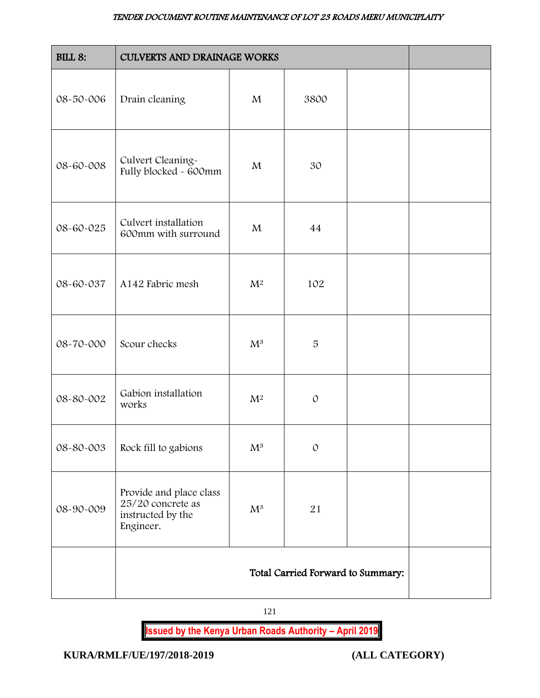| <b>BILL 8:</b> | <b>CULVERTS AND DRAINAGE WORKS</b>                                             |                |                                   |  |
|----------------|--------------------------------------------------------------------------------|----------------|-----------------------------------|--|
| 08-50-006      | Drain cleaning                                                                 | M              | 3800                              |  |
| 08-60-008      | Culvert Cleaning-<br>Fully blocked - 600mm                                     | M              | 30                                |  |
| 08-60-025      | Culvert installation<br>600mm with surround                                    | $\mathbf{M}$   | 44                                |  |
| 08-60-037      | A142 Fabric mesh                                                               | $\mathbf{M}^2$ | 102                               |  |
| 08-70-000      | Scour checks                                                                   | $\mathrm{M}^3$ | 5                                 |  |
| 08-80-002      | Gabion installation<br>works                                                   | $\mathbf{M}^2$ | $\mathcal{O}$                     |  |
| 08-80-003      | Rock fill to gabions                                                           | $\mathrm{M}^3$ | $\mathcal{O}$                     |  |
| 08-90-009      | Provide and place class<br>25/20 concrete as<br>instructed by the<br>Engineer. | $\mathrm{M}^3$ | 21                                |  |
|                |                                                                                |                | Total Carried Forward to Summary: |  |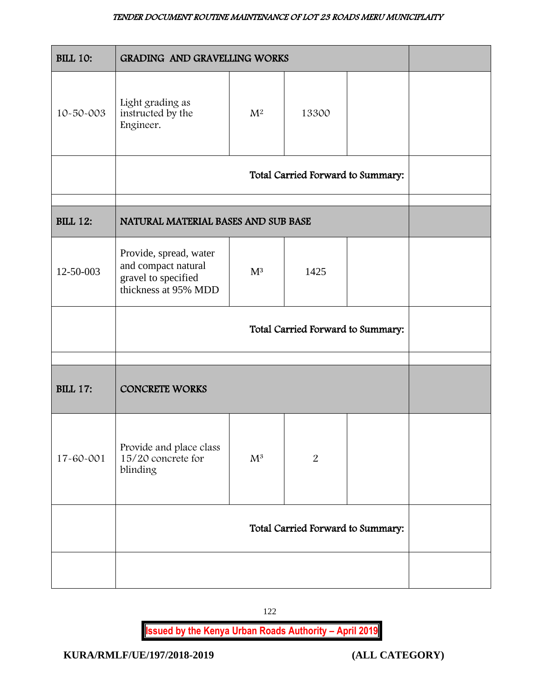| <b>BILL 10:</b> | GRADING AND GRAVELLING WORKS                                                                 |                |                                   |  |  |
|-----------------|----------------------------------------------------------------------------------------------|----------------|-----------------------------------|--|--|
| 10-50-003       | Light grading as<br>instructed by the<br>Engineer.                                           | $\mathrm{M}^2$ | 13300                             |  |  |
|                 | Total Carried Forward to Summary:                                                            |                |                                   |  |  |
| <b>BILL 12:</b> | NATURAL MATERIAL BASES AND SUB BASE                                                          |                |                                   |  |  |
| 12-50-003       | Provide, spread, water<br>and compact natural<br>gravel to specified<br>thickness at 95% MDD | $M^3$          | 1425                              |  |  |
|                 |                                                                                              |                | Total Carried Forward to Summary: |  |  |
| <b>BILL 17:</b> | <b>CONCRETE WORKS</b>                                                                        |                |                                   |  |  |
| 17-60-001       | Provide and place class<br>$15/20$ concrete for<br>blinding                                  | $\mathrm{M}^3$ | $\overline{2}$                    |  |  |
|                 | Total Carried Forward to Summary:                                                            |                |                                   |  |  |
|                 |                                                                                              |                |                                   |  |  |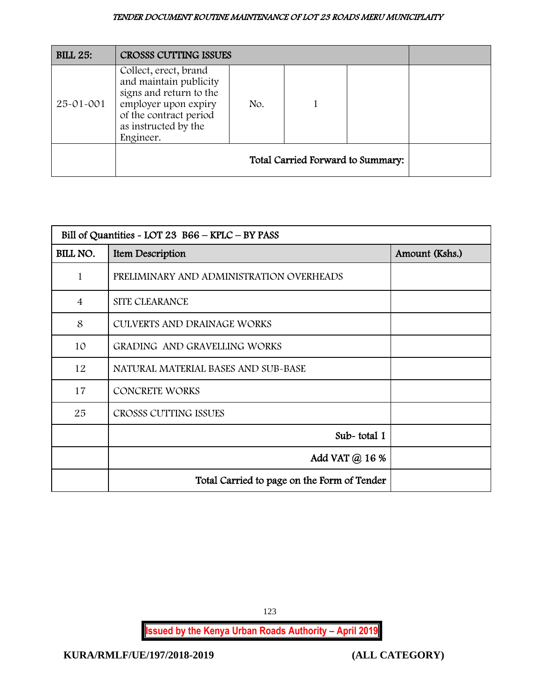| <b>BILL 25:</b> | <b>CROSSS CUTTING ISSUES</b>                                                                                                                                      |     |                                   |  |
|-----------------|-------------------------------------------------------------------------------------------------------------------------------------------------------------------|-----|-----------------------------------|--|
| 25-01-001       | Collect, erect, brand<br>and maintain publicity<br>signs and return to the<br>employer upon expiry<br>of the contract period<br>as instructed by the<br>Engineer. | No. |                                   |  |
|                 |                                                                                                                                                                   |     | Total Carried Forward to Summary: |  |

|                | Bill of Quantities - LOT 23 B66 - KPLC - BY PASS |                |  |  |  |  |
|----------------|--------------------------------------------------|----------------|--|--|--|--|
| BILL NO.       | Item Description                                 | Amount (Kshs.) |  |  |  |  |
| 1              | PRELIMINARY AND ADMINISTRATION OVERHEADS         |                |  |  |  |  |
| $\overline{4}$ | SITE CLEARANCE                                   |                |  |  |  |  |
| 8              | CULVERTS AND DRAINAGE WORKS                      |                |  |  |  |  |
| 10             | GRADING AND GRAVELLING WORKS                     |                |  |  |  |  |
| 12             | NATURAL MATERIAL BASES AND SUB-BASE              |                |  |  |  |  |
| 17             | <b>CONCRETE WORKS</b>                            |                |  |  |  |  |
| 25             | CROSSS CUTTING ISSUES                            |                |  |  |  |  |
|                | Sub-total 1                                      |                |  |  |  |  |
|                | Add VAT @ 16 %                                   |                |  |  |  |  |
|                | Total Carried to page on the Form of Tender      |                |  |  |  |  |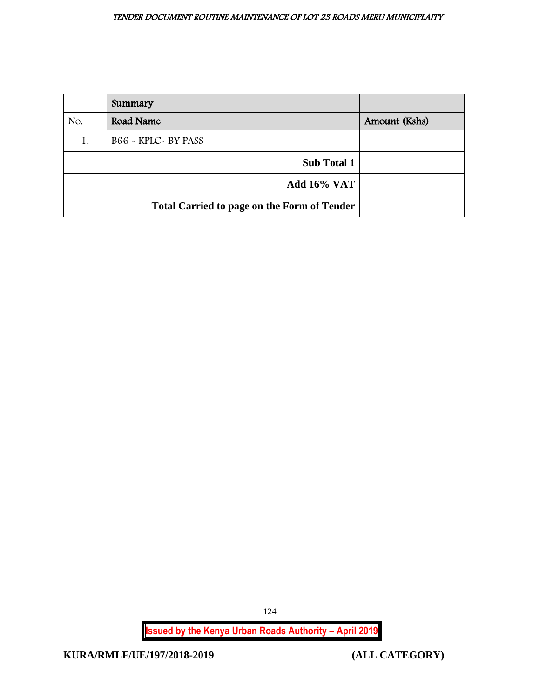|     | Summary                                            |               |
|-----|----------------------------------------------------|---------------|
| No. | Road Name                                          | Amount (Kshs) |
| 1.  | B66 - KPLC - BY PASS                               |               |
|     | <b>Sub Total 1</b>                                 |               |
|     | <b>Add 16% VAT</b>                                 |               |
|     | <b>Total Carried to page on the Form of Tender</b> |               |

124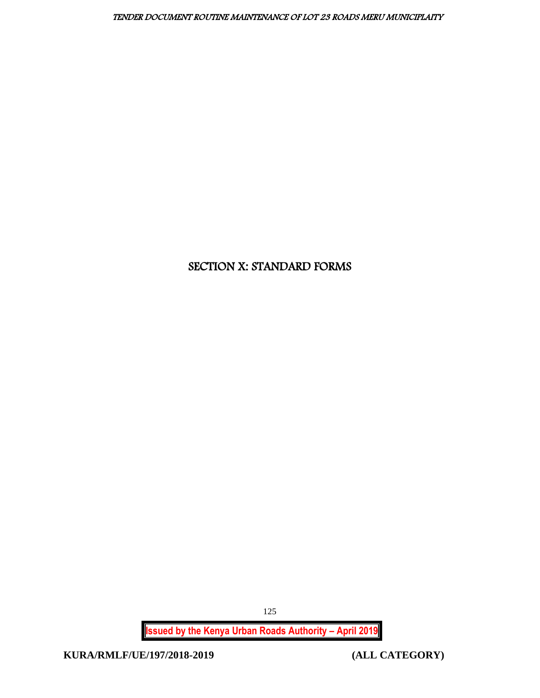# SECTION X: STANDARD FORMS

**Issued by the Kenya Urban Roads Authority – April 2019**

**KURA/RMLF/UE/197/2018-2019 (ALL CATEGORY)**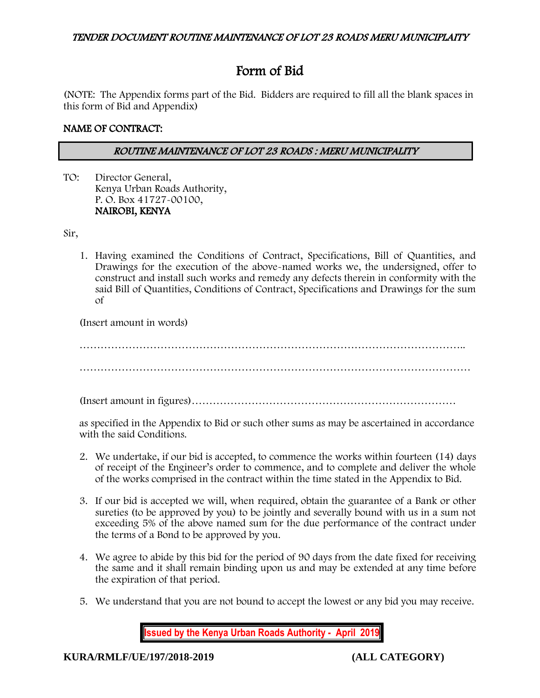# Form of Bid

(NOTE: The Appendix forms part of the Bid. Bidders are required to fill all the blank spaces in this form of Bid and Appendix)

# NAME OF CONTRACT:

# ROUTINE MAINTENANCE OF LOT 23 ROADS : MERU MUNICIPALITY

TO: Director General, Kenya Urban Roads Authority, P. O. Box 41727-00100, NAIROBI, KENYA

Sir,

1. Having examined the Conditions of Contract, Specifications, Bill of Quantities, and Drawings for the execution of the above-named works we, the undersigned, offer to construct and install such works and remedy any defects therein in conformity with the said Bill of Quantities, Conditions of Contract, Specifications and Drawings for the sum of

(Insert amount in words)

……………………………………………………………………………………………….. …………………………………………………………………………………………………

(Insert amount in figures)…………………………………………………………………

as specified in the Appendix to Bid or such other sums as may be ascertained in accordance with the said Conditions.

- 2. We undertake, if our bid is accepted, to commence the works within fourteen (14) days of receipt of the Engineer's order to commence, and to complete and deliver the whole of the works comprised in the contract within the time stated in the Appendix to Bid.
- 3. If our bid is accepted we will, when required, obtain the guarantee of a Bank or other sureties (to be approved by you) to be jointly and severally bound with us in a sum not exceeding 5% of the above named sum for the due performance of the contract under the terms of a Bond to be approved by you.
- 4. We agree to abide by this bid for the period of 90 days from the date fixed for receiving the same and it shall remain binding upon us and may be extended at any time before the expiration of that period.
- 5. We understand that you are not bound to accept the lowest or any bid you may receive.

**Issued by the Kenya Urban Roads Authority - April 2019**

**KURA/RMLF/UE/197/2018-2019 (ALL CATEGORY)**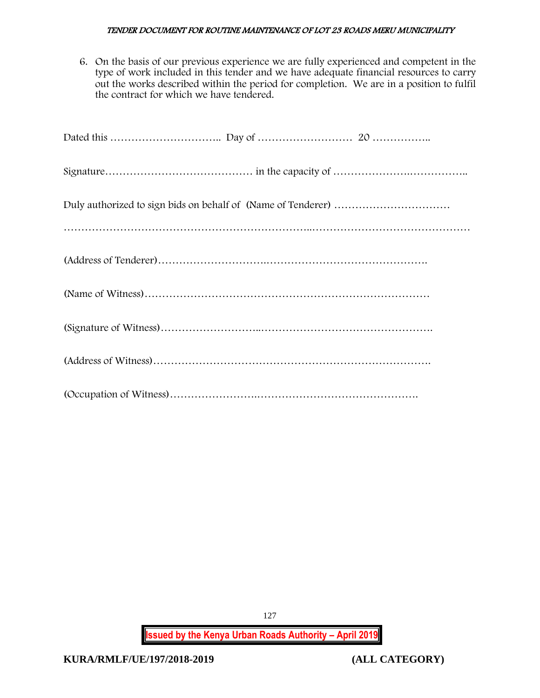6. On the basis of our previous experience we are fully experienced and competent in the type of work included in this tender and we have adequate financial resources to carry out the works described within the period for completion. We are in a position to fulfil the contract for which we have tendered.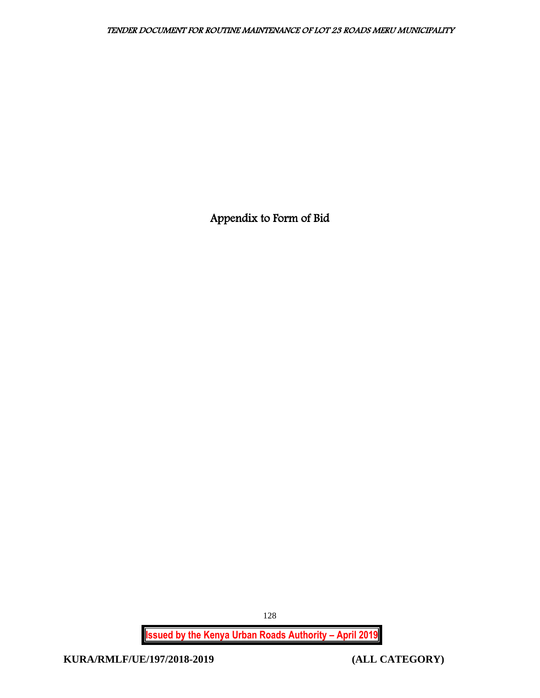Appendix to Form of Bid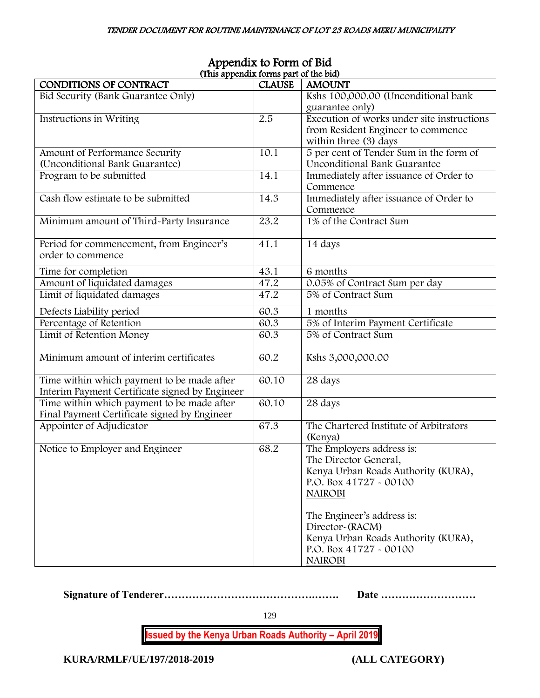| (This appendix forms part of the bid)          |               |                                            |  |  |  |
|------------------------------------------------|---------------|--------------------------------------------|--|--|--|
| CONDITIONS OF CONTRACT                         | <b>CLAUSE</b> | <b>AMOUNT</b>                              |  |  |  |
| Bid Security (Bank Guarantee Only)             |               | Kshs 100,000.00 (Unconditional bank        |  |  |  |
|                                                |               | guarantee only)                            |  |  |  |
| Instructions in Writing                        | 2.5           | Execution of works under site instructions |  |  |  |
|                                                |               | from Resident Engineer to commence         |  |  |  |
|                                                |               | within three (3) days                      |  |  |  |
| Amount of Performance Security                 | 10.1          | 5 per cent of Tender Sum in the form of    |  |  |  |
| (Unconditional Bank Guarantee)                 |               | <b>Unconditional Bank Guarantee</b>        |  |  |  |
| Program to be submitted                        | 14.1          | Immediately after issuance of Order to     |  |  |  |
|                                                |               | Commence                                   |  |  |  |
| Cash flow estimate to be submitted             | 14.3          | Immediately after issuance of Order to     |  |  |  |
|                                                |               | Commence                                   |  |  |  |
| Minimum amount of Third-Party Insurance        | 23.2          | 1% of the Contract Sum                     |  |  |  |
|                                                |               |                                            |  |  |  |
| Period for commencement, from Engineer's       | 41.1          | 14 days                                    |  |  |  |
| order to commence                              |               |                                            |  |  |  |
|                                                |               |                                            |  |  |  |
| Time for completion                            | 43.1          | 6 months                                   |  |  |  |
| Amount of liquidated damages                   | 47.2          | 0.05% of Contract Sum per day              |  |  |  |
| Limit of liquidated damages                    | 47.2          | 5% of Contract Sum                         |  |  |  |
| Defects Liability period                       | 60.3          | 1 months                                   |  |  |  |
| Percentage of Retention                        | 60.3          | 5% of Interim Payment Certificate          |  |  |  |
| Limit of Retention Money                       | 60.3          | 5% of Contract Sum                         |  |  |  |
|                                                |               |                                            |  |  |  |
| Minimum amount of interim certificates         | 60.2          | Kshs 3,000,000.00                          |  |  |  |
|                                                |               |                                            |  |  |  |
| Time within which payment to be made after     | 60.10         | 28 days                                    |  |  |  |
| Interim Payment Certificate signed by Engineer |               |                                            |  |  |  |
| Time within which payment to be made after     | 60.10         | 28 days                                    |  |  |  |
| Final Payment Certificate signed by Engineer   |               |                                            |  |  |  |
| Appointer of Adjudicator                       | 67.3          | The Chartered Institute of Arbitrators     |  |  |  |
|                                                |               | (Kenya)                                    |  |  |  |
| Notice to Employer and Engineer                | 68.2          | The Employers address is:                  |  |  |  |
|                                                |               | The Director General,                      |  |  |  |
|                                                |               | Kenya Urban Roads Authority (KURA),        |  |  |  |
|                                                |               | P.O. Box 41727 - 00100                     |  |  |  |
|                                                |               | <b>NAIROBI</b>                             |  |  |  |
|                                                |               |                                            |  |  |  |
|                                                |               | The Engineer's address is:                 |  |  |  |
|                                                |               | Director~(RACM)                            |  |  |  |
|                                                |               | Kenya Urban Roads Authority (KURA),        |  |  |  |
|                                                |               | P.O. Box 41727 - 00100                     |  |  |  |
|                                                |               | <b>NAIROBI</b>                             |  |  |  |

# Appendix to Form of Bid (This appendix forms part of the bid)

**Signature of Tenderer…………………………………….……. Date ………………………**

129

**Issued by the Kenya Urban Roads Authority – April 2019**

**KURA/RMLF/UE/197/2018-2019 (ALL CATEGORY)**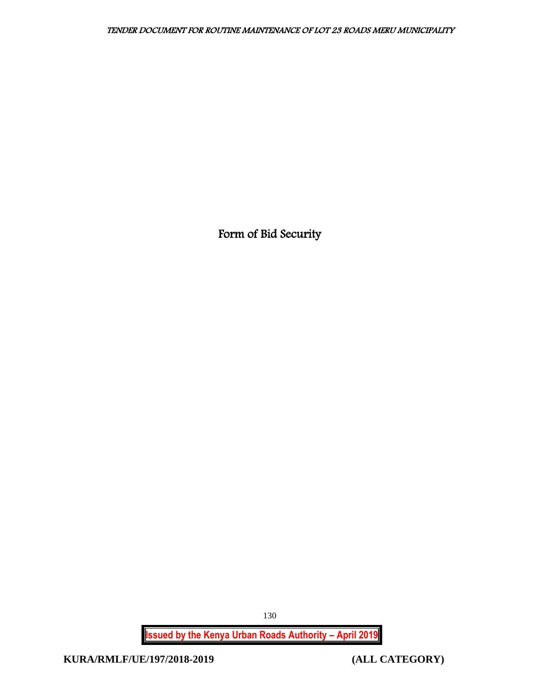Form of Bid Security

**Issued by the Kenya Urban Roads Authority – April 2019**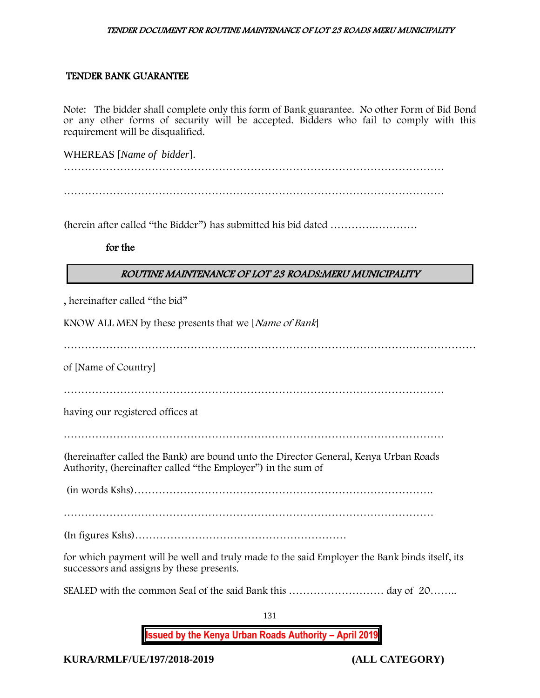## TENDER BANK GUARANTEE

Note: The bidder shall complete only this form of Bank guarantee. No other Form of Bid Bond or any other forms of security will be accepted. Bidders who fail to comply with this requirement will be disqualified.

WHEREAS [*Name of bidder*].

………………………………………………………………………………………………

(herein after called "the Bidder") has submitted his bid dated ………….…………

for the

# ROUTINE MAINTENANCE OF LOT 23 ROADS:MERU MUNICIPALITY

, hereinafter called "the bid"

KNOW ALL MEN by these presents that we [Name of Bank]

………………………………………………………………………………………………………

of [Name of Country]

………………………………………………………………………………………………

having our registered offices at

………………………………………………………………………………………………

(hereinafter called the Bank) are bound unto the Director General, Kenya Urban Roads Authority, (hereinafter called "the Employer") in the sum of

(in words Kshs)………………………………………………………………………….

(In figures Kshs)……………………………………………………

for which payment will be well and truly made to the said Employer the Bank binds itself, its successors and assigns by these presents.

SEALED with the common Seal of the said Bank this ……………………………… day of 20………

131

**Issued by the Kenya Urban Roads Authority – April 2019**

**KURA/RMLF/UE/197/2018-2019 (ALL CATEGORY)**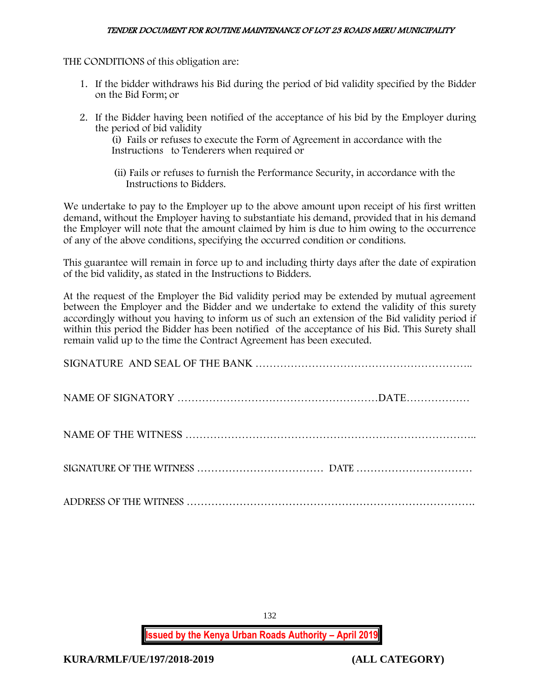THE CONDITIONS of this obligation are:

- 1. If the bidder withdraws his Bid during the period of bid validity specified by the Bidder on the Bid Form; or
- 2. If the Bidder having been notified of the acceptance of his bid by the Employer during the period of bid validity

(i) Fails or refuses to execute the Form of Agreement in accordance with the Instructions to Tenderers when required or

 (ii) Fails or refuses to furnish the Performance Security, in accordance with the Instructions to Bidders.

We undertake to pay to the Employer up to the above amount upon receipt of his first written demand, without the Employer having to substantiate his demand, provided that in his demand the Employer will note that the amount claimed by him is due to him owing to the occurrence of any of the above conditions, specifying the occurred condition or conditions.

This guarantee will remain in force up to and including thirty days after the date of expiration of the bid validity, as stated in the Instructions to Bidders.

At the request of the Employer the Bid validity period may be extended by mutual agreement between the Employer and the Bidder and we undertake to extend the validity of this surety accordingly without you having to inform us of such an extension of the Bid validity period if within this period the Bidder has been notified of the acceptance of his Bid. This Surety shall remain valid up to the time the Contract Agreement has been executed.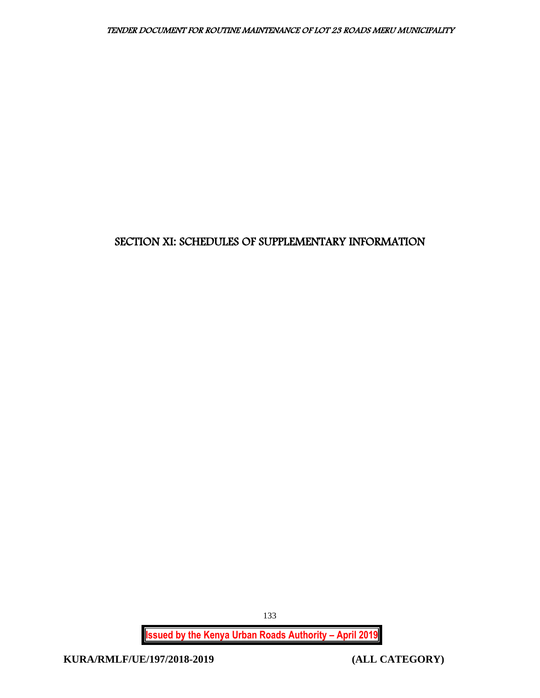# SECTION XI: SCHEDULES OF SUPPLEMENTARY INFORMATION

**Issued by the Kenya Urban Roads Authority – April 2019**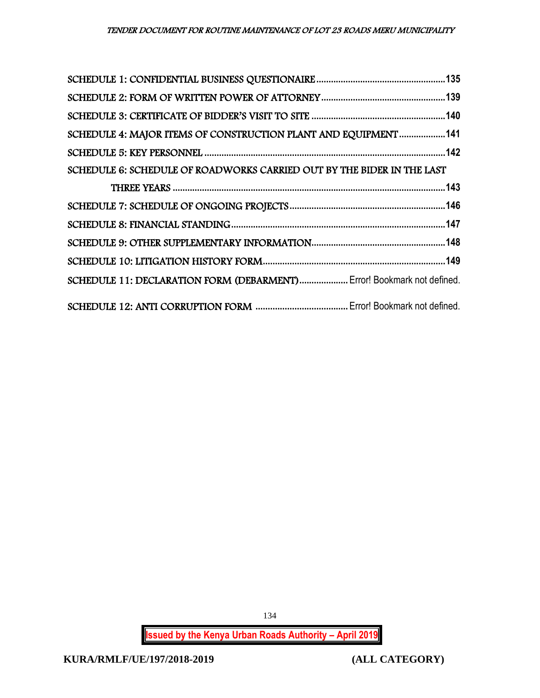| SCHEDULE 4: MAJOR ITEMS OF CONSTRUCTION PLANT AND EQUIPMENT141         |  |
|------------------------------------------------------------------------|--|
|                                                                        |  |
| SCHEDULE 6: SCHEDULE OF ROADWORKS CARRIED OUT BY THE BIDER IN THE LAST |  |
|                                                                        |  |
|                                                                        |  |
|                                                                        |  |
|                                                                        |  |
|                                                                        |  |
| SCHEDULE 11: DECLARATION FORM (DEBARMENT) Error! Bookmark not defined. |  |
|                                                                        |  |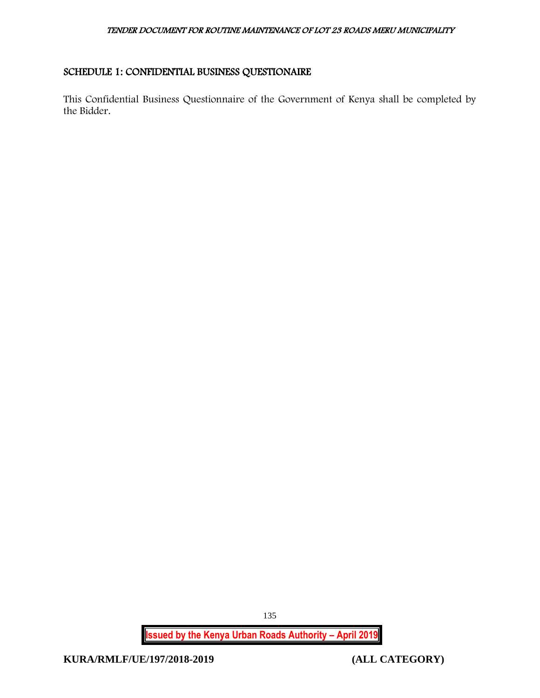# <span id="page-135-0"></span>SCHEDULE 1: CONFIDENTIAL BUSINESS QUESTIONAIRE

This Confidential Business Questionnaire of the Government of Kenya shall be completed by the Bidder.

**Issued by the Kenya Urban Roads Authority – April 2019**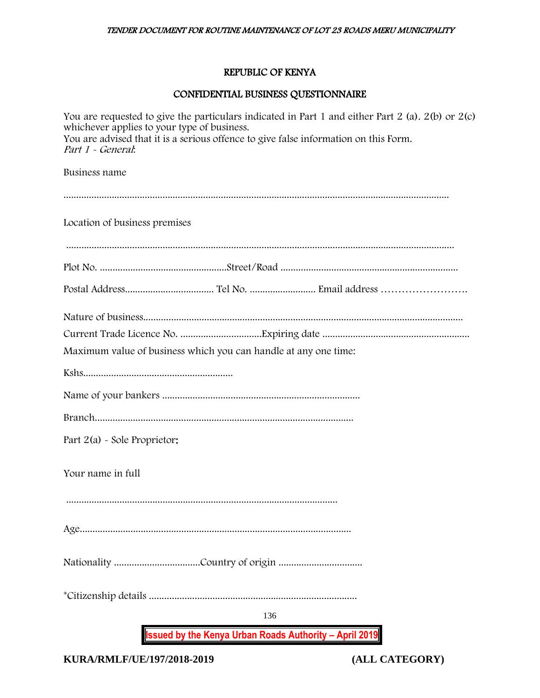# REPUBLIC OF KENYA

# CONFIDENTIAL BUSINESS QUESTIONNAIRE

| <b>Issued by the Kenya Urban Roads Authority - April 2019</b>                                                                                            |
|----------------------------------------------------------------------------------------------------------------------------------------------------------|
| 136                                                                                                                                                      |
|                                                                                                                                                          |
|                                                                                                                                                          |
| Your name in full                                                                                                                                        |
| Part $2(a)$ - Sole Proprietor:                                                                                                                           |
|                                                                                                                                                          |
|                                                                                                                                                          |
|                                                                                                                                                          |
| Maximum value of business which you can handle at any one time:                                                                                          |
|                                                                                                                                                          |
|                                                                                                                                                          |
|                                                                                                                                                          |
|                                                                                                                                                          |
| Location of business premises                                                                                                                            |
|                                                                                                                                                          |
| Business name                                                                                                                                            |
| whichever applies to your type of business.<br>You are advised that it is a serious offence to give false information on this Form.<br>Part 1 - General. |

**KURA/RMLF/UE/197/2018-2019 (ALL CATEGORY)**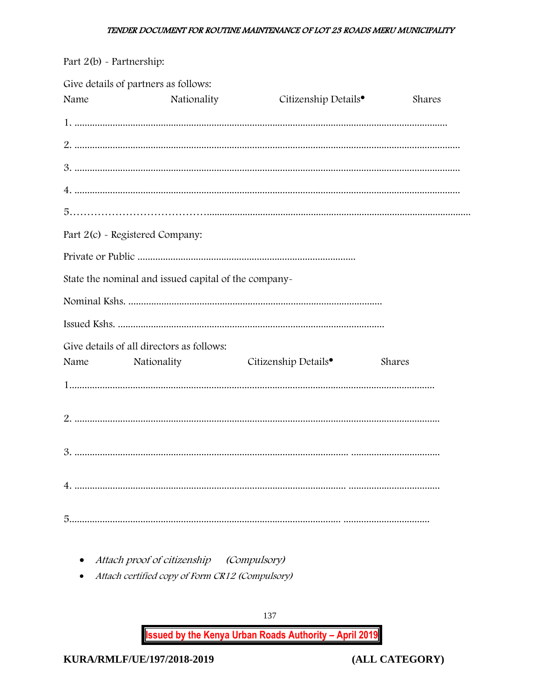| Part 2(b) - Partnership: |                                                          |                                  |        |
|--------------------------|----------------------------------------------------------|----------------------------------|--------|
| Name                     | Give details of partners as follows:<br>Nationality      | Citizenship Details <sup>•</sup> | Shares |
|                          |                                                          |                                  |        |
|                          |                                                          |                                  |        |
|                          |                                                          |                                  |        |
|                          |                                                          |                                  |        |
|                          |                                                          |                                  |        |
|                          | Part 2(c) - Registered Company:                          |                                  |        |
|                          |                                                          |                                  |        |
|                          | State the nominal and issued capital of the company-     |                                  |        |
|                          |                                                          |                                  |        |
|                          |                                                          |                                  |        |
| Name                     | Give details of all directors as follows:<br>Nationality | Citizenship Details <sup>•</sup> | Shares |
|                          |                                                          |                                  |        |
|                          |                                                          |                                  |        |
| 3.                       |                                                          |                                  |        |
|                          |                                                          |                                  |        |
|                          |                                                          |                                  |        |

- Attach proof of citizenship (Compulsory)
- Attach certified copy of Form CR12 (Compulsory)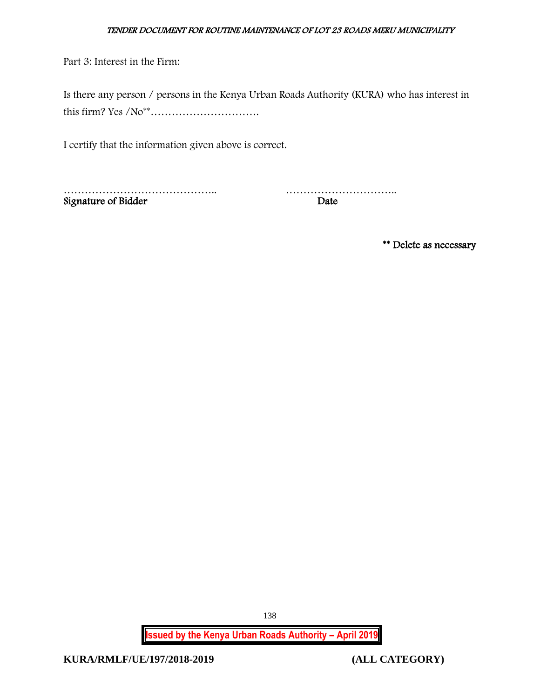Part 3: Interest in the Firm:

Is there any person / persons in the Kenya Urban Roads Authority (KURA) who has interest in this firm? Yes /No\*\*………………………….

I certify that the information given above is correct.

Signature of Bidder

musical contract the contract of Bidder and the contract of Bidder and Date and Date

\*\* Delete as necessary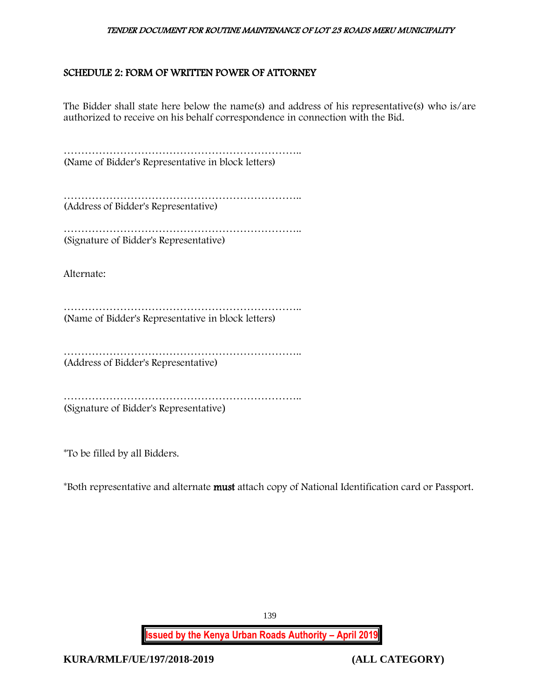# <span id="page-139-0"></span>SCHEDULE 2: FORM OF WRITTEN POWER OF ATTORNEY

The Bidder shall state here below the name(s) and address of his representative(s) who is/are authorized to receive on his behalf correspondence in connection with the Bid.

………………………………………………………….. (Name of Bidder's Representative in block letters)

………………………………………………………….. (Address of Bidder's Representative)

………………………………………………………….. (Signature of Bidder's Representative)

Alternate:

………………………………………………………….. (Name of Bidder's Representative in block letters)

………………………………………………………….. (Address of Bidder's Representative)

………………………………………………………………………… (Signature of Bidder's Representative)

\*To be filled by all Bidders.

\*Both representative and alternate must attach copy of National Identification card or Passport.

**Issued by the Kenya Urban Roads Authority – April 2019**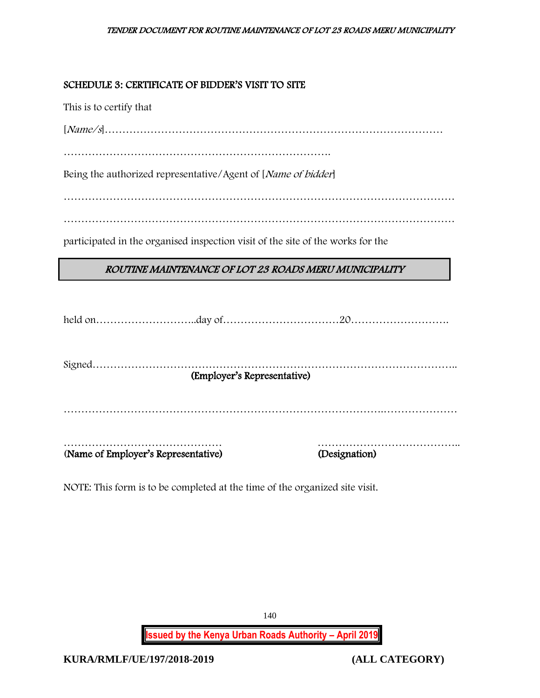# <span id="page-140-0"></span>SCHEDULE 3: CERTIFICATE OF BIDDER'S VISIT TO SITE

This is to certify that

[Name/s]……………………………………………………………………………………

………………………………………………………………….

Being the authorized representative/Agent of [Name of bidder]

…………………………………………………………………………………………………

…………………………………………………………………………………………………

participated in the organised inspection visit of the site of the works for the

# ROUTINE MAINTENANCE OF LOT 23 ROADS MERU MUNICIPALITY

| (Employer's Representative)         |  |               |  |  |
|-------------------------------------|--|---------------|--|--|
|                                     |  |               |  |  |
|                                     |  |               |  |  |
|                                     |  |               |  |  |
|                                     |  |               |  |  |
| (Name of Employer's Representative) |  | (Designation) |  |  |
|                                     |  |               |  |  |

NOTE: This form is to be completed at the time of the organized site visit.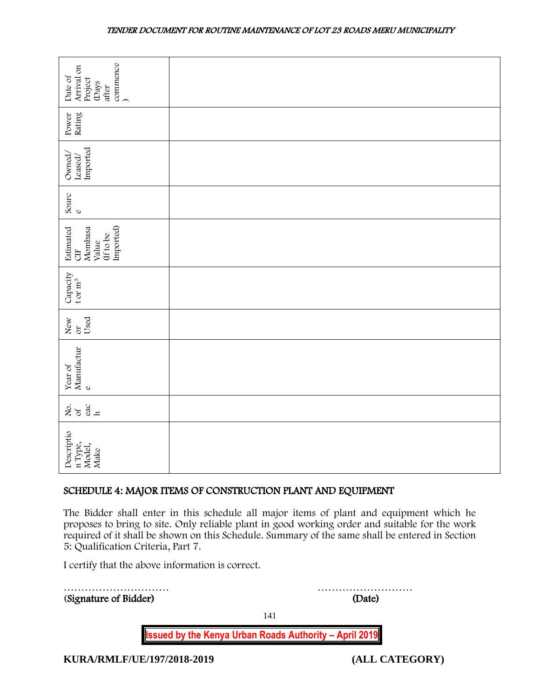| commence<br>Arrival on<br>Date of<br>Project<br>(Days<br>after                                                                                                                                                                                                                                                                     |        |  |
|------------------------------------------------------------------------------------------------------------------------------------------------------------------------------------------------------------------------------------------------------------------------------------------------------------------------------------|--------|--|
| Rating<br>Power                                                                                                                                                                                                                                                                                                                    |        |  |
| Imported<br>Owned/<br>Leased/                                                                                                                                                                                                                                                                                                      |        |  |
| Sourc<br>$\mathbf 0$                                                                                                                                                                                                                                                                                                               |        |  |
| Imported)<br>Mombasa<br>Estimated<br>(If to be<br>Value<br>5H                                                                                                                                                                                                                                                                      |        |  |
| Capacity<br>t or $\rm m^3$                                                                                                                                                                                                                                                                                                         |        |  |
| Used<br>New<br>$\delta$                                                                                                                                                                                                                                                                                                            |        |  |
| Manufactur<br>Year of<br>$\mathbf{o}$                                                                                                                                                                                                                                                                                              |        |  |
| $rac{ac}{h}$<br>ર્ષ્ટ જ                                                                                                                                                                                                                                                                                                            |        |  |
| Descriptio<br>n Type,<br>Model,<br>Make                                                                                                                                                                                                                                                                                            |        |  |
| SCHEDULE 4: MAJOR ITEMS OF CONSTRUCTION PLANT AND EQUIPMENT                                                                                                                                                                                                                                                                        |        |  |
| The Bidder shall enter in this schedule all major items of plant and equipment which he<br>proposes to bring to site. Only reliable plant in good working order and suitable for the work<br>required of it shall be shown on this Schedule. Summary of the same shall be entered in Section<br>5: Qualification Criteria, Part 7. |        |  |
| I certify that the above information is correct.                                                                                                                                                                                                                                                                                   |        |  |
| (Signature of Bidder)                                                                                                                                                                                                                                                                                                              | (Date) |  |

# <span id="page-141-0"></span>SCHEDULE 4: MAJOR ITEMS OF CONSTRUCTION PLANT AND EQUIPMENT

141

**Issued by the Kenya Urban Roads Authority – April 2019**

**KURA/RMLF/UE/197/2018-2019 (ALL CATEGORY)**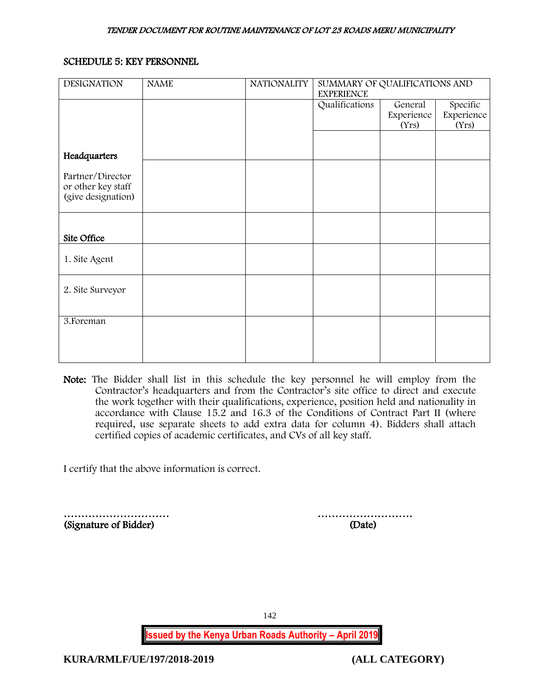### <span id="page-142-0"></span>SCHEDULE 5: KEY PERSONNEL

| <b>DESIGNATION</b> | <b>NAME</b> | <b>NATIONALITY</b> | SUMMARY OF QUALIFICATIONS AND<br><b>EXPERIENCE</b> |            |            |
|--------------------|-------------|--------------------|----------------------------------------------------|------------|------------|
|                    |             |                    | Qualifications                                     | General    | Specific   |
|                    |             |                    |                                                    | Experience | Experience |
|                    |             |                    |                                                    | (Yrs)      | (Yrs)      |
|                    |             |                    |                                                    |            |            |
| Headquarters       |             |                    |                                                    |            |            |
|                    |             |                    |                                                    |            |            |
| Partner/Director   |             |                    |                                                    |            |            |
| or other key staff |             |                    |                                                    |            |            |
| (give designation) |             |                    |                                                    |            |            |
|                    |             |                    |                                                    |            |            |
|                    |             |                    |                                                    |            |            |
| Site Office        |             |                    |                                                    |            |            |
|                    |             |                    |                                                    |            |            |
| 1. Site Agent      |             |                    |                                                    |            |            |
|                    |             |                    |                                                    |            |            |
| 2. Site Surveyor   |             |                    |                                                    |            |            |
|                    |             |                    |                                                    |            |            |
|                    |             |                    |                                                    |            |            |
| 3. Foreman         |             |                    |                                                    |            |            |
|                    |             |                    |                                                    |            |            |
|                    |             |                    |                                                    |            |            |
|                    |             |                    |                                                    |            |            |
|                    |             |                    |                                                    |            |            |

Note: The Bidder shall list in this schedule the key personnel he will employ from the Contractor's headquarters and from the Contractor's site office to direct and execute the work together with their qualifications, experience, position held and nationality in accordance with Clause 15.2 and 16.3 of the Conditions of Contract Part II (where required, use separate sheets to add extra data for column 4). Bidders shall attach certified copies of academic certificates, and CVs of all key staff.

I certify that the above information is correct.

………………………… ……………………… (Signature of Bidder) (Date)

142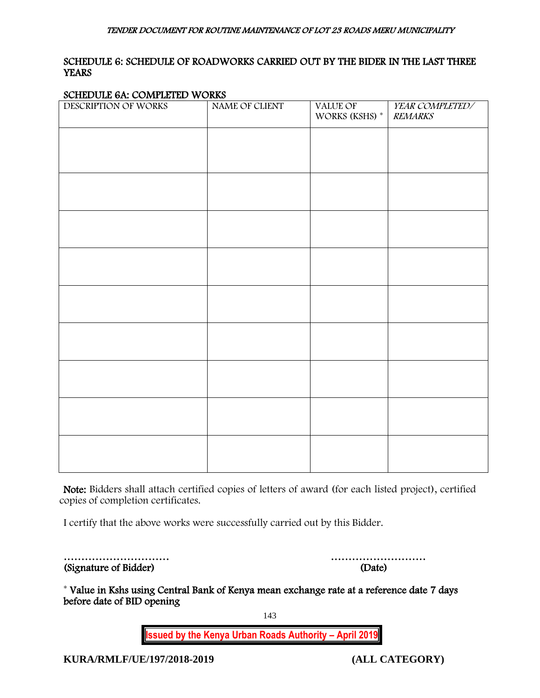## <span id="page-143-0"></span>SCHEDULE 6: SCHEDULE OF ROADWORKS CARRIED OUT BY THE BIDER IN THE LAST THREE **YEARS**

### SCHEDULE 6A: COMPLETED WORKS

| $\frac{1}{2}$<br>DESCRIPTION OF WORKS | NAME OF CLIENT | VALUE OF<br>WORKS (KSHS) $^\ast$ | YEAR COMPLETED/<br><b>REMARKS</b> |
|---------------------------------------|----------------|----------------------------------|-----------------------------------|
|                                       |                |                                  |                                   |
|                                       |                |                                  |                                   |
|                                       |                |                                  |                                   |
|                                       |                |                                  |                                   |
|                                       |                |                                  |                                   |
|                                       |                |                                  |                                   |
|                                       |                |                                  |                                   |
|                                       |                |                                  |                                   |
|                                       |                |                                  |                                   |
|                                       |                |                                  |                                   |
|                                       |                |                                  |                                   |
|                                       |                |                                  |                                   |
|                                       |                |                                  |                                   |
|                                       |                |                                  |                                   |
|                                       |                |                                  |                                   |
|                                       |                |                                  |                                   |
|                                       |                |                                  |                                   |
|                                       |                |                                  |                                   |
|                                       |                |                                  |                                   |
|                                       |                |                                  |                                   |
|                                       |                |                                  |                                   |
|                                       |                |                                  |                                   |
|                                       |                |                                  |                                   |

Note: Bidders shall attach certified copies of letters of award (for each listed project), certified copies of completion certificates.

I certify that the above works were successfully carried out by this Bidder.

| (Signature of Bidder) | (Date) |
|-----------------------|--------|

………………………… ………………………

\* Value in Kshs using Central Bank of Kenya mean exchange rate at a reference date 7 days before date of BID opening

143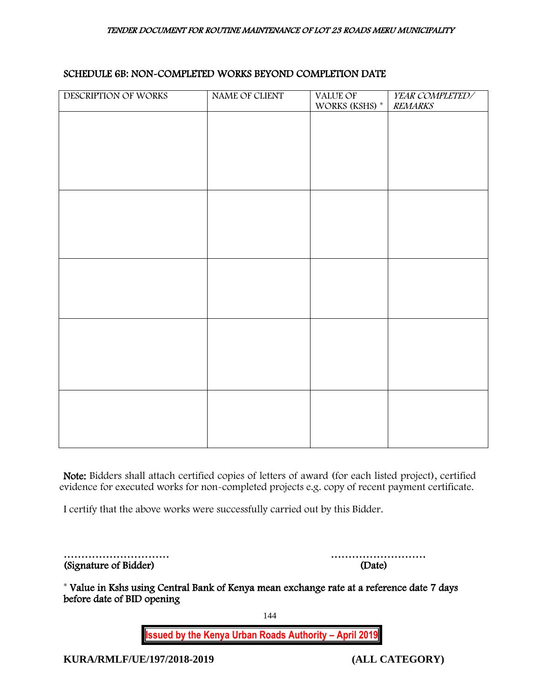## SCHEDULE 6B: NON-COMPLETED WORKS BEYOND COMPLETION DATE

| DESCRIPTION OF WORKS | NAME OF CLIENT | VALUE OF<br>WORKS (KSHS) <sup>*</sup> | YEAR COMPLETED/<br><b>REMARKS</b> |
|----------------------|----------------|---------------------------------------|-----------------------------------|
|                      |                |                                       |                                   |
|                      |                |                                       |                                   |
|                      |                |                                       |                                   |
|                      |                |                                       |                                   |
|                      |                |                                       |                                   |
|                      |                |                                       |                                   |
|                      |                |                                       |                                   |
|                      |                |                                       |                                   |
|                      |                |                                       |                                   |
|                      |                |                                       |                                   |
|                      |                |                                       |                                   |
|                      |                |                                       |                                   |
|                      |                |                                       |                                   |
|                      |                |                                       |                                   |
|                      |                |                                       |                                   |
|                      |                |                                       |                                   |

Note: Bidders shall attach certified copies of letters of award (for each listed project), certified evidence for executed works for non-completed projects e.g. copy of recent payment certificate.

I certify that the above works were successfully carried out by this Bidder.

|                       | .      |
|-----------------------|--------|
| (Signature of Bidder) | (Date) |

………………………… ………………………

\* Value in Kshs using Central Bank of Kenya mean exchange rate at a reference date 7 days before date of BID opening

144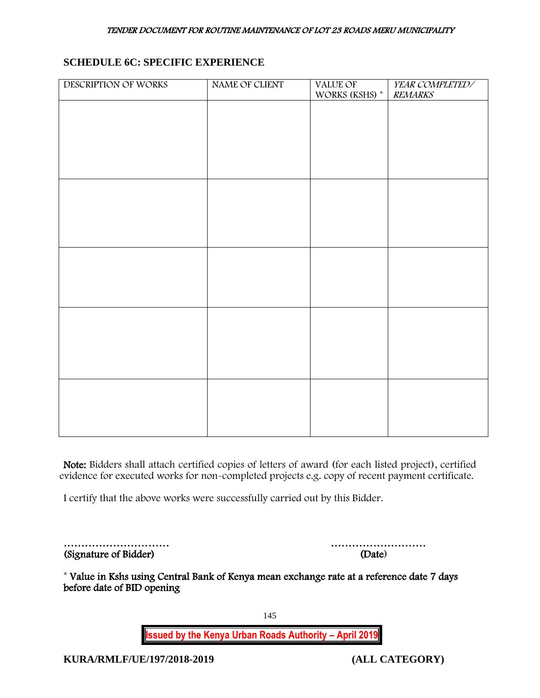## **SCHEDULE 6C: SPECIFIC EXPERIENCE**

| DESCRIPTION OF WORKS | NAME OF CLIENT | VALUE OF<br>WORKS (KSHS) * | YEAR COMPLETED/<br><b>REMARKS</b> |
|----------------------|----------------|----------------------------|-----------------------------------|
|                      |                |                            |                                   |
|                      |                |                            |                                   |
|                      |                |                            |                                   |
|                      |                |                            |                                   |
|                      |                |                            |                                   |
|                      |                |                            |                                   |
|                      |                |                            |                                   |
|                      |                |                            |                                   |
|                      |                |                            |                                   |
|                      |                |                            |                                   |
|                      |                |                            |                                   |
|                      |                |                            |                                   |
|                      |                |                            |                                   |
|                      |                |                            |                                   |
|                      |                |                            |                                   |
|                      |                |                            |                                   |

Note: Bidders shall attach certified copies of letters of award (for each listed project), certified evidence for executed works for non-completed projects e.g. copy of recent payment certificate.

I certify that the above works were successfully carried out by this Bidder.

| (Signature of Bidder) | (Date) |
|-----------------------|--------|

………………………… ………………………

\* Value in Kshs using Central Bank of Kenya mean exchange rate at a reference date 7 days before date of BID opening

145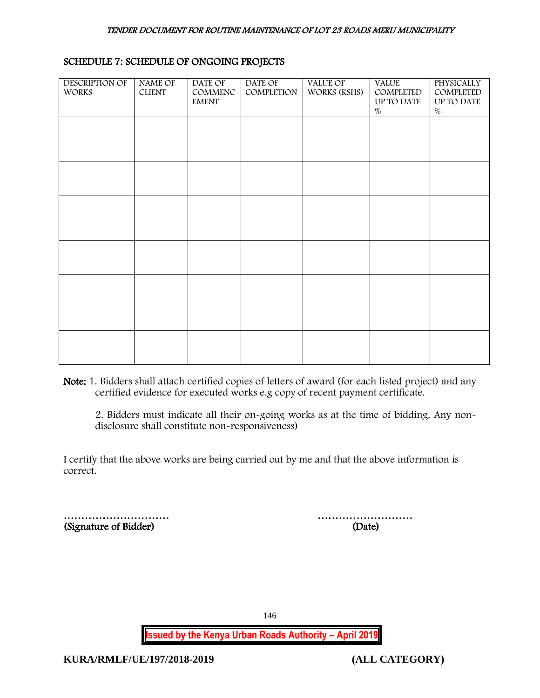| <b>DESCRIPTION OF</b><br><b>WORKS</b> | <b>NAME OF</b><br><b>CLIENT</b> | DATE OF<br>COMMENC<br><b>EMENT</b> | DATE OF<br>COMPLETION | <b>VALUE OF</b><br>WORKS (KSHS) | <b>VALUE</b><br>COMPLETED<br>UP TO DATE<br>$\%$ | <b>PHYSICALLY</b><br>COMPLETED<br>UP TO DATE<br>$\%$ |
|---------------------------------------|---------------------------------|------------------------------------|-----------------------|---------------------------------|-------------------------------------------------|------------------------------------------------------|
|                                       |                                 |                                    |                       |                                 |                                                 |                                                      |
|                                       |                                 |                                    |                       |                                 |                                                 |                                                      |
|                                       |                                 |                                    |                       |                                 |                                                 |                                                      |
|                                       |                                 |                                    |                       |                                 |                                                 |                                                      |
|                                       |                                 |                                    |                       |                                 |                                                 |                                                      |
|                                       |                                 |                                    |                       |                                 |                                                 |                                                      |

# SCHEDULE 7: SCHEDULE OF ONGOING PROJECTS

Note: 1. Bidders shall attach certified copies of letters of award (for each listed project) and any certified evidence for executed works e.g copy of recent payment certificate.

2. Bidders must indicate all their on-going works as at the time of bidding. Any nondisclosure shall constitute non-responsiveness)

I certify that the above works are being carried out by me and that the above information is correct.

|                       | .      |
|-----------------------|--------|
| (Signature of Bidder) | (Date) |

………………………… ………………………

146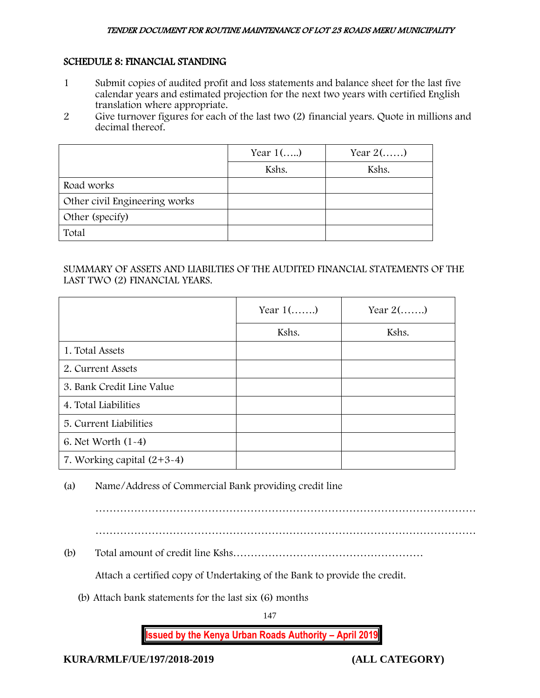## SCHEDULE 8: FINANCIAL STANDING

- 1 Submit copies of audited profit and loss statements and balance sheet for the last five calendar years and estimated projection for the next two years with certified English translation where appropriate.
- 2 Give turnover figures for each of the last two (2) financial years. Quote in millions and decimal thereof.

|                               | Year $1$ () | Year $2(\ldots)$ |
|-------------------------------|-------------|------------------|
|                               | Kshs.       | Kshs.            |
| Road works                    |             |                  |
| Other civil Engineering works |             |                  |
| Other (specify)               |             |                  |
| Total                         |             |                  |

# SUMMARY OF ASSETS AND LIABILTIES OF THE AUDITED FINANCIAL STATEMENTS OF THE LAST TWO (2) FINANCIAL YEARS.

|                              | Year $1$ () | Year $2(\ldots)$ |
|------------------------------|-------------|------------------|
|                              | Kshs.       | Kshs.            |
| 1. Total Assets              |             |                  |
| 2. Current Assets            |             |                  |
| 3. Bank Credit Line Value    |             |                  |
| 4. Total Liabilities         |             |                  |
| 5. Current Liabilities       |             |                  |
| 6. Net Worth $(1-4)$         |             |                  |
| 7. Working capital $(2+3-4)$ |             |                  |

(a) Name/Address of Commercial Bank providing credit line

………………………………………………………………………………………………

(b) Total amount of credit line Kshs………………………………………………

Attach a certified copy of Undertaking of the Bank to provide the credit.

(b) Attach bank statements for the last six (6) months

147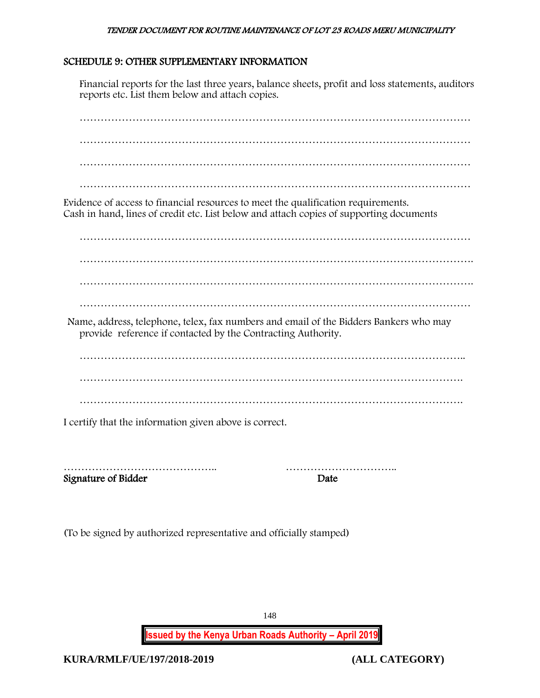## SCHEDULE 9: OTHER SUPPLEMENTARY INFORMATION

Financial reports for the last three years, balance sheets, profit and loss statements, auditors reports etc. List them below and attach copies.

………………………………………………………………………………………………… ………………………………………………………………………………………………… ………………………………………………………………………………………………… Evidence of access to financial resources to meet the qualification requirements. Cash in hand, lines of credit etc. List below and attach copies of supporting documents ………………………………………………………………………………………………… …………………………………………………………………………………………………. …………………………………………………………………………………………………. ………………………………………………………………………………………………… Name, address, telephone, telex, fax numbers and email of the Bidders Bankers who may provide reference if contacted by the Contracting Authority. ……………………………………………………………………………………………….. ………………………………………………………………………………………………. ………………………………………………………………………………………………. I certify that the information given above is correct.

Signature of Bidder Date

…………………………………….. …………………………..

(To be signed by authorized representative and officially stamped)

**Issued by the Kenya Urban Roads Authority – April 2019**

148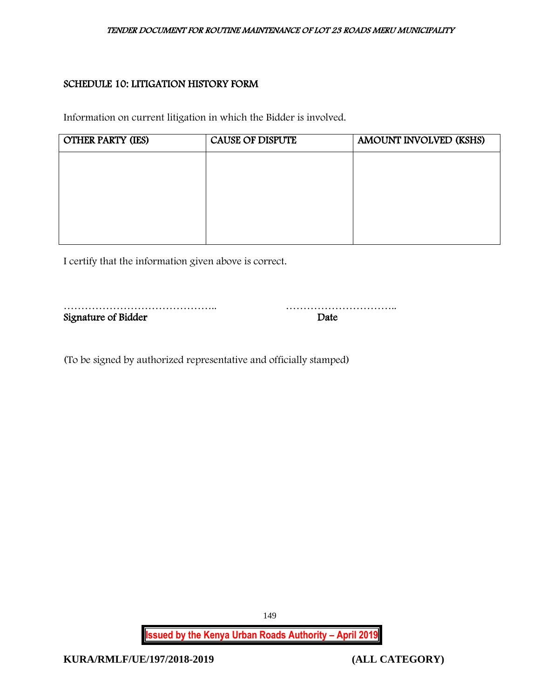# SCHEDULE 10: LITIGATION HISTORY FORM

Information on current litigation in which the Bidder is involved.

| <b>OTHER PARTY (IES)</b> | <b>CAUSE OF DISPUTE</b> | AMOUNT INVOLVED (KSHS) |
|--------------------------|-------------------------|------------------------|
|                          |                         |                        |
|                          |                         |                        |
|                          |                         |                        |
|                          |                         |                        |
|                          |                         |                        |

I certify that the information given above is correct.

| Signature of Bidder | Date |
|---------------------|------|

(To be signed by authorized representative and officially stamped)

**Issued by the Kenya Urban Roads Authority – April 2019**

149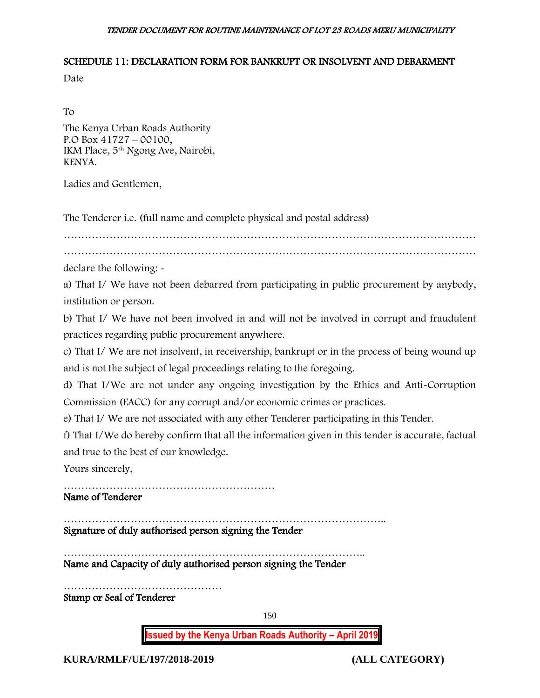## SCHEDULE 11: DECLARATION FORM FOR BANKRUPT OR INSOLVENT AND DEBARMENT

Date

To

The Kenya Urban Roads Authority P.O Box 41727 – 00100, IKM Place, 5th Ngong Ave, Nairobi, KENYA.

Ladies and Gentlemen,

The Tenderer i.e. (full name and complete physical and postal address)

………………………………………………………………………………………………………

………………………………………………………………………………………………………

declare the following: -

a) That I/ We have not been debarred from participating in public procurement by anybody, institution or person.

b) That I/ We have not been involved in and will not be involved in corrupt and fraudulent practices regarding public procurement anywhere.

c) That I/ We are not insolvent, in receivership, bankrupt or in the process of being wound up and is not the subject of legal proceedings relating to the foregoing.

d) That I/We are not under any ongoing investigation by the Ethics and Anti-Corruption Commission (EACC) for any corrupt and/or economic crimes or practices.

e) That I/ We are not associated with any other Tenderer participating in this Tender.

f) That I/We do hereby confirm that all the information given in this tender is accurate, factual and true to the best of our knowledge.

Yours sincerely,

……………………………………………………

Name of Tenderer

……………………………………………………………………………….. Signature of duly authorised person signing the Tender

………………………………………………………………………….. Name and Capacity of duly authorised person signing the Tender

……………………………………… Stamp or Seal of Tenderer

150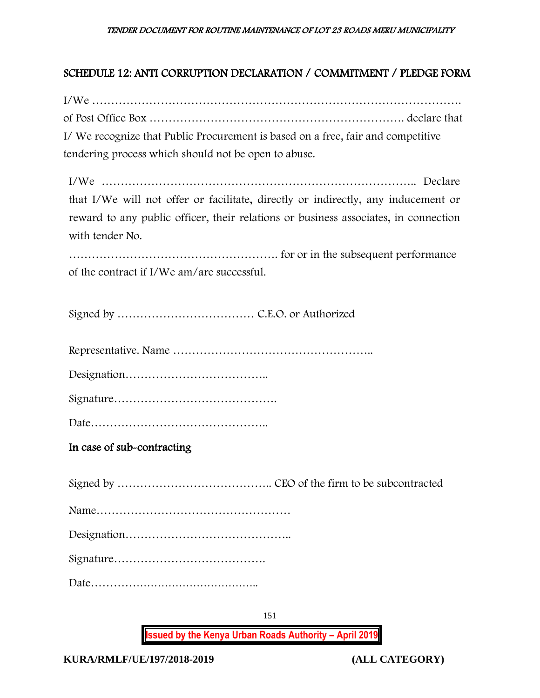# SCHEDULE 12: ANTI CORRUPTION DECLARATION / COMMITMENT / PLEDGE FORM

I/We ……………………………………………………………………………………. of Post Office Box …………………………………………………………. declare that I/ We recognize that Public Procurement is based on a free, fair and competitive tendering process which should not be open to abuse.

I/We ……………………………………………………………………….. Declare that I/We will not offer or facilitate, directly or indirectly, any inducement or reward to any public officer, their relations or business associates, in connection with tender No.

………………………………………………. for or in the subsequent performance of the contract if I/We am/are successful.

Signed by ……………………………… C.E.O. or Authorized

Representative. Name ……………………………………………..

Designation………………………………..

Signature…………………………………….

Date………………………………………..

In case of sub-contracting

Signed by ………………………………….. CEO of the firm to be subcontracted Name…………………………………………… Designation…………………………………….. Signature…………………………………. Date………………………………………..

151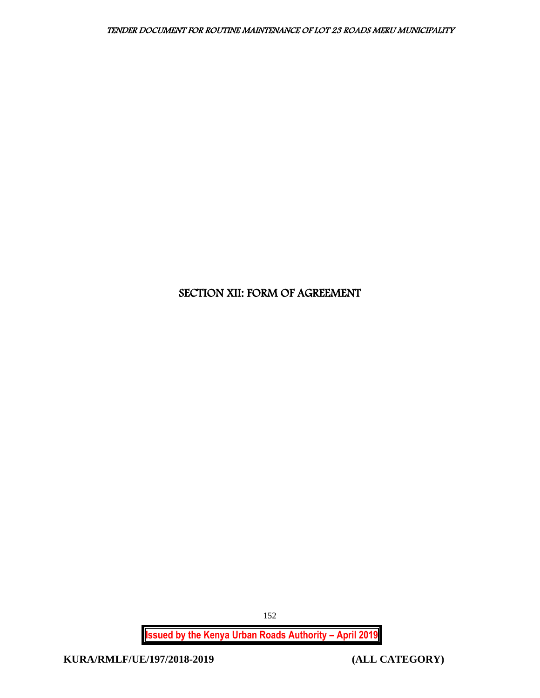# SECTION XII: FORM OF AGREEMENT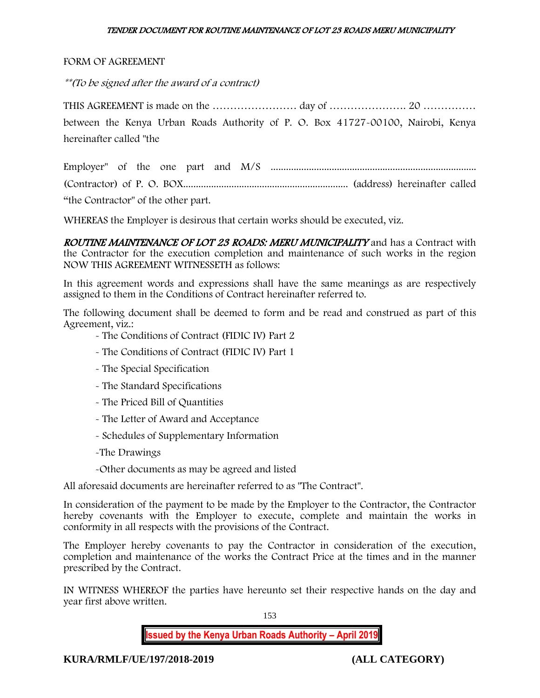### FORM OF AGREEMENT

\*\*(To be signed after the award of a contract)

THIS AGREEMENT is made on the …………………… day of …………………. 20 …………… between the Kenya Urban Roads Authority of P. O. Box 41727-00100, Nairobi, Kenya hereinafter called "the

Employer" of the one part and M/S ................................................................................. (Contractor) of P. O. BOX................................................................. (address) hereinafter called "the Contractor" of the other part.

WHEREAS the Employer is desirous that certain works should be executed, viz.

ROUTINE MAINTENANCE OF LOT 23 ROADS: MERU MUNICIPALITY and has a Contract with the Contractor for the execution completion and maintenance of such works in the region NOW THIS AGREEMENT WITNESSETH as follows:

In this agreement words and expressions shall have the same meanings as are respectively assigned to them in the Conditions of Contract hereinafter referred to.

The following document shall be deemed to form and be read and construed as part of this Agreement, viz.:

- The Conditions of Contract (FIDIC IV) Part 2
- The Conditions of Contract (FIDIC IV) Part 1
- The Special Specification
- The Standard Specifications
- The Priced Bill of Quantities
- The Letter of Award and Acceptance
- Schedules of Supplementary Information
- -The Drawings
- -Other documents as may be agreed and listed

All aforesaid documents are hereinafter referred to as "The Contract".

In consideration of the payment to be made by the Employer to the Contractor, the Contractor hereby covenants with the Employer to execute, complete and maintain the works in conformity in all respects with the provisions of the Contract.

The Employer hereby covenants to pay the Contractor in consideration of the execution, completion and maintenance of the works the Contract Price at the times and in the manner prescribed by the Contract.

IN WITNESS WHEREOF the parties have hereunto set their respective hands on the day and year first above written.

153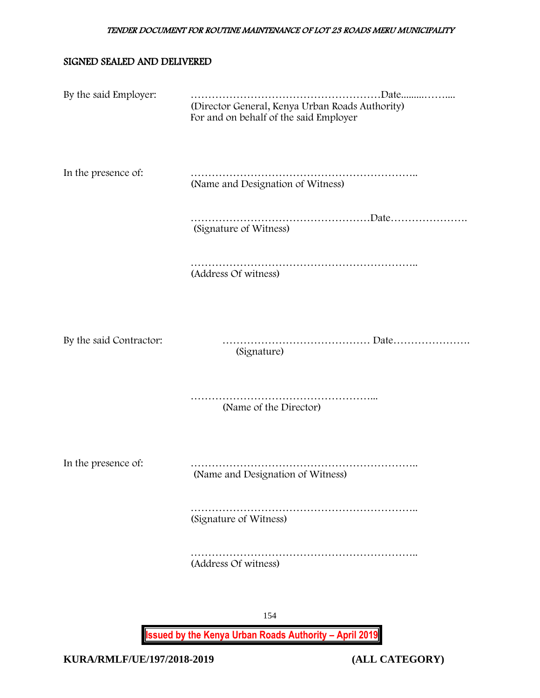### SIGNED SEALED AND DELIVERED

| By the said Employer:   | (Director General, Kenya Urban Roads Authority)<br>For and on behalf of the said Employer |
|-------------------------|-------------------------------------------------------------------------------------------|
| In the presence of:     | (Name and Designation of Witness)                                                         |
|                         | (Signature of Witness)                                                                    |
|                         | (Address Of witness)                                                                      |
|                         |                                                                                           |
| By the said Contractor: | (Signature)                                                                               |
|                         | (Name of the Director)                                                                    |
| In the presence of:     | (Name and Designation of Witness)                                                         |
|                         | (Signature of Witness)                                                                    |
|                         | (Address Of witness)                                                                      |
|                         |                                                                                           |
|                         | 154                                                                                       |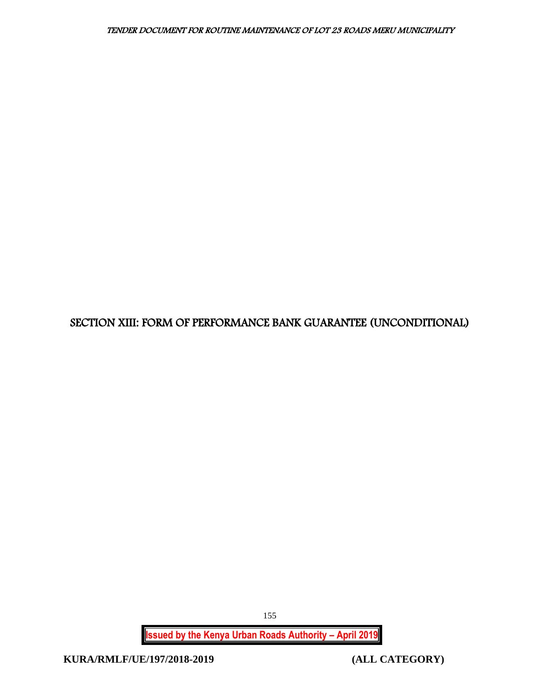# SECTION XIII: FORM OF PERFORMANCE BANK GUARANTEE (UNCONDITIONAL)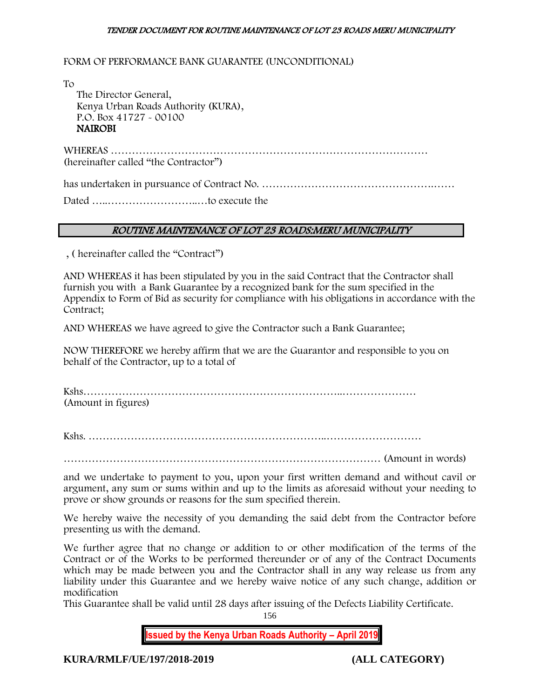FORM OF PERFORMANCE BANK GUARANTEE (UNCONDITIONAL)

To The Director General, Kenya Urban Roads Authority (KURA), P.O. Box 41727 - 00100 NAIROBI

WHEREAS ……………………………………………………………………………… (hereinafter called "the Contractor")

has undertaken in pursuance of Contract No. ………………………………………….……

Dated …..……………………..…to execute the

### ROUTINE MAINTENANCE OF LOT 23 ROADS:MERU MUNICIPALITY

, ( hereinafter called the "Contract")

AND WHEREAS it has been stipulated by you in the said Contract that the Contractor shall furnish you with a Bank Guarantee by a recognized bank for the sum specified in the Appendix to Form of Bid as security for compliance with his obligations in accordance with the Contract;

AND WHEREAS we have agreed to give the Contractor such a Bank Guarantee;

NOW THEREFORE we hereby affirm that we are the Guarantor and responsible to you on behalf of the Contractor, up to a total of

Kshs………………………………………………………………..………………… (Amount in figures)

Kshs. …………………………………………………………..………………………

……………………………………………………………………………… (Amount in words)

and we undertake to payment to you, upon your first written demand and without cavil or argument, any sum or sums within and up to the limits as aforesaid without your needing to prove or show grounds or reasons for the sum specified therein.

We hereby waive the necessity of you demanding the said debt from the Contractor before presenting us with the demand.

We further agree that no change or addition to or other modification of the terms of the Contract or of the Works to be performed thereunder or of any of the Contract Documents which may be made between you and the Contractor shall in any way release us from any liability under this Guarantee and we hereby waive notice of any such change, addition or modification

This Guarantee shall be valid until 28 days after issuing of the Defects Liability Certificate.

156